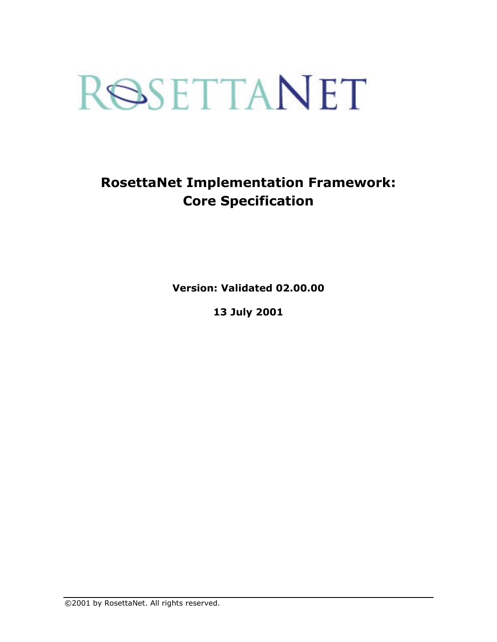# ROSETTANET

# **RosettaNet Implementation Framework: Core Specification**

**Version: Validated 02.00.00** 

**13 July 2001** 

©2001 by RosettaNet. All rights reserved.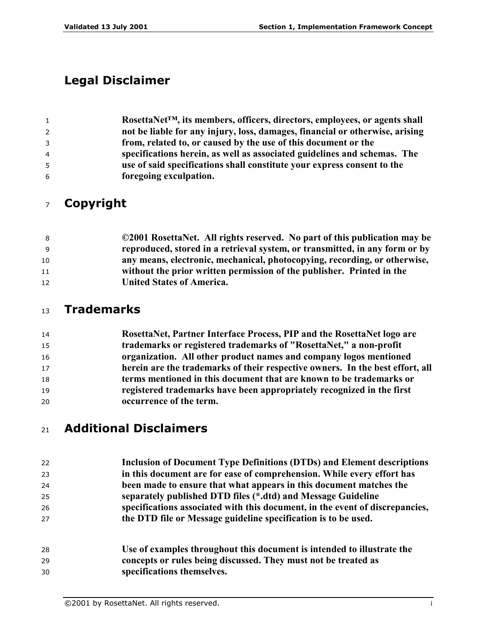# **Legal Disclaimer**

| $\mathbf{1}$ | RosettaNet <sup>™</sup> , its members, officers, directors, employees, or agents shall |
|--------------|----------------------------------------------------------------------------------------|
| $\mathbf{2}$ | not be liable for any injury, loss, damages, financial or otherwise, arising           |
| 3            | from, related to, or caused by the use of this document or the                         |
| 4            | specifications herein, as well as associated guidelines and schemas. The               |
| 5            | use of said specifications shall constitute your express consent to the                |
| 6            | foregoing exculpation.                                                                 |

# **Copyright**

| - 8 | ©2001 RosettaNet. All rights reserved. No part of this publication may be   |
|-----|-----------------------------------------------------------------------------|
| - 9 | reproduced, stored in a retrieval system, or transmitted, in any form or by |
| 10  | any means, electronic, mechanical, photocopying, recording, or otherwise,   |
| 11  | without the prior written permission of the publisher. Printed in the       |
| 12  | <b>United States of America.</b>                                            |

# **Trademarks**

| 14 | RosettaNet, Partner Interface Process, PIP and the RosettaNet logo are        |
|----|-------------------------------------------------------------------------------|
| 15 | trademarks or registered trademarks of "RosettaNet," a non-profit             |
| 16 | organization. All other product names and company logos mentioned             |
| 17 | herein are the trademarks of their respective owners. In the best effort, all |
| 18 | terms mentioned in this document that are known to be trademarks or           |
| 19 | registered trademarks have been appropriately recognized in the first         |
| 20 | occurrence of the term.                                                       |

# **Additional Disclaimers**

| 22 | Inclusion of Document Type Definitions (DTDs) and Element descriptions       |
|----|------------------------------------------------------------------------------|
| 23 | in this document are for ease of comprehension. While every effort has       |
| 24 | been made to ensure that what appears in this document matches the           |
| 25 | separately published DTD files (*.dtd) and Message Guideline                 |
| 26 | specifications associated with this document, in the event of discrepancies, |
| 27 | the DTD file or Message guideline specification is to be used.               |
| 28 | Use of examples throughout this document is intended to illustrate the       |
| 29 | concepts or rules being discussed. They must not be treated as               |
| 30 | specifications themselves.                                                   |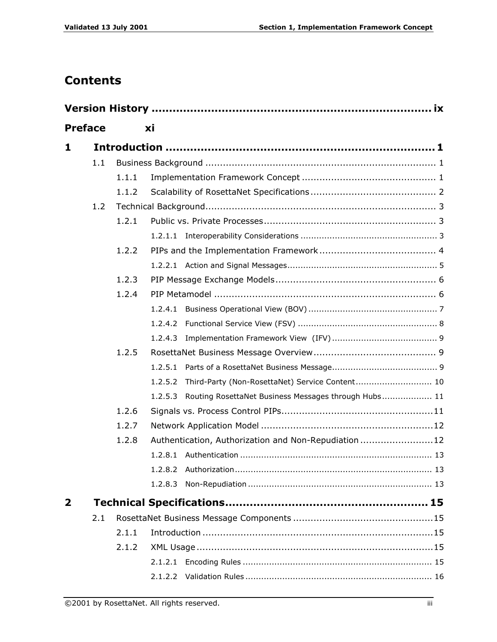# **Contents**

| <b>Preface</b> |     |       | хi         |                                                      |
|----------------|-----|-------|------------|------------------------------------------------------|
| 1              |     |       |            |                                                      |
|                | 1.1 |       |            |                                                      |
|                |     | 1.1.1 |            |                                                      |
|                |     | 1.1.2 |            |                                                      |
|                | 1.2 |       |            |                                                      |
|                |     | 1.2.1 |            |                                                      |
|                |     |       |            |                                                      |
|                |     | 1.2.2 |            |                                                      |
|                |     |       |            |                                                      |
|                |     | 1.2.3 |            |                                                      |
|                |     | 1.2.4 |            |                                                      |
|                |     |       | 1, 2, 4, 1 |                                                      |
|                |     |       | 1.2.4.2    |                                                      |
|                |     |       | 1, 2, 4, 3 |                                                      |
|                |     | 1.2.5 |            |                                                      |
|                |     |       | 1.2.5.1    |                                                      |
|                |     |       | 1.2.5.2    | Third-Party (Non-RosettaNet) Service Content 10      |
|                |     |       | 1.2.5.3    | Routing RosettaNet Business Messages through Hubs 11 |
|                |     | 1.2.6 |            |                                                      |
|                |     | 1.2.7 |            |                                                      |
|                |     | 1.2.8 |            | Authentication, Authorization and Non-Repudiation12  |
|                |     |       |            |                                                      |
|                |     |       | 1.2.8.2    |                                                      |
|                |     |       | 1.2.8.3    |                                                      |
| $\mathbf{2}$   |     |       |            |                                                      |
|                | 2.1 |       |            |                                                      |
|                |     | 2.1.1 |            |                                                      |
|                |     | 2.1.2 |            |                                                      |
|                |     |       |            |                                                      |
|                |     |       |            |                                                      |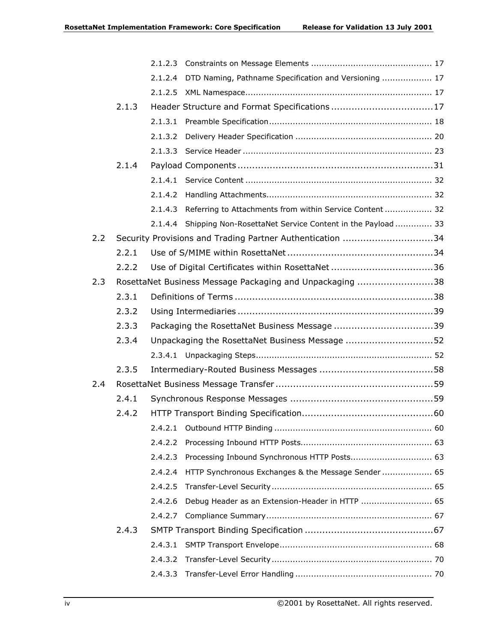|     |       | 2.1.2.4 | DTD Naming, Pathname Specification and Versioning  17      |
|-----|-------|---------|------------------------------------------------------------|
|     |       | 2.1.2.5 |                                                            |
|     | 2.1.3 |         |                                                            |
|     |       |         |                                                            |
|     |       | 2.1.3.2 |                                                            |
|     |       |         |                                                            |
|     | 2.1.4 |         |                                                            |
|     |       |         |                                                            |
|     |       | 2.1.4.2 |                                                            |
|     |       | 2.1.4.3 | Referring to Attachments from within Service Content  32   |
|     |       | 2.1.4.4 | Shipping Non-RosettaNet Service Content in the Payload  33 |
| 2.2 |       |         | Security Provisions and Trading Partner Authentication 34  |
|     | 2.2.1 |         |                                                            |
|     | 2.2.2 |         |                                                            |
| 2.3 |       |         | RosettaNet Business Message Packaging and Unpackaging 38   |
|     | 2.3.1 |         |                                                            |
|     | 2.3.2 |         |                                                            |
|     | 2.3.3 |         |                                                            |
|     | 2.3.4 |         | Unpackaging the RosettaNet Business Message 52             |
|     |       |         |                                                            |
|     | 2.3.5 |         |                                                            |
| 2.4 |       |         |                                                            |
|     | 2.4.1 |         |                                                            |
|     | 2.4.2 |         |                                                            |
|     |       | 2.4.2.1 |                                                            |
|     |       | 2.4.2.2 |                                                            |
|     |       | 2.4.2.3 | Processing Inbound Synchronous HTTP Posts 63               |
|     |       | 2.4.2.4 | HTTP Synchronous Exchanges & the Message Sender  65        |
|     |       | 2.4.2.5 |                                                            |
|     |       | 2.4.2.6 | Debug Header as an Extension-Header in HTTP  65            |
|     |       | 2.4.2.7 |                                                            |
|     | 2.4.3 |         |                                                            |
|     |       | 2.4.3.1 |                                                            |
|     |       | 2.4.3.2 |                                                            |
|     |       | 2.4.3.3 |                                                            |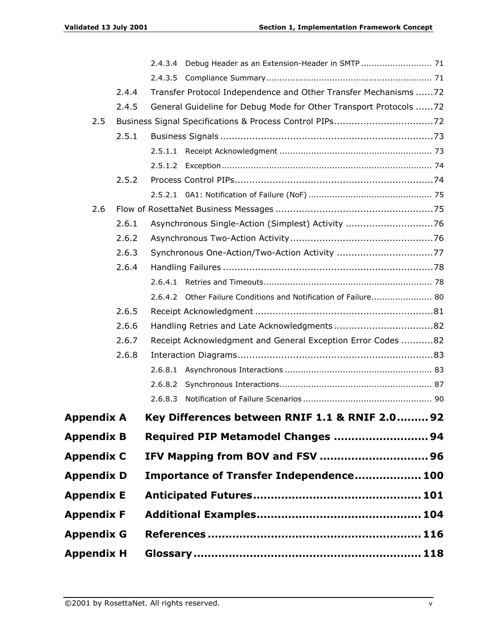|                   |       | 2.4.3.4                                                           |  |
|-------------------|-------|-------------------------------------------------------------------|--|
|                   |       |                                                                   |  |
|                   | 2.4.4 | Transfer Protocol Independence and Other Transfer Mechanisms 72   |  |
|                   | 2.4.5 | General Guideline for Debug Mode for Other Transport Protocols 72 |  |
| 2.5               |       |                                                                   |  |
|                   | 2.5.1 |                                                                   |  |
|                   |       |                                                                   |  |
|                   |       |                                                                   |  |
|                   | 2.5.2 |                                                                   |  |
|                   |       |                                                                   |  |
| 2.6               |       |                                                                   |  |
|                   | 2.6.1 | Asynchronous Single-Action (Simplest) Activity 76                 |  |
|                   | 2.6.2 |                                                                   |  |
|                   | 2.6.3 |                                                                   |  |
|                   | 2.6.4 |                                                                   |  |
|                   |       |                                                                   |  |
|                   |       | 2.6.4.2 Other Failure Conditions and Notification of Failure 80   |  |
|                   | 2.6.5 |                                                                   |  |
|                   | 2.6.6 |                                                                   |  |
|                   | 2.6.7 | Receipt Acknowledgment and General Exception Error Codes 82       |  |
|                   | 2.6.8 |                                                                   |  |
|                   |       |                                                                   |  |
|                   |       | 2.6.8.2                                                           |  |
|                   |       | 2.6.8.3                                                           |  |
| Appendix A        |       | Key Differences between RNIF 1.1 & RNIF 2.0 92                    |  |
| Appendix B        |       | Required PIP Metamodel Changes  94                                |  |
| <b>Appendix C</b> |       |                                                                   |  |
| <b>Appendix D</b> |       | Importance of Transfer Independence 100                           |  |
| Appendix E        |       |                                                                   |  |
| Appendix F        |       |                                                                   |  |
| <b>Appendix G</b> |       |                                                                   |  |
| Appendix H        |       |                                                                   |  |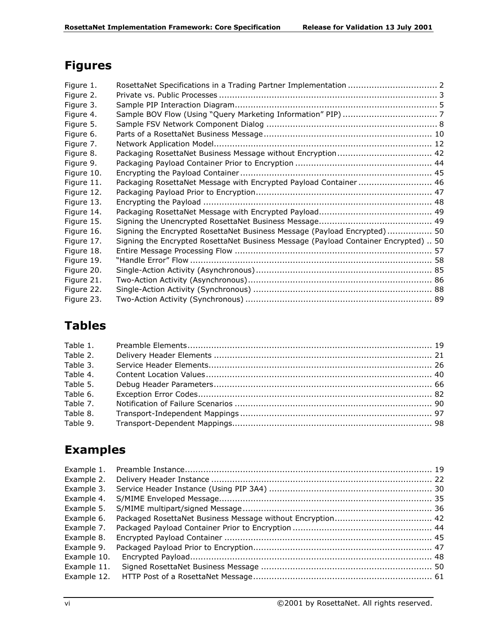# **Figures**

| Figure 1.  |                                                                                     |  |
|------------|-------------------------------------------------------------------------------------|--|
| Figure 2.  |                                                                                     |  |
| Figure 3.  |                                                                                     |  |
| Figure 4.  |                                                                                     |  |
| Figure 5.  |                                                                                     |  |
| Figure 6.  |                                                                                     |  |
| Figure 7.  |                                                                                     |  |
| Figure 8.  | Packaging RosettaNet Business Message without Encryption 42                         |  |
| Figure 9.  |                                                                                     |  |
| Figure 10. |                                                                                     |  |
| Figure 11. | Packaging RosettaNet Message with Encrypted Payload Container  46                   |  |
| Figure 12. |                                                                                     |  |
| Figure 13. |                                                                                     |  |
| Figure 14. |                                                                                     |  |
| Figure 15. |                                                                                     |  |
| Figure 16. | Signing the Encrypted RosettaNet Business Message (Payload Encrypted) 50            |  |
| Figure 17. | Signing the Encrypted RosettaNet Business Message (Payload Container Encrypted)  50 |  |
| Figure 18. |                                                                                     |  |
| Figure 19. |                                                                                     |  |
| Figure 20. |                                                                                     |  |
| Figure 21. |                                                                                     |  |
| Figure 22. |                                                                                     |  |
| Figure 23. |                                                                                     |  |

# **Tables**

| Table 2. |  |
|----------|--|
| Table 3. |  |
| Table 4. |  |
| Table 5. |  |
| Table 6. |  |
| Table 7. |  |
| Table 8. |  |
|          |  |
|          |  |

# **Examples**

| Example 10. |  |
|-------------|--|
| Example 11. |  |
| Example 12. |  |
|             |  |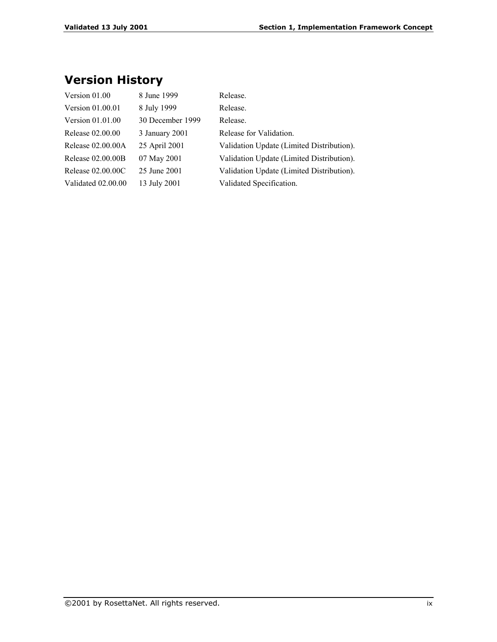# **Version History**

| Version 01.00      | 8 June 1999      | Release.                                  |
|--------------------|------------------|-------------------------------------------|
| Version 01.00.01   | 8 July 1999      | Release.                                  |
| Version $01.01.00$ | 30 December 1999 | Release.                                  |
| Release 02.00.00   | 3 January 2001   | Release for Validation.                   |
| Release 02.00.00A  | 25 April 2001    | Validation Update (Limited Distribution). |
| Release 02.00.00B  | 07 May 2001      | Validation Update (Limited Distribution). |
| Release 02,00,00C  | 25 June 2001     | Validation Update (Limited Distribution). |
| Validated 02.00.00 | 13 July 2001     | Validated Specification.                  |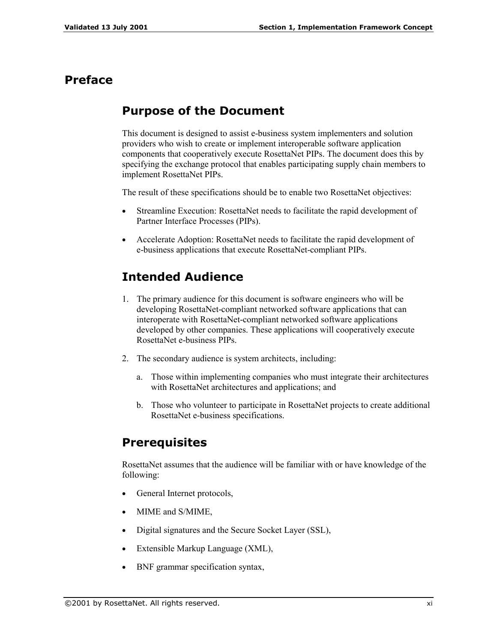## **Preface**

## **Purpose of the Document**

This document is designed to assist e-business system implementers and solution providers who wish to create or implement interoperable software application components that cooperatively execute RosettaNet PIPs. The document does this by specifying the exchange protocol that enables participating supply chain members to implement RosettaNet PIPs.

The result of these specifications should be to enable two RosettaNet objectives:

- Streamline Execution: RosettaNet needs to facilitate the rapid development of Partner Interface Processes (PIPs).
- Accelerate Adoption: RosettaNet needs to facilitate the rapid development of e-business applications that execute RosettaNet-compliant PIPs.

## **Intended Audience**

- 1. The primary audience for this document is software engineers who will be developing RosettaNet-compliant networked software applications that can interoperate with RosettaNet-compliant networked software applications developed by other companies. These applications will cooperatively execute RosettaNet e-business PIPs.
- 2. The secondary audience is system architects, including:
	- a. Those within implementing companies who must integrate their architectures with RosettaNet architectures and applications; and
	- b. Those who volunteer to participate in RosettaNet projects to create additional RosettaNet e-business specifications.

## **Prerequisites**

RosettaNet assumes that the audience will be familiar with or have knowledge of the following:

- General Internet protocols,
- MIME and S/MIME,
- Digital signatures and the Secure Socket Layer (SSL),
- Extensible Markup Language (XML),
- BNF grammar specification syntax,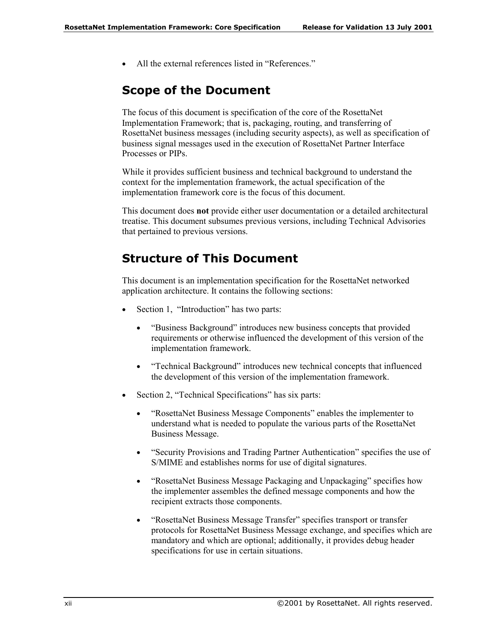• All the external references listed in "References."

## **Scope of the Document**

The focus of this document is specification of the core of the RosettaNet Implementation Framework; that is, packaging, routing, and transferring of RosettaNet business messages (including security aspects), as well as specification of business signal messages used in the execution of RosettaNet Partner Interface Processes or PIPs.

While it provides sufficient business and technical background to understand the context for the implementation framework, the actual specification of the implementation framework core is the focus of this document.

This document does **not** provide either user documentation or a detailed architectural treatise. This document subsumes previous versions, including Technical Advisories that pertained to previous versions.

## **Structure of This Document**

This document is an implementation specification for the RosettaNet networked application architecture. It contains the following sections:

- Section 1, "Introduction" has two parts:
	- "Business Background" introduces new business concepts that provided requirements or otherwise influenced the development of this version of the implementation framework.
	- "Technical Background" introduces new technical concepts that influenced the development of this version of the implementation framework.
- Section 2, "Technical Specifications" has six parts:
	- "RosettaNet Business Message Components" enables the implementer to understand what is needed to populate the various parts of the RosettaNet Business Message.
	- "Security Provisions and Trading Partner Authentication" specifies the use of S/MIME and establishes norms for use of digital signatures.
	- "RosettaNet Business Message Packaging and Unpackaging" specifies how the implementer assembles the defined message components and how the recipient extracts those components.
	- ìRosettaNet Business Message Transferî specifies transport or transfer protocols for RosettaNet Business Message exchange, and specifies which are mandatory and which are optional; additionally, it provides debug header specifications for use in certain situations.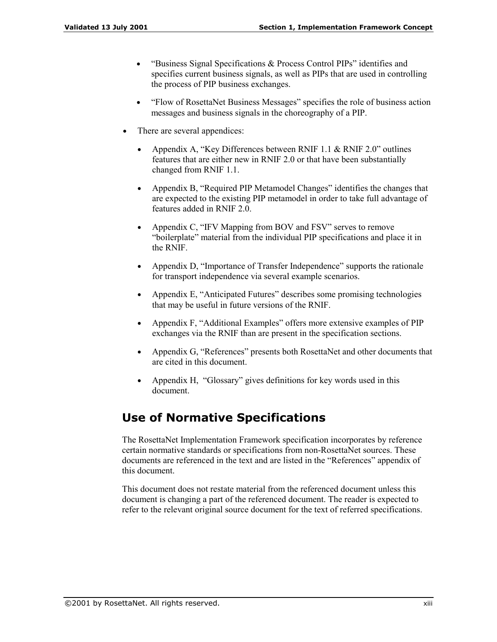- "Business Signal Specifications  $&$  Process Control PIPs" identifies and specifies current business signals, as well as PIPs that are used in controlling the process of PIP business exchanges.
- "Flow of RosettaNet Business Messages" specifies the role of business action messages and business signals in the choreography of a PIP.
- There are several appendices:
	- Appendix A, "Key Differences between RNIF 1.1  $\&$  RNIF 2.0" outlines features that are either new in RNIF 2.0 or that have been substantially changed from RNIF 1.1.
	- Appendix B, "Required PIP Metamodel Changes" identifies the changes that are expected to the existing PIP metamodel in order to take full advantage of features added in RNIF 2.0.
	- Appendix C, "IFV Mapping from BOV and FSV" serves to remove "boilerplate" material from the individual PIP specifications and place it in the RNIF.
	- Appendix D, "Importance of Transfer Independence" supports the rationale for transport independence via several example scenarios.
	- Appendix E, "Anticipated Futures" describes some promising technologies that may be useful in future versions of the RNIF.
	- Appendix  $F$ , "Additional Examples" offers more extensive examples of PIP exchanges via the RNIF than are present in the specification sections.
	- Appendix G, "References" presents both RosettaNet and other documents that are cited in this document.
	- Appendix H, "Glossary" gives definitions for key words used in this document.

## **Use of Normative Specifications**

The RosettaNet Implementation Framework specification incorporates by reference certain normative standards or specifications from non-RosettaNet sources. These documents are referenced in the text and are listed in the "References" appendix of this document.

This document does not restate material from the referenced document unless this document is changing a part of the referenced document. The reader is expected to refer to the relevant original source document for the text of referred specifications.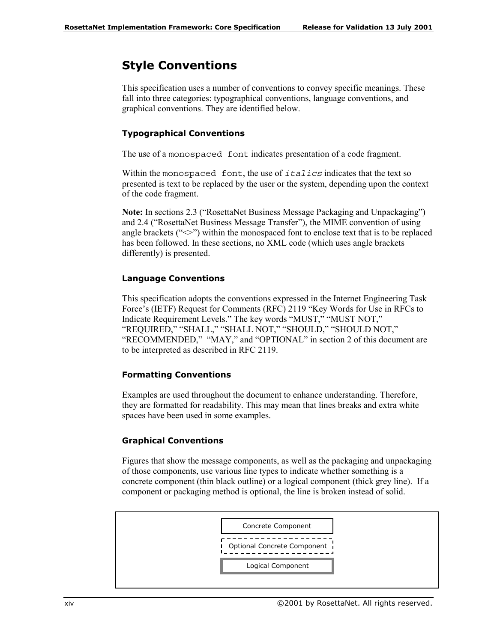## **Style Conventions**

This specification uses a number of conventions to convey specific meanings. These fall into three categories: typographical conventions, language conventions, and graphical conventions. They are identified below.

#### **Typographical Conventions**

The use of a monospaced font indicates presentation of a code fragment.

Within the monospaced font, the use of *italics* indicates that the text so presented is text to be replaced by the user or the system, depending upon the context of the code fragment.

**Note:** In sections 2.3 ("RosettaNet Business Message Packaging and Unpackaging") and 2.4 ("RosettaNet Business Message Transfer"), the MIME convention of using angle brackets ( $\sim$ ) within the monospaced font to enclose text that is to be replaced has been followed. In these sections, no XML code (which uses angle brackets differently) is presented.

#### **Language Conventions**

This specification adopts the conventions expressed in the Internet Engineering Task Force's (IETF) Request for Comments (RFC) 2119 "Key Words for Use in RFCs to Indicate Requirement Levels." The key words "MUST," "MUST NOT," "REQUIRED," "SHALL," "SHALL NOT," "SHOULD," "SHOULD NOT,"  $"RECOMMENDED," "MAY," and "OPTIONAL" in section 2 of this document are$ to be interpreted as described in RFC 2119.

#### **Formatting Conventions**

Examples are used throughout the document to enhance understanding. Therefore, they are formatted for readability. This may mean that lines breaks and extra white spaces have been used in some examples.

#### **Graphical Conventions**

Figures that show the message components, as well as the packaging and unpackaging of those components, use various line types to indicate whether something is a concrete component (thin black outline) or a logical component (thick grey line). If a component or packaging method is optional, the line is broken instead of solid.

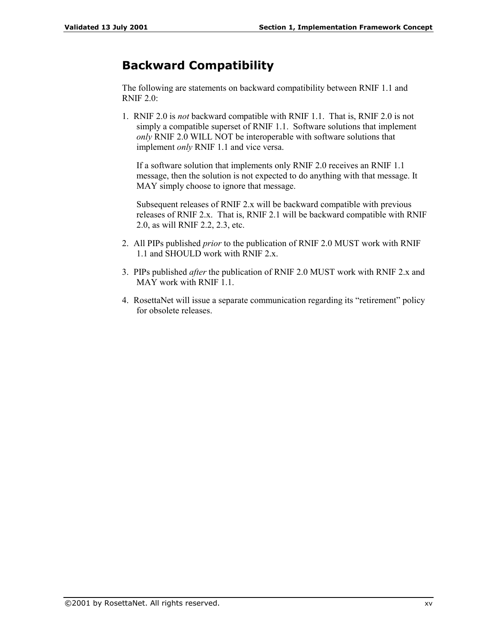## **Backward Compatibility**

The following are statements on backward compatibility between RNIF 1.1 and RNIF 2.0:

1. RNIF 2.0 is *not* backward compatible with RNIF 1.1. That is, RNIF 2.0 is not simply a compatible superset of RNIF 1.1. Software solutions that implement *only* RNIF 2.0 WILL NOT be interoperable with software solutions that implement *only* RNIF 1.1 and vice versa.

If a software solution that implements only RNIF 2.0 receives an RNIF 1.1 message, then the solution is not expected to do anything with that message. It MAY simply choose to ignore that message.

Subsequent releases of RNIF 2.x will be backward compatible with previous releases of RNIF 2.x. That is, RNIF 2.1 will be backward compatible with RNIF 2.0, as will RNIF 2.2, 2.3, etc.

- 2. All PIPs published *prior* to the publication of RNIF 2.0 MUST work with RNIF 1.1 and SHOULD work with RNIF 2.x.
- 3. PIPs published *after* the publication of RNIF 2.0 MUST work with RNIF 2.x and MAY work with RNIF 1.1.
- 4. RosettaNet will issue a separate communication regarding its "retirement" policy for obsolete releases.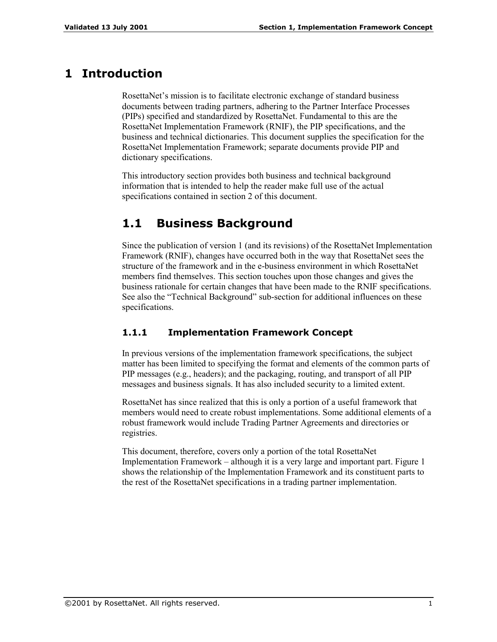## **1 Introduction**

RosettaNet's mission is to facilitate electronic exchange of standard business documents between trading partners, adhering to the Partner Interface Processes (PIPs) specified and standardized by RosettaNet. Fundamental to this are the RosettaNet Implementation Framework (RNIF), the PIP specifications, and the business and technical dictionaries. This document supplies the specification for the RosettaNet Implementation Framework; separate documents provide PIP and dictionary specifications.

This introductory section provides both business and technical background information that is intended to help the reader make full use of the actual specifications contained in section 2 of this document.

## **1.1 Business Background**

Since the publication of version 1 (and its revisions) of the RosettaNet Implementation Framework (RNIF), changes have occurred both in the way that RosettaNet sees the structure of the framework and in the e-business environment in which RosettaNet members find themselves. This section touches upon those changes and gives the business rationale for certain changes that have been made to the RNIF specifications. See also the "Technical Background" sub-section for additional influences on these specifications.

#### **1.1.1 Implementation Framework Concept**

In previous versions of the implementation framework specifications, the subject matter has been limited to specifying the format and elements of the common parts of PIP messages (e.g., headers); and the packaging, routing, and transport of all PIP messages and business signals. It has also included security to a limited extent.

RosettaNet has since realized that this is only a portion of a useful framework that members would need to create robust implementations. Some additional elements of a robust framework would include Trading Partner Agreements and directories or registries.

This document, therefore, covers only a portion of the total RosettaNet Implementation Framework  $-$  although it is a very large and important part. Figure 1 shows the relationship of the Implementation Framework and its constituent parts to the rest of the RosettaNet specifications in a trading partner implementation.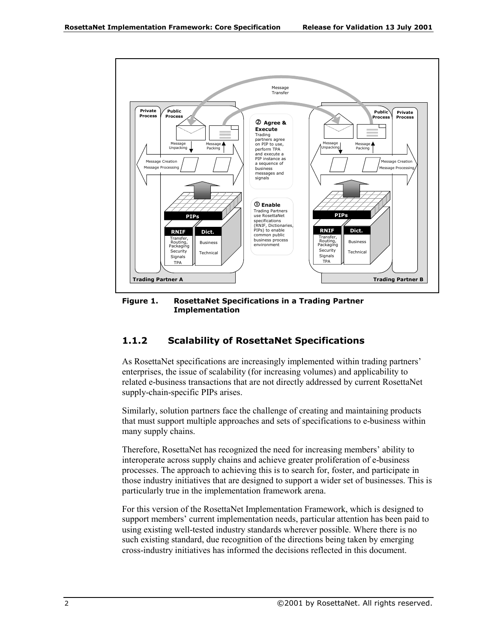

**Figure 1. RosettaNet Specifications in a Trading Partner Implementation** 

#### **1.1.2 Scalability of RosettaNet Specifications**

As RosettaNet specifications are increasingly implemented within trading partners<sup>'</sup> enterprises, the issue of scalability (for increasing volumes) and applicability to related e-business transactions that are not directly addressed by current RosettaNet supply-chain-specific PIPs arises.

Similarly, solution partners face the challenge of creating and maintaining products that must support multiple approaches and sets of specifications to e-business within many supply chains.

Therefore, RosettaNet has recognized the need for increasing members' ability to interoperate across supply chains and achieve greater proliferation of e-business processes. The approach to achieving this is to search for, foster, and participate in those industry initiatives that are designed to support a wider set of businesses. This is particularly true in the implementation framework arena.

For this version of the RosettaNet Implementation Framework, which is designed to support members' current implementation needs, particular attention has been paid to using existing well-tested industry standards wherever possible. Where there is no such existing standard, due recognition of the directions being taken by emerging cross-industry initiatives has informed the decisions reflected in this document.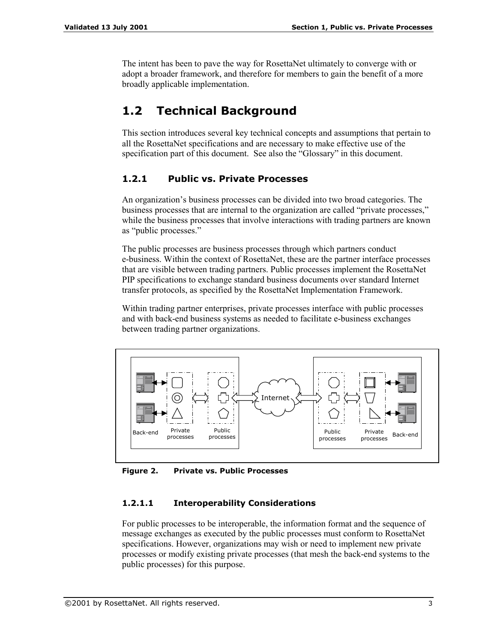The intent has been to pave the way for RosettaNet ultimately to converge with or adopt a broader framework, and therefore for members to gain the benefit of a more broadly applicable implementation.

# **1.2 Technical Background**

This section introduces several key technical concepts and assumptions that pertain to all the RosettaNet specifications and are necessary to make effective use of the specification part of this document. See also the "Glossary" in this document.

#### **1.2.1 Public vs. Private Processes**

An organization's business processes can be divided into two broad categories. The business processes that are internal to the organization are called "private processes," while the business processes that involve interactions with trading partners are known as "public processes."

The public processes are business processes through which partners conduct e-business. Within the context of RosettaNet, these are the partner interface processes that are visible between trading partners. Public processes implement the RosettaNet PIP specifications to exchange standard business documents over standard Internet transfer protocols, as specified by the RosettaNet Implementation Framework.

Within trading partner enterprises, private processes interface with public processes and with back-end business systems as needed to facilitate e-business exchanges between trading partner organizations.



**Figure 2. Private vs. Public Processes** 

#### **1.2.1.1 Interoperability Considerations**

For public processes to be interoperable, the information format and the sequence of message exchanges as executed by the public processes must conform to RosettaNet specifications. However, organizations may wish or need to implement new private processes or modify existing private processes (that mesh the back-end systems to the public processes) for this purpose.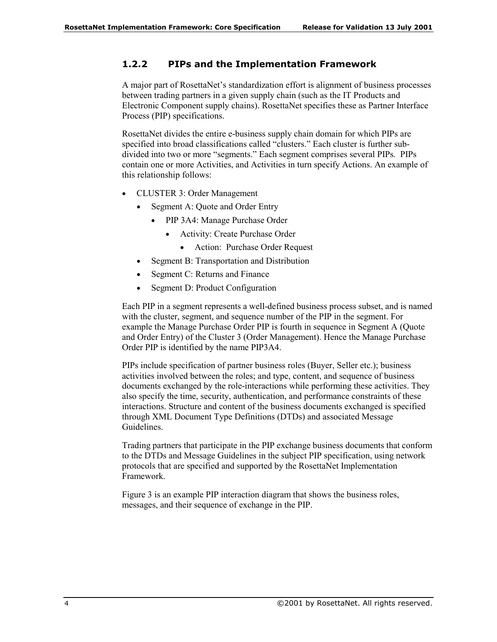#### **1.2.2 PIPs and the Implementation Framework**

A major part of RosettaNet's standardization effort is alignment of business processes between trading partners in a given supply chain (such as the IT Products and Electronic Component supply chains). RosettaNet specifies these as Partner Interface Process (PIP) specifications.

RosettaNet divides the entire e-business supply chain domain for which PIPs are specified into broad classifications called "clusters." Each cluster is further subdivided into two or more "segments." Each segment comprises several PIPs. PIPs contain one or more Activities, and Activities in turn specify Actions. An example of this relationship follows:

- CLUSTER 3: Order Management
	- Segment A: Quote and Order Entry
		- PIP 3A4: Manage Purchase Order
			- Activity: Create Purchase Order
				- Action: Purchase Order Request
	- Segment B: Transportation and Distribution
	- Segment C: Returns and Finance
	- Segment D: Product Configuration

Each PIP in a segment represents a well-defined business process subset, and is named with the cluster, segment, and sequence number of the PIP in the segment. For example the Manage Purchase Order PIP is fourth in sequence in Segment A (Quote and Order Entry) of the Cluster 3 (Order Management). Hence the Manage Purchase Order PIP is identified by the name PIP3A4.

PIPs include specification of partner business roles (Buyer, Seller etc.); business activities involved between the roles; and type, content, and sequence of business documents exchanged by the role-interactions while performing these activities. They also specify the time, security, authentication, and performance constraints of these interactions. Structure and content of the business documents exchanged is specified through XML Document Type Definitions (DTDs) and associated Message Guidelines.

Trading partners that participate in the PIP exchange business documents that conform to the DTDs and Message Guidelines in the subject PIP specification, using network protocols that are specified and supported by the RosettaNet Implementation Framework.

Figure 3 is an example PIP interaction diagram that shows the business roles, messages, and their sequence of exchange in the PIP.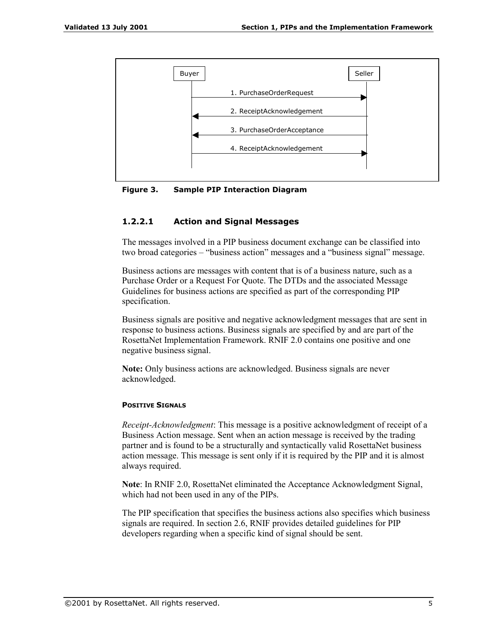

**Figure 3. Sample PIP Interaction Diagram** 

#### **1.2.2.1 Action and Signal Messages**

The messages involved in a PIP business document exchange can be classified into two broad categories – "business action" messages and a "business signal" message.

Business actions are messages with content that is of a business nature, such as a Purchase Order or a Request For Quote. The DTDs and the associated Message Guidelines for business actions are specified as part of the corresponding PIP specification.

Business signals are positive and negative acknowledgment messages that are sent in response to business actions. Business signals are specified by and are part of the RosettaNet Implementation Framework. RNIF 2.0 contains one positive and one negative business signal.

**Note:** Only business actions are acknowledged. Business signals are never acknowledged.

#### **POSITIVE SIGNALS**

*Receipt-Acknowledgment*: This message is a positive acknowledgment of receipt of a Business Action message. Sent when an action message is received by the trading partner and is found to be a structurally and syntactically valid RosettaNet business action message. This message is sent only if it is required by the PIP and it is almost always required.

**Note**: In RNIF 2.0, RosettaNet eliminated the Acceptance Acknowledgment Signal, which had not been used in any of the PIPs.

The PIP specification that specifies the business actions also specifies which business signals are required. In section 2.6, RNIF provides detailed guidelines for PIP developers regarding when a specific kind of signal should be sent.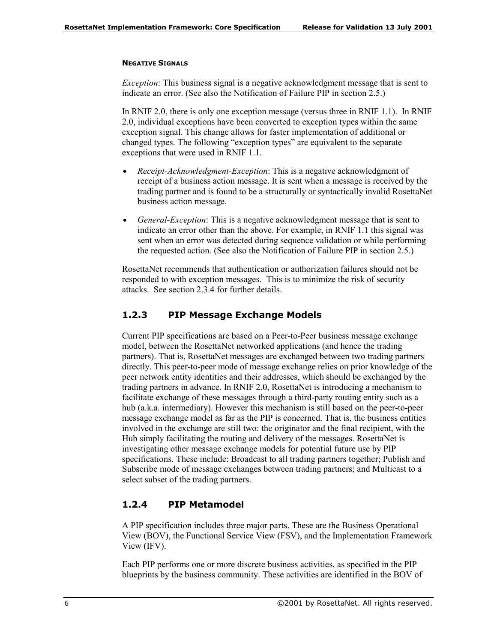#### **NEGATIVE SIGNALS**

*Exception*: This business signal is a negative acknowledgment message that is sent to indicate an error. (See also the Notification of Failure PIP in section 2.5.)

In RNIF 2.0, there is only one exception message (versus three in RNIF 1.1). In RNIF 2.0, individual exceptions have been converted to exception types within the same exception signal. This change allows for faster implementation of additional or changed types. The following "exception types" are equivalent to the separate exceptions that were used in RNIF 1.1.

- *Receipt-Acknowledgment-Exception*: This is a negative acknowledgment of receipt of a business action message. It is sent when a message is received by the trading partner and is found to be a structurally or syntactically invalid RosettaNet business action message.
- *General-Exception*: This is a negative acknowledgment message that is sent to indicate an error other than the above. For example, in RNIF 1.1 this signal was sent when an error was detected during sequence validation or while performing the requested action. (See also the Notification of Failure PIP in section 2.5.)

RosettaNet recommends that authentication or authorization failures should not be responded to with exception messages. This is to minimize the risk of security attacks. See section 2.3.4 for further details.

#### **1.2.3 PIP Message Exchange Models**

Current PIP specifications are based on a Peer-to-Peer business message exchange model, between the RosettaNet networked applications (and hence the trading partners). That is, RosettaNet messages are exchanged between two trading partners directly. This peer-to-peer mode of message exchange relies on prior knowledge of the peer network entity identities and their addresses, which should be exchanged by the trading partners in advance. In RNIF 2.0, RosettaNet is introducing a mechanism to facilitate exchange of these messages through a third-party routing entity such as a hub (a.k.a. intermediary). However this mechanism is still based on the peer-to-peer message exchange model as far as the PIP is concerned. That is, the business entities involved in the exchange are still two: the originator and the final recipient, with the Hub simply facilitating the routing and delivery of the messages. RosettaNet is investigating other message exchange models for potential future use by PIP specifications. These include: Broadcast to all trading partners together; Publish and Subscribe mode of message exchanges between trading partners; and Multicast to a select subset of the trading partners.

#### **1.2.4 PIP Metamodel**

A PIP specification includes three major parts. These are the Business Operational View (BOV), the Functional Service View (FSV), and the Implementation Framework View (IFV).

Each PIP performs one or more discrete business activities, as specified in the PIP blueprints by the business community. These activities are identified in the BOV of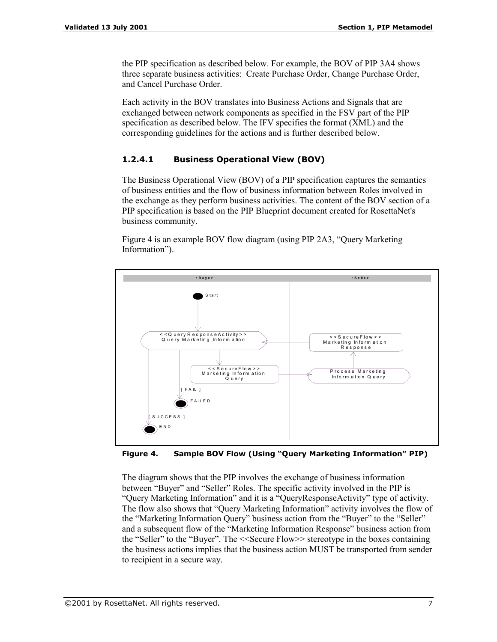the PIP specification as described below. For example, the BOV of PIP 3A4 shows three separate business activities: Create Purchase Order, Change Purchase Order, and Cancel Purchase Order.

Each activity in the BOV translates into Business Actions and Signals that are exchanged between network components as specified in the FSV part of the PIP specification as described below. The IFV specifies the format (XML) and the corresponding guidelines for the actions and is further described below.

#### **1.2.4.1 Business Operational View (BOV)**

The Business Operational View (BOV) of a PIP specification captures the semantics of business entities and the flow of business information between Roles involved in the exchange as they perform business activities. The content of the BOV section of a PIP specification is based on the PIP Blueprint document created for RosettaNet's business community.

Figure 4 is an example BOV flow diagram (using PIP 2A3, "Query Marketing Information").



Figure 4. Sample BOV Flow (Using "Query Marketing Information" PIP)

The diagram shows that the PIP involves the exchange of business information between "Buyer" and "Seller" Roles. The specific activity involved in the PIP is ìQuery Marketing Informationî and it is a ìQueryResponseActivityî type of activity. The flow also shows that "Query Marketing Information" activity involves the flow of the "Marketing Information Query" business action from the "Buyer" to the "Seller" and a subsequent flow of the "Marketing Information Response" business action from the "Seller" to the "Buyer". The <<Secure Flow>> stereotype in the boxes containing the business actions implies that the business action MUST be transported from sender to recipient in a secure way.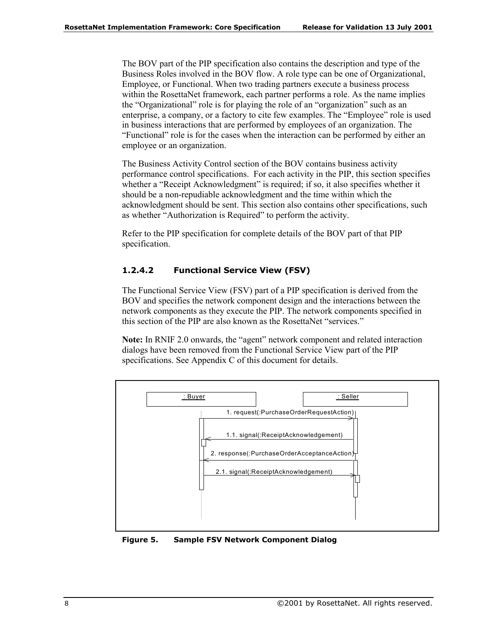The BOV part of the PIP specification also contains the description and type of the Business Roles involved in the BOV flow. A role type can be one of Organizational, Employee, or Functional. When two trading partners execute a business process within the RosettaNet framework, each partner performs a role. As the name implies the "Organizational" role is for playing the role of an "organization" such as an enterprise, a company, or a factory to cite few examples. The "Employee" role is used in business interactions that are performed by employees of an organization. The ìFunctionalî role is for the cases when the interaction can be performed by either an employee or an organization.

The Business Activity Control section of the BOV contains business activity performance control specifications. For each activity in the PIP, this section specifies whether a "Receipt Acknowledgment" is required; if so, it also specifies whether it should be a non-repudiable acknowledgment and the time within which the acknowledgment should be sent. This section also contains other specifications, such as whether "Authorization is Required" to perform the activity.

Refer to the PIP specification for complete details of the BOV part of that PIP specification.

#### **1.2.4.2 Functional Service View (FSV)**

The Functional Service View (FSV) part of a PIP specification is derived from the BOV and specifies the network component design and the interactions between the network components as they execute the PIP. The network components specified in this section of the PIP are also known as the RosettaNet "services."

**Note:** In RNIF 2.0 onwards, the "agent" network component and related interaction dialogs have been removed from the Functional Service View part of the PIP specifications. See Appendix C of this document for details.



**Figure 5. Sample FSV Network Component Dialog**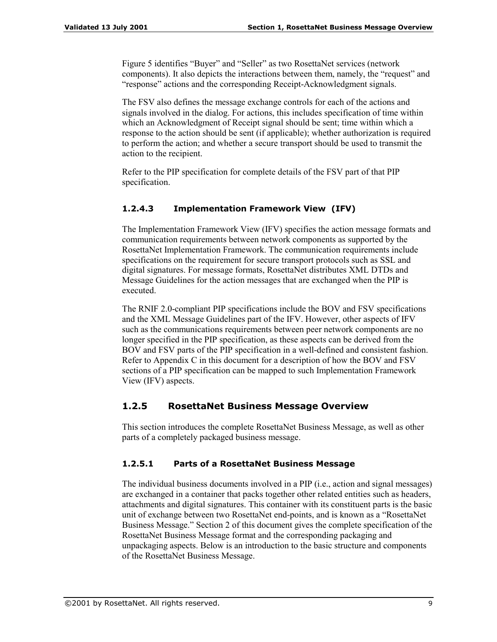Figure 5 identifies "Buyer" and "Seller" as two RosettaNet services (network components). It also depicts the interactions between them, namely, the "request" and ìresponseî actions and the corresponding Receipt-Acknowledgment signals.

The FSV also defines the message exchange controls for each of the actions and signals involved in the dialog. For actions, this includes specification of time within which an Acknowledgment of Receipt signal should be sent; time within which a response to the action should be sent (if applicable); whether authorization is required to perform the action; and whether a secure transport should be used to transmit the action to the recipient.

Refer to the PIP specification for complete details of the FSV part of that PIP specification.

#### **1.2.4.3 Implementation Framework View (IFV)**

The Implementation Framework View (IFV) specifies the action message formats and communication requirements between network components as supported by the RosettaNet Implementation Framework. The communication requirements include specifications on the requirement for secure transport protocols such as SSL and digital signatures. For message formats, RosettaNet distributes XML DTDs and Message Guidelines for the action messages that are exchanged when the PIP is executed.

The RNIF 2.0-compliant PIP specifications include the BOV and FSV specifications and the XML Message Guidelines part of the IFV. However, other aspects of IFV such as the communications requirements between peer network components are no longer specified in the PIP specification, as these aspects can be derived from the BOV and FSV parts of the PIP specification in a well-defined and consistent fashion. Refer to Appendix C in this document for a description of how the BOV and FSV sections of a PIP specification can be mapped to such Implementation Framework View (IFV) aspects.

#### **1.2.5 RosettaNet Business Message Overview**

This section introduces the complete RosettaNet Business Message, as well as other parts of a completely packaged business message.

#### **1.2.5.1 Parts of a RosettaNet Business Message**

The individual business documents involved in a PIP (i.e., action and signal messages) are exchanged in a container that packs together other related entities such as headers, attachments and digital signatures. This container with its constituent parts is the basic unit of exchange between two RosettaNet end-points, and is known as a "RosettaNet" Business Message." Section 2 of this document gives the complete specification of the RosettaNet Business Message format and the corresponding packaging and unpackaging aspects. Below is an introduction to the basic structure and components of the RosettaNet Business Message.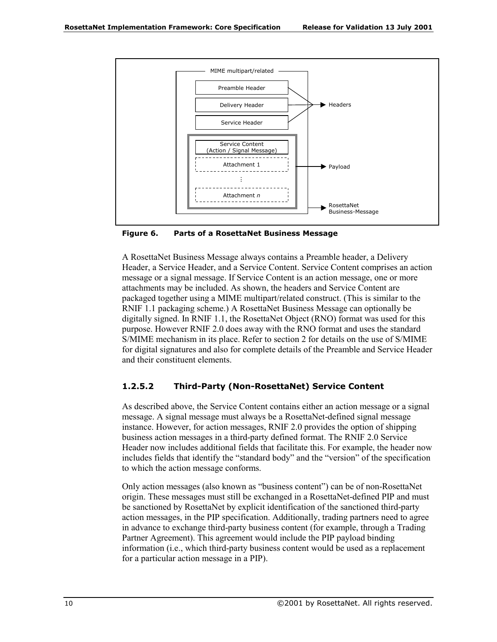

**Figure 6. Parts of a RosettaNet Business Message** 

A RosettaNet Business Message always contains a Preamble header, a Delivery Header, a Service Header, and a Service Content. Service Content comprises an action message or a signal message. If Service Content is an action message, one or more attachments may be included. As shown, the headers and Service Content are packaged together using a MIME multipart/related construct. (This is similar to the RNIF 1.1 packaging scheme.) A RosettaNet Business Message can optionally be digitally signed. In RNIF 1.1, the RosettaNet Object (RNO) format was used for this purpose. However RNIF 2.0 does away with the RNO format and uses the standard S/MIME mechanism in its place. Refer to section 2 for details on the use of S/MIME for digital signatures and also for complete details of the Preamble and Service Header and their constituent elements.

#### **1.2.5.2 Third-Party (Non-RosettaNet) Service Content**

As described above, the Service Content contains either an action message or a signal message. A signal message must always be a RosettaNet-defined signal message instance. However, for action messages, RNIF 2.0 provides the option of shipping business action messages in a third-party defined format. The RNIF 2.0 Service Header now includes additional fields that facilitate this. For example, the header now includes fields that identify the "standard body" and the "version" of the specification to which the action message conforms.

Only action messages (also known as "business content") can be of non-RosettaNet origin. These messages must still be exchanged in a RosettaNet-defined PIP and must be sanctioned by RosettaNet by explicit identification of the sanctioned third-party action messages, in the PIP specification. Additionally, trading partners need to agree in advance to exchange third-party business content (for example, through a Trading Partner Agreement). This agreement would include the PIP payload binding information (i.e., which third-party business content would be used as a replacement for a particular action message in a PIP).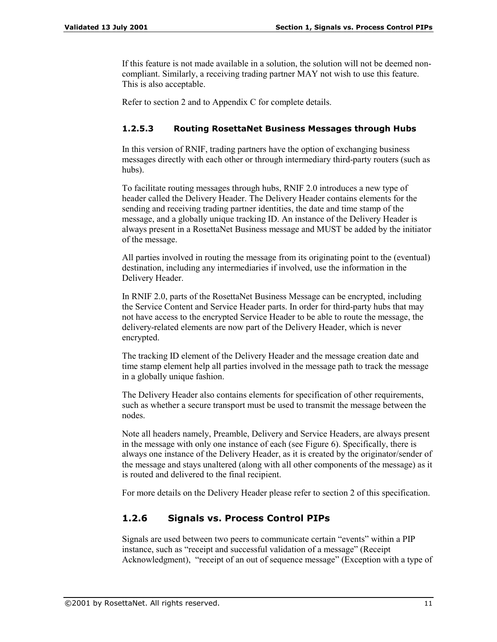If this feature is not made available in a solution, the solution will not be deemed noncompliant. Similarly, a receiving trading partner MAY not wish to use this feature. This is also acceptable.

Refer to section 2 and to Appendix C for complete details.

#### **1.2.5.3 Routing RosettaNet Business Messages through Hubs**

In this version of RNIF, trading partners have the option of exchanging business messages directly with each other or through intermediary third-party routers (such as hubs).

To facilitate routing messages through hubs, RNIF 2.0 introduces a new type of header called the Delivery Header. The Delivery Header contains elements for the sending and receiving trading partner identities, the date and time stamp of the message, and a globally unique tracking ID. An instance of the Delivery Header is always present in a RosettaNet Business message and MUST be added by the initiator of the message.

All parties involved in routing the message from its originating point to the (eventual) destination, including any intermediaries if involved, use the information in the Delivery Header.

In RNIF 2.0, parts of the RosettaNet Business Message can be encrypted, including the Service Content and Service Header parts. In order for third-party hubs that may not have access to the encrypted Service Header to be able to route the message, the delivery-related elements are now part of the Delivery Header, which is never encrypted.

The tracking ID element of the Delivery Header and the message creation date and time stamp element help all parties involved in the message path to track the message in a globally unique fashion.

The Delivery Header also contains elements for specification of other requirements, such as whether a secure transport must be used to transmit the message between the nodes.

Note all headers namely, Preamble, Delivery and Service Headers, are always present in the message with only one instance of each (see Figure 6). Specifically, there is always one instance of the Delivery Header, as it is created by the originator/sender of the message and stays unaltered (along with all other components of the message) as it is routed and delivered to the final recipient.

For more details on the Delivery Header please refer to section 2 of this specification.

#### **1.2.6 Signals vs. Process Control PIPs**

Signals are used between two peers to communicate certain "events" within a PIP instance, such as "receipt and successful validation of a message" (Receipt Acknowledgment), "receipt of an out of sequence message" (Exception with a type of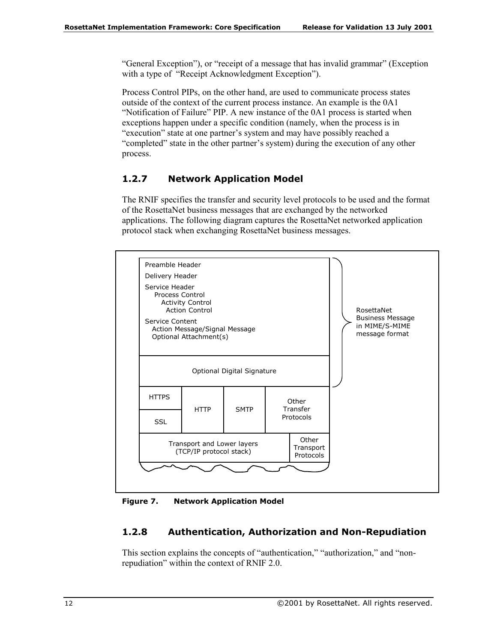"General Exception"), or "receipt of a message that has invalid grammar" (Exception with a type of "Receipt Acknowledgment Exception").

Process Control PIPs, on the other hand, are used to communicate process states outside of the context of the current process instance. An example is the 0A1 ìNotification of Failureî PIP. A new instance of the 0A1 process is started when exceptions happen under a specific condition (namely, when the process is in "execution" state at one partner's system and may have possibly reached a "completed" state in the other partner's system) during the execution of any other process.

#### **1.2.7 Network Application Model**

The RNIF specifies the transfer and security level protocols to be used and the format of the RosettaNet business messages that are exchanged by the networked applications. The following diagram captures the RosettaNet networked application protocol stack when exchanging RosettaNet business messages.



**Figure 7. Network Application Model** 

#### **1.2.8 Authentication, Authorization and Non-Repudiation**

This section explains the concepts of "authentication," "authorization," and "nonrepudiation" within the context of RNIF 2.0.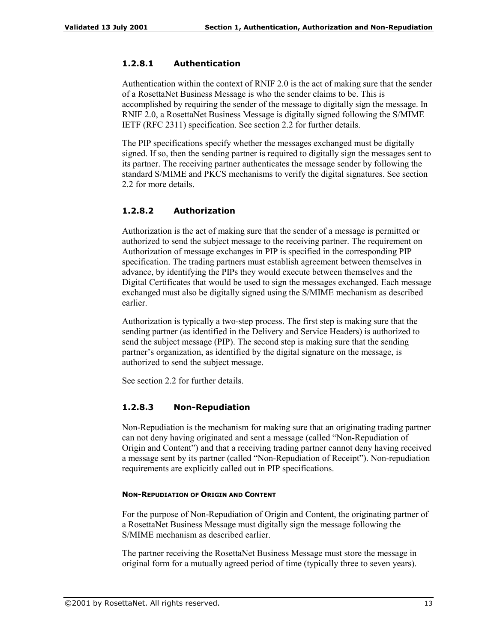#### **1.2.8.1 Authentication**

Authentication within the context of RNIF 2.0 is the act of making sure that the sender of a RosettaNet Business Message is who the sender claims to be. This is accomplished by requiring the sender of the message to digitally sign the message. In RNIF 2.0, a RosettaNet Business Message is digitally signed following the S/MIME IETF (RFC 2311) specification. See section 2.2 for further details.

The PIP specifications specify whether the messages exchanged must be digitally signed. If so, then the sending partner is required to digitally sign the messages sent to its partner. The receiving partner authenticates the message sender by following the standard S/MIME and PKCS mechanisms to verify the digital signatures. See section 2.2 for more details.

#### **1.2.8.2 Authorization**

Authorization is the act of making sure that the sender of a message is permitted or authorized to send the subject message to the receiving partner. The requirement on Authorization of message exchanges in PIP is specified in the corresponding PIP specification. The trading partners must establish agreement between themselves in advance, by identifying the PIPs they would execute between themselves and the Digital Certificates that would be used to sign the messages exchanged. Each message exchanged must also be digitally signed using the S/MIME mechanism as described earlier.

Authorization is typically a two-step process. The first step is making sure that the sending partner (as identified in the Delivery and Service Headers) is authorized to send the subject message (PIP). The second step is making sure that the sending partner's organization, as identified by the digital signature on the message, is authorized to send the subject message.

See section 2.2 for further details.

#### **1.2.8.3 Non-Repudiation**

Non-Repudiation is the mechanism for making sure that an originating trading partner can not deny having originated and sent a message (called "Non-Repudiation of Origin and Content") and that a receiving trading partner cannot deny having received a message sent by its partner (called "Non-Repudiation of Receipt"). Non-repudiation requirements are explicitly called out in PIP specifications.

#### **NON-REPUDIATION OF ORIGIN AND CONTENT**

For the purpose of Non-Repudiation of Origin and Content, the originating partner of a RosettaNet Business Message must digitally sign the message following the S/MIME mechanism as described earlier.

The partner receiving the RosettaNet Business Message must store the message in original form for a mutually agreed period of time (typically three to seven years).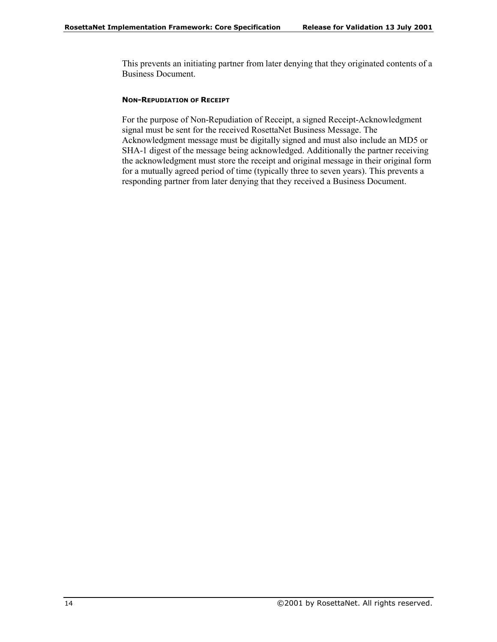This prevents an initiating partner from later denying that they originated contents of a Business Document.

#### **NON-REPUDIATION OF RECEIPT**

For the purpose of Non-Repudiation of Receipt, a signed Receipt-Acknowledgment signal must be sent for the received RosettaNet Business Message. The Acknowledgment message must be digitally signed and must also include an MD5 or SHA-1 digest of the message being acknowledged. Additionally the partner receiving the acknowledgment must store the receipt and original message in their original form for a mutually agreed period of time (typically three to seven years). This prevents a responding partner from later denying that they received a Business Document.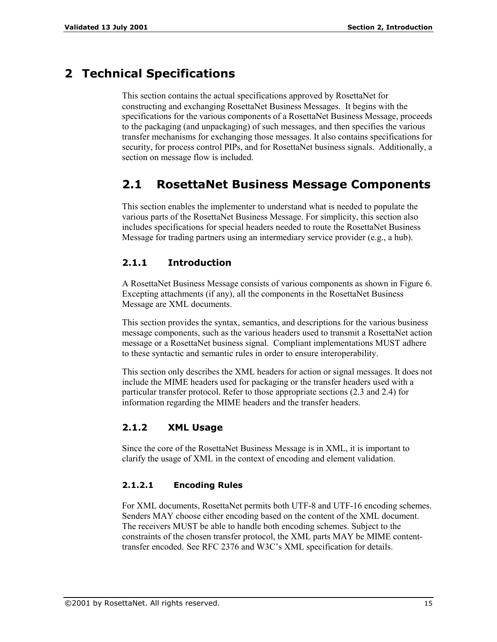# **2 Technical Specifications**

This section contains the actual specifications approved by RosettaNet for constructing and exchanging RosettaNet Business Messages. It begins with the specifications for the various components of a RosettaNet Business Message, proceeds to the packaging (and unpackaging) of such messages, and then specifies the various transfer mechanisms for exchanging those messages. It also contains specifications for security, for process control PIPs, and for RosettaNet business signals. Additionally, a section on message flow is included.

# **2.1 RosettaNet Business Message Components**

This section enables the implementer to understand what is needed to populate the various parts of the RosettaNet Business Message. For simplicity, this section also includes specifications for special headers needed to route the RosettaNet Business Message for trading partners using an intermediary service provider (e.g., a hub).

#### **2.1.1 Introduction**

A RosettaNet Business Message consists of various components as shown in Figure 6. Excepting attachments (if any), all the components in the RosettaNet Business Message are XML documents.

This section provides the syntax, semantics, and descriptions for the various business message components, such as the various headers used to transmit a RosettaNet action message or a RosettaNet business signal. Compliant implementations MUST adhere to these syntactic and semantic rules in order to ensure interoperability.

This section only describes the XML headers for action or signal messages. It does not include the MIME headers used for packaging or the transfer headers used with a particular transfer protocol. Refer to those appropriate sections (2.3 and 2.4) for information regarding the MIME headers and the transfer headers.

#### **2.1.2 XML Usage**

Since the core of the RosettaNet Business Message is in XML, it is important to clarify the usage of XML in the context of encoding and element validation.

#### **2.1.2.1 Encoding Rules**

For XML documents, RosettaNet permits both UTF-8 and UTF-16 encoding schemes. Senders MAY choose either encoding based on the content of the XML document. The receivers MUST be able to handle both encoding schemes. Subject to the constraints of the chosen transfer protocol, the XML parts MAY be MIME contenttransfer encoded. See RFC 2376 and W3C's XML specification for details.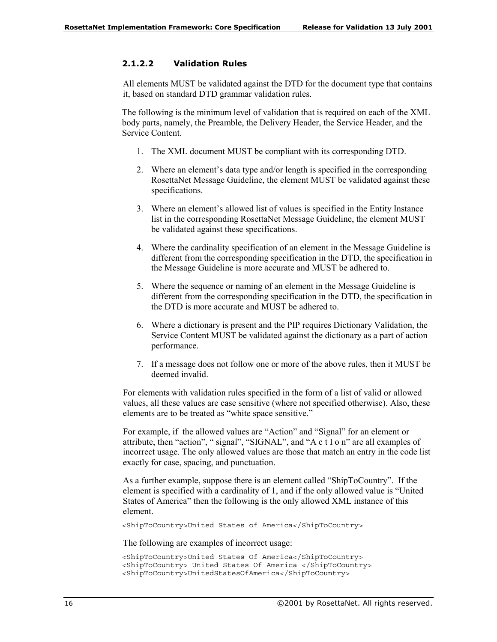#### **2.1.2.2 Validation Rules**

All elements MUST be validated against the DTD for the document type that contains it, based on standard DTD grammar validation rules.

The following is the minimum level of validation that is required on each of the XML body parts, namely, the Preamble, the Delivery Header, the Service Header, and the Service Content.

- 1. The XML document MUST be compliant with its corresponding DTD.
- 2. Where an element's data type and/or length is specified in the corresponding RosettaNet Message Guideline, the element MUST be validated against these specifications.
- 3. Where an element's allowed list of values is specified in the Entity Instance list in the corresponding RosettaNet Message Guideline, the element MUST be validated against these specifications.
- 4. Where the cardinality specification of an element in the Message Guideline is different from the corresponding specification in the DTD, the specification in the Message Guideline is more accurate and MUST be adhered to.
- 5. Where the sequence or naming of an element in the Message Guideline is different from the corresponding specification in the DTD, the specification in the DTD is more accurate and MUST be adhered to.
- 6. Where a dictionary is present and the PIP requires Dictionary Validation, the Service Content MUST be validated against the dictionary as a part of action performance.
- 7. If a message does not follow one or more of the above rules, then it MUST be deemed invalid.

For elements with validation rules specified in the form of a list of valid or allowed values, all these values are case sensitive (where not specified otherwise). Also, these elements are to be treated as "white space sensitive."

For example, if the allowed values are "Action" and "Signal" for an element or attribute, then "action", "signal", "SIGNAL", and "A c  $t$  I o n" are all examples of incorrect usage. The only allowed values are those that match an entry in the code list exactly for case, spacing, and punctuation.

As a further example, suppose there is an element called "ShipToCountry". If the element is specified with a cardinality of 1, and if the only allowed value is "United States of America" then the following is the only allowed XML instance of this element.

<ShipToCountry>United States of America</ShipToCountry>

The following are examples of incorrect usage:

```
<ShipToCountry>United States Of America</ShipToCountry>
<ShipToCountry> United States Of America </ShipToCountry>
<ShipToCountry>UnitedStatesOfAmerica</ShipToCountry>
```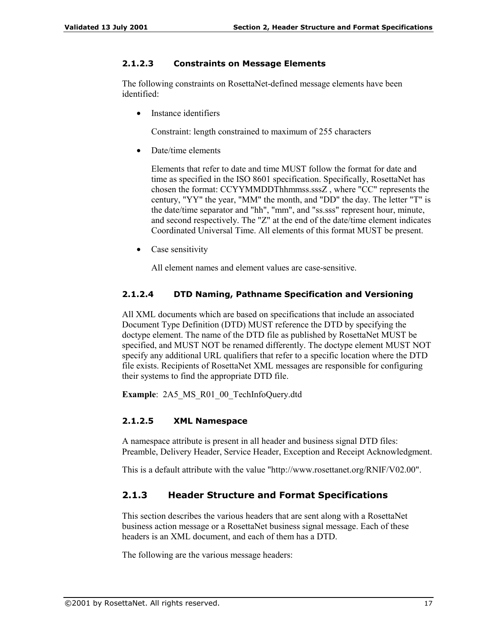#### **2.1.2.3 Constraints on Message Elements**

The following constraints on RosettaNet-defined message elements have been identified:

Instance identifiers

Constraint: length constrained to maximum of 255 characters

• Date/time elements

Elements that refer to date and time MUST follow the format for date and time as specified in the ISO 8601 specification. Specifically, RosettaNet has chosen the format: CCYYMMDDThhmmss.sssZ , where "CC" represents the century, "YY" the year, "MM" the month, and "DD" the day. The letter "T" is the date/time separator and "hh", "mm", and "ss.sss" represent hour, minute, and second respectively. The "Z" at the end of the date/time element indicates Coordinated Universal Time. All elements of this format MUST be present.

• Case sensitivity

All element names and element values are case-sensitive.

#### **2.1.2.4 DTD Naming, Pathname Specification and Versioning**

All XML documents which are based on specifications that include an associated Document Type Definition (DTD) MUST reference the DTD by specifying the doctype element. The name of the DTD file as published by RosettaNet MUST be specified, and MUST NOT be renamed differently. The doctype element MUST NOT specify any additional URL qualifiers that refer to a specific location where the DTD file exists. Recipients of RosettaNet XML messages are responsible for configuring their systems to find the appropriate DTD file.

**Example**: 2A5\_MS\_R01\_00\_TechInfoQuery.dtd

#### **2.1.2.5 XML Namespace**

A namespace attribute is present in all header and business signal DTD files: Preamble, Delivery Header, Service Header, Exception and Receipt Acknowledgment.

This is a default attribute with the value "http://www.rosettanet.org/RNIF/V02.00".

#### **2.1.3 Header Structure and Format Specifications**

This section describes the various headers that are sent along with a RosettaNet business action message or a RosettaNet business signal message. Each of these headers is an XML document, and each of them has a DTD.

The following are the various message headers: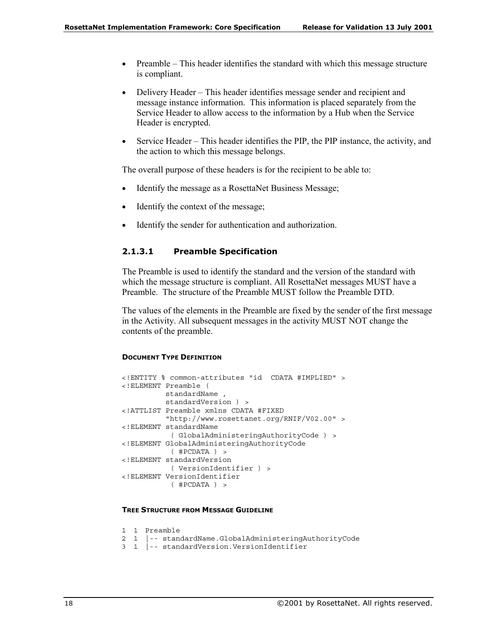- Preamble  $-$  This header identifies the standard with which this message structure is compliant.
- Delivery Header  $-$  This header identifies message sender and recipient and message instance information. This information is placed separately from the Service Header to allow access to the information by a Hub when the Service Header is encrypted.
- Service Header This header identifies the PIP, the PIP instance, the activity, and the action to which this message belongs.

The overall purpose of these headers is for the recipient to be able to:

- Identify the message as a RosettaNet Business Message;
- Identify the context of the message;
- Identify the sender for authentication and authorization.

#### **2.1.3.1 Preamble Specification**

The Preamble is used to identify the standard and the version of the standard with which the message structure is compliant. All RosettaNet messages MUST have a Preamble. The structure of the Preamble MUST follow the Preamble DTD.

The values of the elements in the Preamble are fixed by the sender of the first message in the Activity. All subsequent messages in the activity MUST NOT change the contents of the preamble.

#### **DOCUMENT TYPE DEFINITION**

```
<!ENTITY % common-attributes "id CDATA #IMPLIED" >
<!ELEMENT Preamble (
         standardName ,
         standardVersion ) >
<!ATTLIST Preamble xmlns CDATA #FIXED
         "http://www.rosettanet.org/RNIF/V02.00" >
<!ELEMENT standardName
          ( GlobalAdministeringAuthorityCode ) >
<!ELEMENT GlobalAdministeringAuthorityCode
          ( #PCDATA ) >
<!ELEMENT standardVersion
          ( VersionIdentifier ) >
<!ELEMENT VersionIdentifier
          ( #PCDATA ) >
```
#### **TREE STRUCTURE FROM MESSAGE GUIDELINE**

```
1 1 Preamble
2 1 |-- standardName.GlobalAdministeringAuthorityCode
3 1 |-- standardVersion.VersionIdentifier
```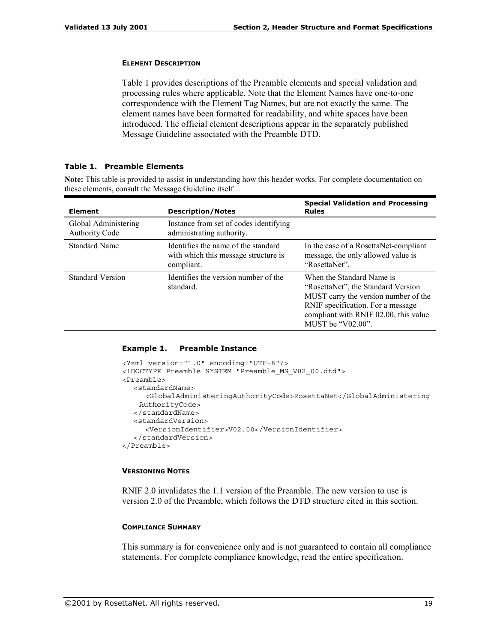### **ELEMENT DESCRIPTION**

Table 1 provides descriptions of the Preamble elements and special validation and processing rules where applicable. Note that the Element Names have one-to-one correspondence with the Element Tag Names, but are not exactly the same. The element names have been formatted for readability, and white spaces have been introduced. The official element descriptions appear in the separately published Message Guideline associated with the Preamble DTD.

### **Table 1. Preamble Elements**

**Note:** This table is provided to assist in understanding how this header works. For complete documentation on these elements, consult the Message Guideline itself.

| <b>Element</b>                                | <b>Description/Notes</b>                                                                  | <b>Special Validation and Processing</b><br><b>Rules</b>                                                                                                                                                       |
|-----------------------------------------------|-------------------------------------------------------------------------------------------|----------------------------------------------------------------------------------------------------------------------------------------------------------------------------------------------------------------|
| Global Administering<br><b>Authority Code</b> | Instance from set of codes identifying<br>administrating authority.                       |                                                                                                                                                                                                                |
| <b>Standard Name</b>                          | Identifies the name of the standard<br>with which this message structure is<br>compliant. | In the case of a RosettaNet-compliant<br>message, the only allowed value is<br>"RosettaNet".                                                                                                                   |
| <b>Standard Version</b>                       | Identifies the version number of the<br>standard.                                         | When the Standard Name is<br>"RosettaNet", the Standard Version<br>MUST carry the version number of the<br>RNIF specification. For a message<br>compliant with RNIF 02.00, this value<br>MUST be " $V02.00$ ". |

### **Example 1. Preamble Instance**

```
<?xml version="1.0" encoding="UTF-8"?>
<!DOCTYPE Preamble SYSTEM "Preamble_MS_V02_00.dtd">
<Preamble>
  <standardName>
     <GlobalAdministeringAuthorityCode>RosettaNet</GlobalAdministering
   AuthorityCode>
  </standardName>
  <standardVersion>
     <VersionIdentifier>V02.00</VersionIdentifier>
  </standardVersion>
</Preamble>
```
### **VERSIONING NOTES**

RNIF 2.0 invalidates the 1.1 version of the Preamble. The new version to use is version 2.0 of the Preamble, which follows the DTD structure cited in this section.

### **COMPLIANCE SUMMARY**

This summary is for convenience only and is not guaranteed to contain all compliance statements. For complete compliance knowledge, read the entire specification.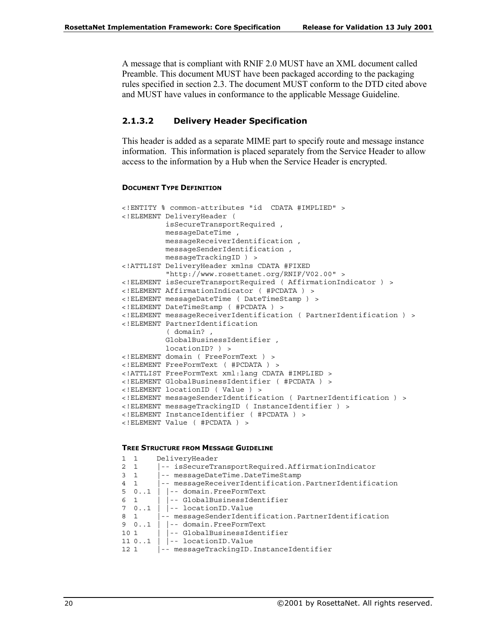A message that is compliant with RNIF 2.0 MUST have an XML document called Preamble. This document MUST have been packaged according to the packaging rules specified in section 2.3. The document MUST conform to the DTD cited above and MUST have values in conformance to the applicable Message Guideline.

### **2.1.3.2 Delivery Header Specification**

This header is added as a separate MIME part to specify route and message instance information. This information is placed separately from the Service Header to allow access to the information by a Hub when the Service Header is encrypted.

### **DOCUMENT TYPE DEFINITION**

```
<!ENTITY % common-attributes "id CDATA #IMPLIED" >
<!ELEMENT DeliveryHeader (
         isSecureTransportRequired ,
         messageDateTime ,
         messageReceiverIdentification ,
         messageSenderIdentification ,
         messageTrackingID ) >
<!ATTLIST DeliveryHeader xmlns CDATA #FIXED
          "http://www.rosettanet.org/RNIF/V02.00" >
<!ELEMENT isSecureTransportRequired ( AffirmationIndicator ) >
<!ELEMENT AffirmationIndicator ( #PCDATA ) >
<!ELEMENT messageDateTime ( DateTimeStamp ) >
<!ELEMENT DateTimeStamp ( #PCDATA ) >
<!ELEMENT messageReceiverIdentification ( PartnerIdentification ) >
<!ELEMENT PartnerIdentification
          ( domain? ,
         GlobalBusinessIdentifier ,
         locationID? ) >
<!ELEMENT domain ( FreeFormText ) >
<!ELEMENT FreeFormText ( #PCDATA ) >
<!ATTLIST FreeFormText xml:lang CDATA #IMPLIED >
<!ELEMENT GlobalBusinessIdentifier ( #PCDATA ) >
<!ELEMENT locationID ( Value ) >
<!ELEMENT messageSenderIdentification ( PartnerIdentification ) >
<!ELEMENT messageTrackingID ( InstanceIdentifier ) >
<!ELEMENT InstanceIdentifier ( #PCDATA ) >
<!ELEMENT Value ( #PCDATA ) >
```
#### **TREE STRUCTURE FROM MESSAGE GUIDELINE**

| $1\quad1$   | DeliveryHeader                                              |
|-------------|-------------------------------------------------------------|
| $2 \quad 1$ | -- isSecureTransportRequired.AffirmationIndicator           |
| $3\quad1$   | -- messageDateTime.DateTimeStamp                            |
| $4\quad1$   | -- messageReceiverIdentification.PartnerIdentification      |
|             | $5 \quad 01$   $\vert -1 \vert$ domain. Free Form Text      |
|             | 6 1     -- GlobalBusinessIdentifier                         |
|             | 7 $01$   $\vert -1$ location ID. Value                      |
|             | 8 1   -- messageSenderIdentification. PartnerIdentification |
|             | 9 $01$   $\vert -1$ domain. Free Form Text                  |
|             | 10 1     -- GlobalBusinessIdentifier                        |
|             | 11 $0 \ldots 1$   $\vert -1$ location ID. Value             |
|             | 12 1   -- messageTrackingID.InstanceIdentifier              |
|             |                                                             |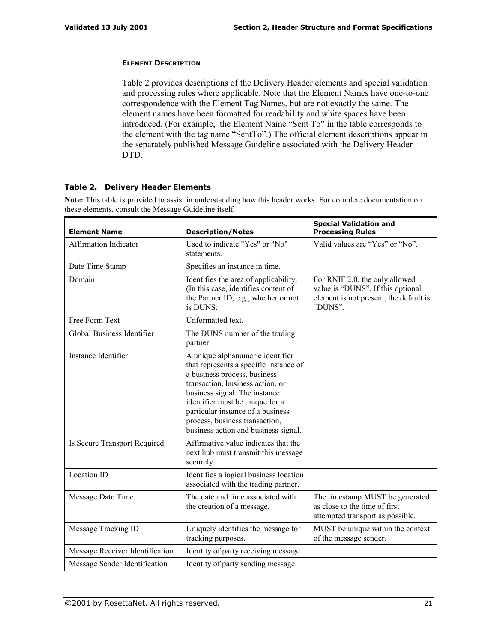### **ELEMENT DESCRIPTION**

Table 2 provides descriptions of the Delivery Header elements and special validation and processing rules where applicable. Note that the Element Names have one-to-one correspondence with the Element Tag Names, but are not exactly the same. The element names have been formatted for readability and white spaces have been introduced. (For example, the Element Name "Sent To" in the table corresponds to the element with the tag name "Sent $To$ ".) The official element descriptions appear in the separately published Message Guideline associated with the Delivery Header DTD.

### **Table 2. Delivery Header Elements**

**Note:** This table is provided to assist in understanding how this header works. For complete documentation on these elements, consult the Message Guideline itself.

| <b>Element Name</b>             | <b>Description/Notes</b>                                                                                                                                                                                                                                                                                                          | <b>Special Validation and</b><br><b>Processing Rules</b>                                                                 |
|---------------------------------|-----------------------------------------------------------------------------------------------------------------------------------------------------------------------------------------------------------------------------------------------------------------------------------------------------------------------------------|--------------------------------------------------------------------------------------------------------------------------|
| <b>Affirmation Indicator</b>    | Used to indicate "Yes" or "No"<br>statements.                                                                                                                                                                                                                                                                                     | Valid values are "Yes" or "No".                                                                                          |
| Date Time Stamp                 | Specifies an instance in time.                                                                                                                                                                                                                                                                                                    |                                                                                                                          |
| Domain                          | Identifies the area of applicability.<br>(In this case, identifies content of<br>the Partner ID, e.g., whether or not<br>is DUNS.                                                                                                                                                                                                 | For RNIF 2.0, the only allowed<br>value is "DUNS". If this optional<br>element is not present, the default is<br>"DUNS". |
| Free Form Text                  | Unformatted text.                                                                                                                                                                                                                                                                                                                 |                                                                                                                          |
| Global Business Identifier      | The DUNS number of the trading<br>partner.                                                                                                                                                                                                                                                                                        |                                                                                                                          |
| Instance Identifier             | A unique alphanumeric identifier<br>that represents a specific instance of<br>a business process, business<br>transaction, business action, or<br>business signal. The instance<br>identifier must be unique for a<br>particular instance of a business<br>process, business transaction,<br>business action and business signal. |                                                                                                                          |
| Is Secure Transport Required    | Affirmative value indicates that the<br>next hub must transmit this message<br>securely.                                                                                                                                                                                                                                          |                                                                                                                          |
| Location ID                     | Identifies a logical business location<br>associated with the trading partner.                                                                                                                                                                                                                                                    |                                                                                                                          |
| Message Date Time               | The date and time associated with<br>the creation of a message.                                                                                                                                                                                                                                                                   | The timestamp MUST be generated<br>as close to the time of first<br>attempted transport as possible.                     |
| Message Tracking ID             | Uniquely identifies the message for<br>tracking purposes.                                                                                                                                                                                                                                                                         | MUST be unique within the context<br>of the message sender.                                                              |
| Message Receiver Identification | Identity of party receiving message.                                                                                                                                                                                                                                                                                              |                                                                                                                          |
| Message Sender Identification   | Identity of party sending message.                                                                                                                                                                                                                                                                                                |                                                                                                                          |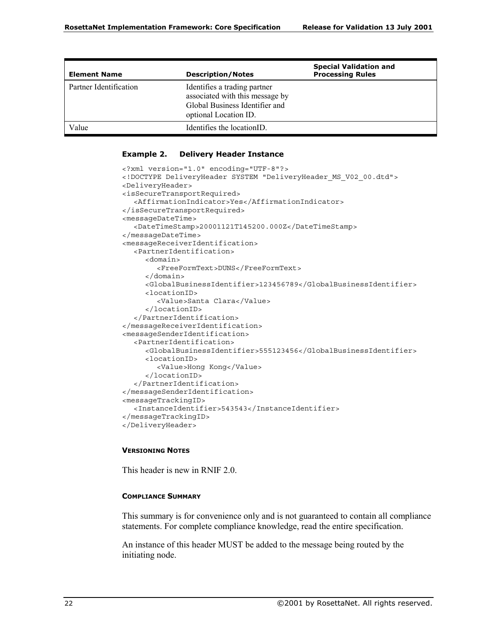| <b>Element Name</b>    | <b>Description/Notes</b>                                                                                                   | <b>Special Validation and</b><br><b>Processing Rules</b> |
|------------------------|----------------------------------------------------------------------------------------------------------------------------|----------------------------------------------------------|
| Partner Identification | Identifies a trading partner<br>associated with this message by<br>Global Business Identifier and<br>optional Location ID. |                                                          |
| Value                  | Identifies the locationID.                                                                                                 |                                                          |

### **Example 2. Delivery Header Instance**

```
<?xml version="1.0" encoding="UTF-8"?>
<!DOCTYPE DeliveryHeader SYSTEM "DeliveryHeader_MS_V02_00.dtd">
<DeliveryHeader>
<isSecureTransportRequired>
  <AffirmationIndicator>Yes</AffirmationIndicator>
</isSecureTransportRequired>
<messageDateTime>
  <DateTimeStamp>20001121T145200.000Z</DateTimeStamp>
</messageDateTime>
<messageReceiverIdentification>
  <PartnerIdentification>
     <domain>
        <FreeFormText>DUNS</FreeFormText>
     </domain>
     <GlobalBusinessIdentifier>123456789</GlobalBusinessIdentifier>
     <locationID>
       <Value>Santa Clara</Value>
     </locationID>
  </PartnerIdentification>
</messageReceiverIdentification>
<messageSenderIdentification>
  <PartnerIdentification>
     <GlobalBusinessIdentifier>555123456</GlobalBusinessIdentifier>
     <locationID>
        <Value>Hong Kong</Value>
     </locationID>
  </PartnerIdentification>
</messageSenderIdentification>
<messageTrackingID>
  <InstanceIdentifier>543543</InstanceIdentifier>
</messageTrackingID>
</DeliveryHeader>
```
# **VERSIONING NOTES**

This header is new in RNIF 2.0.

### **COMPLIANCE SUMMARY**

This summary is for convenience only and is not guaranteed to contain all compliance statements. For complete compliance knowledge, read the entire specification.

An instance of this header MUST be added to the message being routed by the initiating node.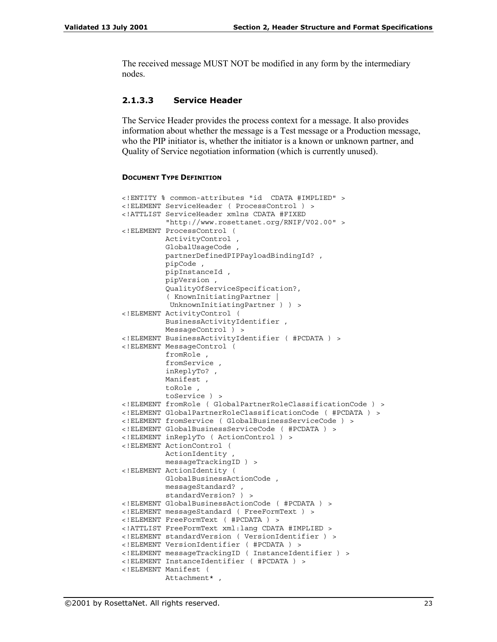The received message MUST NOT be modified in any form by the intermediary nodes.

### **2.1.3.3 Service Header**

The Service Header provides the process context for a message. It also provides information about whether the message is a Test message or a Production message, who the PIP initiator is, whether the initiator is a known or unknown partner, and Quality of Service negotiation information (which is currently unused).

#### **DOCUMENT TYPE DEFINITION**

```
<!ENTITY % common-attributes "id CDATA #IMPLIED" >
<!ELEMENT ServiceHeader ( ProcessControl ) >
<!ATTLIST ServiceHeader xmlns CDATA #FIXED
          "http://www.rosettanet.org/RNIF/V02.00" >
<!ELEMENT ProcessControl (
          ActivityControl ,
          GlobalUsageCode ,
          partnerDefinedPIPPayloadBindingId? ,
          pipCode ,
          pipInstanceId ,
          pipVersion ,
          QualityOfServiceSpecification?,
          ( KnownInitiatingPartner |
           UnknownInitiatingPartner ) ) >
<!ELEMENT ActivityControl (
         BusinessActivityIdentifier ,
          MessageControl ) >
<!ELEMENT BusinessActivityIdentifier ( #PCDATA ) >
<!ELEMENT MessageControl (
          fromRole ,
          fromService
          inReplyTo? ,
          Manifest ,
          toRole ,
          toService ) >
<!ELEMENT fromRole ( GlobalPartnerRoleClassificationCode ) >
<!ELEMENT GlobalPartnerRoleClassificationCode ( #PCDATA ) >
<!ELEMENT fromService ( GlobalBusinessServiceCode ) >
<!ELEMENT GlobalBusinessServiceCode ( #PCDATA ) >
<!ELEMENT inReplyTo ( ActionControl ) >
<!ELEMENT ActionControl (
          ActionIdentity ,
          messageTrackingID ) >
<!ELEMENT ActionIdentity (
         GlobalBusinessActionCode ,
         messageStandard? ,
         standardVersion? ) >
<!ELEMENT GlobalBusinessActionCode ( #PCDATA ) >
<!ELEMENT messageStandard ( FreeFormText ) >
<!ELEMENT FreeFormText ( #PCDATA ) >
<!ATTLIST FreeFormText xml:lang CDATA #IMPLIED >
<!ELEMENT standardVersion ( VersionIdentifier ) >
<!ELEMENT VersionIdentifier ( #PCDATA ) >
<!ELEMENT messageTrackingID ( InstanceIdentifier ) >
<!ELEMENT InstanceIdentifier ( #PCDATA ) >
<!ELEMENT Manifest (
          Attachment* ,
```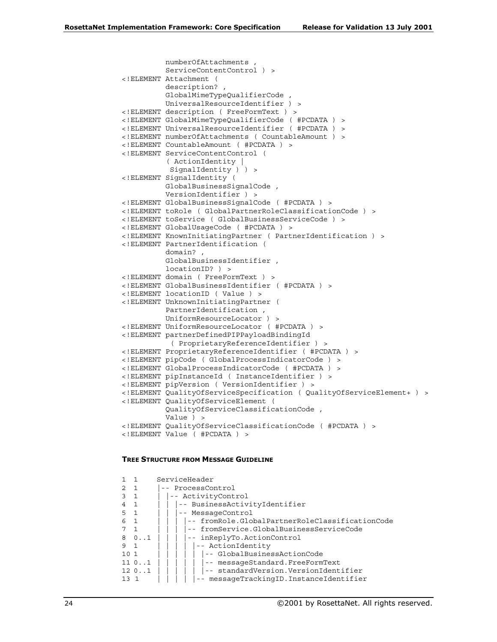```
numberOfAttachments ,
          ServiceContentControl ) >
<!ELEMENT Attachment (
          description? ,
          GlobalMimeTypeQualifierCode ,
         UniversalResourceIdentifier ) >
<!ELEMENT description ( FreeFormText ) >
<!ELEMENT GlobalMimeTypeQualifierCode ( #PCDATA ) >
<!ELEMENT UniversalResourceIdentifier ( #PCDATA ) >
<!ELEMENT numberOfAttachments ( CountableAmount ) >
<!ELEMENT CountableAmount ( #PCDATA ) >
<!ELEMENT ServiceContentControl (
          ( ActionIdentity |
          SignalIdentity ) >
<!ELEMENT SignalIdentity (
         GlobalBusinessSignalCode ,
         VersionIdentifier ) >
<!ELEMENT GlobalBusinessSignalCode ( #PCDATA ) >
<!ELEMENT toRole ( GlobalPartnerRoleClassificationCode ) >
<!ELEMENT toService ( GlobalBusinessServiceCode ) >
<!ELEMENT GlobalUsageCode ( #PCDATA ) >
<!ELEMENT KnownInitiatingPartner ( PartnerIdentification ) >
<!ELEMENT PartnerIdentification (
          domain? ,
          GlobalBusinessIdentifier ,
          locationID? ) >
<!ELEMENT domain ( FreeFormText ) >
<!ELEMENT GlobalBusinessIdentifier ( #PCDATA ) >
<!ELEMENT locationID ( Value ) >
<!ELEMENT UnknownInitiatingPartner (
         PartnerIdentification ,
         UniformResourceLocator ) >
<!ELEMENT UniformResourceLocator ( #PCDATA ) >
<!ELEMENT partnerDefinedPIPPayloadBindingId
           ( ProprietaryReferenceIdentifier ) >
<!ELEMENT ProprietaryReferenceIdentifier ( #PCDATA ) >
<!ELEMENT pipCode ( GlobalProcessIndicatorCode ) >
<!ELEMENT GlobalProcessIndicatorCode ( #PCDATA ) >
<!ELEMENT pipInstanceId ( InstanceIdentifier ) >
<!ELEMENT pipVersion ( VersionIdentifier ) >
<!ELEMENT QualityOfServiceSpecification ( QualityOfServiceElement+ ) >
<!ELEMENT QualityOfServiceElement (
          QualityOfServiceClassificationCode ,
          Value ) >
<!ELEMENT QualityOfServiceClassificationCode ( #PCDATA ) >
<!ELEMENT Value ( #PCDATA ) >
```
#### **TREE STRUCTURE FROM MESSAGE GUIDELINE**

```
1 1 ServiceHeader
2 1 |-- ProcessControl
3 1 | |-- ActivityControl
4 1 | | |-- BusinessActivityIdentifier
5 1 | | |-- MessageControl
6 1 | | | | -- fromRole.GlobalPartnerRoleClassificationCode<br>7 1 | | | | | -- fromService.GlobalBusinessServiceCode
          | | | -- fromService.GlobalBusinessServiceCode
8 0..1 | | | |-- inReplyTo.ActionControl
9 1 | | | | |-- ActionIdentity
10 1 | | | | | |-- GlobalBusinessActionCode
11 0..1 | | | | | |-- messageStandard.FreeFormText
12 0..1 | | | | | |-- standardVersion.VersionIdentifier
13 1 | | | | |-- messageTrackingID.InstanceIdentifier
```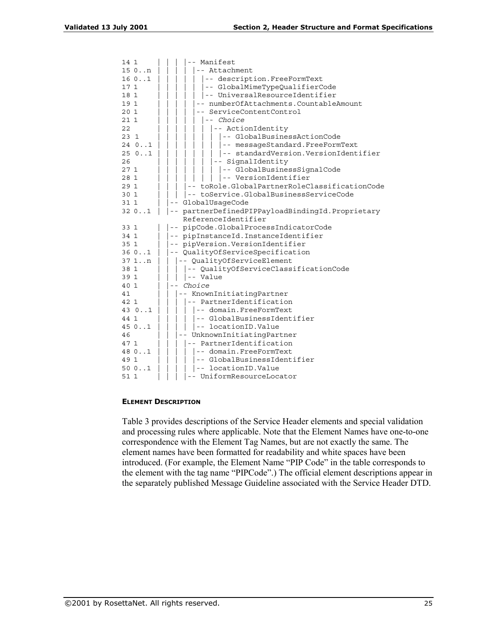| 14 1         | -- Manifest                                                 |
|--------------|-------------------------------------------------------------|
| $150.$ . $n$ | -- Attachment                                               |
| 160.1        | -- description. FreeFormText                                |
| 17 1         | -- GlobalMimeTypeQualifierCode                              |
| 18 1         | -- UniversalResourceIdentifier                              |
| 19 1         | numberOfAttachments.CountableAmount                         |
| 20 1         | ServiceContentControl                                       |
| 21 1         | -- Choice                                                   |
| 22           | -- ActionIdentity                                           |
| 23 1         | -- GlobalBusinessActionCode                                 |
| 240.1        | -- messageStandard.FreeFormText                             |
| 250.1        | -- standardVersion.VersionIdentifier                        |
| 26           | -- SignalIdentity                                           |
| 271          | -- GlobalBusinessSignalCode                                 |
| 28 1         | -- VersionIdentifier                                        |
| 29 1         | toRole.GlobalPartnerRoleClassificationCode                  |
| 30 1         | -- toService.GlobalBusinessServiceCode                      |
| 31 1         | GlobalUsaqeCode                                             |
| 320.1        | partnerDefinedPIPPayloadBindingId.Proprietary<br>$\sim$ $-$ |
|              | ReferenceIdentifier                                         |
| 33 1         | -- pipCode.GlobalProcessIndicatorCode                       |
| 34 1         | pipInstanceId.InstanceIdentifier                            |
| 35 1         | pipVersion.VersionIdentifier<br>$- -$                       |
| 360.1        | QualityOfServiceSpecification<br>$ -$                       |
| $371.$ . $n$ | -- QualityOfServiceElement                                  |
| 38 1         | -- QualityOfServiceClassificationCode                       |
| 39 1         | -- Value                                                    |
| 40 1         | Choice                                                      |
| 41           | -- KnownInitiatingPartner                                   |
| 42 1         | -- PartnerIdentification                                    |
| 43 01        | -- domain.FreeFormText                                      |
| 44 1         | -- GlobalBusinessIdentifier                                 |
| 450.1        | -- locationID.Value                                         |
| 46           | -- UnknownInitiatingPartner                                 |
| 47 1         | -- PartnerIdentification                                    |
| 48 01        | -- domain.FreeFormText                                      |
| 49 1         | -- GlobalBusinessIdentifier                                 |
| 500.1        | -- locationID.Value                                         |
| 51 1         | -- UniformResourceLocator                                   |
|              |                                                             |

### **ELEMENT DESCRIPTION**

Table 3 provides descriptions of the Service Header elements and special validation and processing rules where applicable. Note that the Element Names have one-to-one correspondence with the Element Tag Names, but are not exactly the same. The element names have been formatted for readability and white spaces have been introduced. (For example, the Element Name "PIP Code" in the table corresponds to the element with the tag name "PIPCode".) The official element descriptions appear in the separately published Message Guideline associated with the Service Header DTD.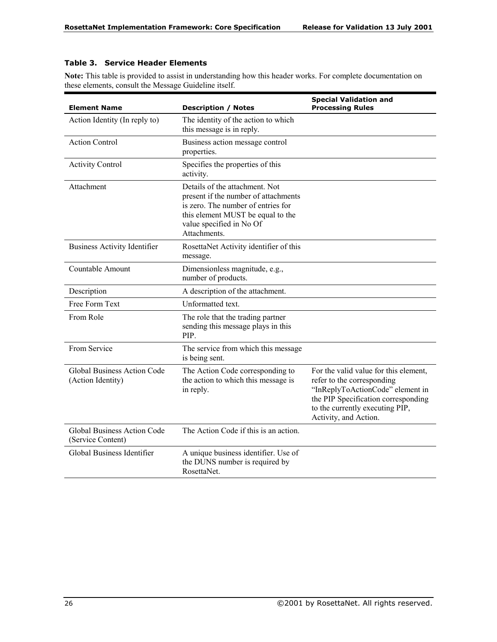# **Table 3. Service Header Elements**

**Note:** This table is provided to assist in understanding how this header works. For complete documentation on these elements, consult the Message Guideline itself.

| <b>Element Name</b>                                     | <b>Description / Notes</b>                                                                                                                                                                    | <b>Special Validation and</b><br><b>Processing Rules</b>                                                                                                                                                   |
|---------------------------------------------------------|-----------------------------------------------------------------------------------------------------------------------------------------------------------------------------------------------|------------------------------------------------------------------------------------------------------------------------------------------------------------------------------------------------------------|
| Action Identity (In reply to)                           | The identity of the action to which<br>this message is in reply.                                                                                                                              |                                                                                                                                                                                                            |
| <b>Action Control</b>                                   | Business action message control<br>properties.                                                                                                                                                |                                                                                                                                                                                                            |
| <b>Activity Control</b>                                 | Specifies the properties of this<br>activity.                                                                                                                                                 |                                                                                                                                                                                                            |
| Attachment                                              | Details of the attachment. Not<br>present if the number of attachments<br>is zero. The number of entries for<br>this element MUST be equal to the<br>value specified in No Of<br>Attachments. |                                                                                                                                                                                                            |
| <b>Business Activity Identifier</b>                     | RosettaNet Activity identifier of this<br>message.                                                                                                                                            |                                                                                                                                                                                                            |
| Countable Amount                                        | Dimensionless magnitude, e.g.,<br>number of products.                                                                                                                                         |                                                                                                                                                                                                            |
| Description                                             | A description of the attachment.                                                                                                                                                              |                                                                                                                                                                                                            |
| Free Form Text                                          | Unformatted text.                                                                                                                                                                             |                                                                                                                                                                                                            |
| From Role                                               | The role that the trading partner<br>sending this message plays in this<br>PIP.                                                                                                               |                                                                                                                                                                                                            |
| From Service                                            | The service from which this message<br>is being sent.                                                                                                                                         |                                                                                                                                                                                                            |
| <b>Global Business Action Code</b><br>(Action Identity) | The Action Code corresponding to<br>the action to which this message is<br>in reply.                                                                                                          | For the valid value for this element,<br>refer to the corresponding<br>"InReplyToActionCode" element in<br>the PIP Specification corresponding<br>to the currently executing PIP,<br>Activity, and Action. |
| <b>Global Business Action Code</b><br>(Service Content) | The Action Code if this is an action.                                                                                                                                                         |                                                                                                                                                                                                            |
| Global Business Identifier                              | A unique business identifier. Use of<br>the DUNS number is required by<br>RosettaNet.                                                                                                         |                                                                                                                                                                                                            |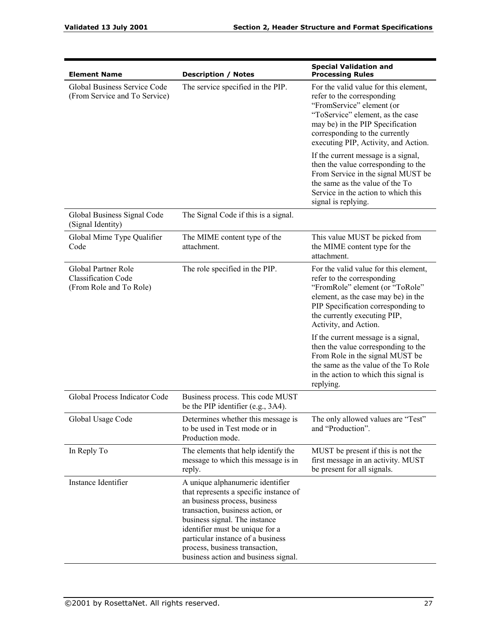| <b>Element Name</b>                                                          | <b>Description / Notes</b>                                                                                                                                                                                                                                                                                                         | <b>Special Validation and</b><br><b>Processing Rules</b>                                                                                                                                                                                           |
|------------------------------------------------------------------------------|------------------------------------------------------------------------------------------------------------------------------------------------------------------------------------------------------------------------------------------------------------------------------------------------------------------------------------|----------------------------------------------------------------------------------------------------------------------------------------------------------------------------------------------------------------------------------------------------|
| Global Business Service Code<br>(From Service and To Service)                | The service specified in the PIP.                                                                                                                                                                                                                                                                                                  | For the valid value for this element,<br>refer to the corresponding<br>"FromService" element (or<br>"ToService" element, as the case<br>may be) in the PIP Specification<br>corresponding to the currently<br>executing PIP, Activity, and Action. |
|                                                                              |                                                                                                                                                                                                                                                                                                                                    | If the current message is a signal,<br>then the value corresponding to the<br>From Service in the signal MUST be<br>the same as the value of the To<br>Service in the action to which this<br>signal is replying.                                  |
| Global Business Signal Code<br>(Signal Identity)                             | The Signal Code if this is a signal.                                                                                                                                                                                                                                                                                               |                                                                                                                                                                                                                                                    |
| Global Mime Type Qualifier<br>Code                                           | The MIME content type of the<br>attachment.                                                                                                                                                                                                                                                                                        | This value MUST be picked from<br>the MIME content type for the<br>attachment.                                                                                                                                                                     |
| Global Partner Role<br><b>Classification Code</b><br>(From Role and To Role) | The role specified in the PIP.                                                                                                                                                                                                                                                                                                     | For the valid value for this element,<br>refer to the corresponding<br>"FromRole" element (or "ToRole"<br>element, as the case may be) in the<br>PIP Specification corresponding to<br>the currently executing PIP,<br>Activity, and Action.       |
|                                                                              |                                                                                                                                                                                                                                                                                                                                    | If the current message is a signal,<br>then the value corresponding to the<br>From Role in the signal MUST be<br>the same as the value of the To Role<br>in the action to which this signal is<br>replying.                                        |
| Global Process Indicator Code                                                | Business process. This code MUST<br>be the PIP identifier (e.g., 3A4).                                                                                                                                                                                                                                                             |                                                                                                                                                                                                                                                    |
| Global Usage Code                                                            | Determines whether this message is<br>to be used in Test mode or in<br>Production mode.                                                                                                                                                                                                                                            | The only allowed values are "Test"<br>and "Production".                                                                                                                                                                                            |
| In Reply To                                                                  | The elements that help identify the<br>message to which this message is in<br>reply.                                                                                                                                                                                                                                               | MUST be present if this is not the<br>first message in an activity. MUST<br>be present for all signals.                                                                                                                                            |
| Instance Identifier                                                          | A unique alphanumeric identifier<br>that represents a specific instance of<br>an business process, business<br>transaction, business action, or<br>business signal. The instance<br>identifier must be unique for a<br>particular instance of a business<br>process, business transaction,<br>business action and business signal. |                                                                                                                                                                                                                                                    |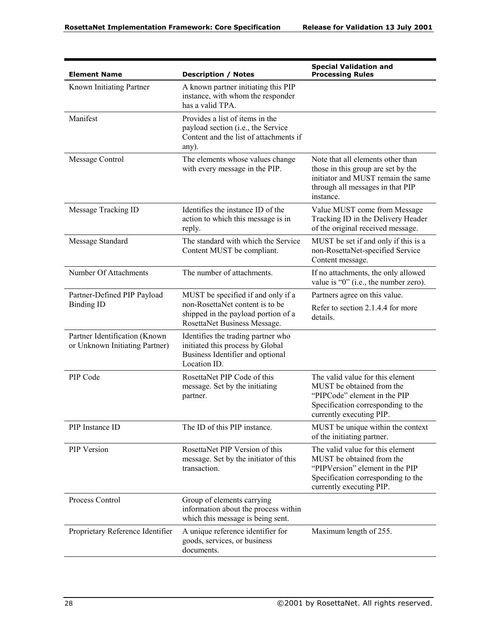| <b>Element Name</b>                                             | <b>Description / Notes</b>                                                                                                                   | <b>Special Validation and</b><br><b>Processing Rules</b>                                                                                                           |
|-----------------------------------------------------------------|----------------------------------------------------------------------------------------------------------------------------------------------|--------------------------------------------------------------------------------------------------------------------------------------------------------------------|
| Known Initiating Partner                                        | A known partner initiating this PIP<br>instance, with whom the responder<br>has a valid TPA.                                                 |                                                                                                                                                                    |
| Manifest                                                        | Provides a list of items in the<br>payload section (i.e., the Service<br>Content and the list of attachments if<br>any).                     |                                                                                                                                                                    |
| Message Control                                                 | The elements whose values change<br>with every message in the PIP.                                                                           | Note that all elements other than<br>those in this group are set by the<br>initiator and MUST remain the same<br>through all messages in that PIP<br>instance.     |
| Message Tracking ID                                             | Identifies the instance ID of the<br>action to which this message is in<br>reply.                                                            | Value MUST come from Message<br>Tracking ID in the Delivery Header<br>of the original received message.                                                            |
| Message Standard                                                | The standard with which the Service<br>Content MUST be compliant.                                                                            | MUST be set if and only if this is a<br>non-RosettaNet-specified Service<br>Content message.                                                                       |
| Number Of Attachments                                           | The number of attachments.                                                                                                                   | If no attachments, the only allowed<br>value is "0" (i.e., the number zero).                                                                                       |
| Partner-Defined PIP Payload<br><b>Binding ID</b>                | MUST be specified if and only if a<br>non-RosettaNet content is to be<br>shipped in the payload portion of a<br>RosettaNet Business Message. | Partners agree on this value.<br>Refer to section 2.1.4.4 for more<br>details.                                                                                     |
| Partner Identification (Known<br>or Unknown Initiating Partner) | Identifies the trading partner who<br>initiated this process by Global<br>Business Identifier and optional<br>Location ID.                   |                                                                                                                                                                    |
| PIP Code                                                        | RosettaNet PIP Code of this<br>message. Set by the initiating<br>partner.                                                                    | The valid value for this element<br>MUST be obtained from the<br>"PIPCode" element in the PIP<br>Specification corresponding to the<br>currently executing PIP.    |
| PIP Instance ID                                                 | The ID of this PIP instance.                                                                                                                 | MUST be unique within the context<br>of the initiating partner.                                                                                                    |
| PIP Version                                                     | RosettaNet PIP Version of this<br>message. Set by the initiator of this<br>transaction.                                                      | The valid value for this element<br>MUST be obtained from the<br>"PIPVersion" element in the PIP<br>Specification corresponding to the<br>currently executing PIP. |
| Process Control                                                 | Group of elements carrying<br>information about the process within<br>which this message is being sent.                                      |                                                                                                                                                                    |
| Proprietary Reference Identifier                                | A unique reference identifier for<br>goods, services, or business<br>documents.                                                              | Maximum length of 255.                                                                                                                                             |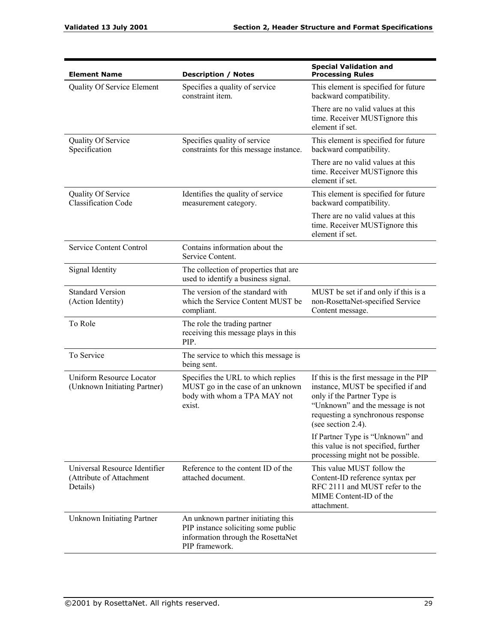| <b>Element Name</b>                                                   | <b>Description / Notes</b>                                                                                                        | <b>Special Validation and</b><br><b>Processing Rules</b>                                                                                                                                                    |
|-----------------------------------------------------------------------|-----------------------------------------------------------------------------------------------------------------------------------|-------------------------------------------------------------------------------------------------------------------------------------------------------------------------------------------------------------|
| <b>Quality Of Service Element</b>                                     | Specifies a quality of service<br>constraint item.                                                                                | This element is specified for future<br>backward compatibility.                                                                                                                                             |
|                                                                       |                                                                                                                                   | There are no valid values at this<br>time. Receiver MUSTignore this<br>element if set.                                                                                                                      |
| Quality Of Service<br>Specification                                   | Specifies quality of service<br>constraints for this message instance.                                                            | This element is specified for future<br>backward compatibility.                                                                                                                                             |
|                                                                       |                                                                                                                                   | There are no valid values at this<br>time. Receiver MUSTignore this<br>element if set.                                                                                                                      |
| Quality Of Service<br><b>Classification Code</b>                      | Identifies the quality of service<br>measurement category.                                                                        | This element is specified for future<br>backward compatibility.                                                                                                                                             |
|                                                                       |                                                                                                                                   | There are no valid values at this<br>time. Receiver MUSTignore this<br>element if set.                                                                                                                      |
| Service Content Control                                               | Contains information about the<br>Service Content.                                                                                |                                                                                                                                                                                                             |
| Signal Identity                                                       | The collection of properties that are<br>used to identify a business signal.                                                      |                                                                                                                                                                                                             |
| <b>Standard Version</b><br>(Action Identity)                          | The version of the standard with<br>which the Service Content MUST be<br>compliant.                                               | MUST be set if and only if this is a<br>non-RosettaNet-specified Service<br>Content message.                                                                                                                |
| To Role                                                               | The role the trading partner<br>receiving this message plays in this<br>PIP.                                                      |                                                                                                                                                                                                             |
| To Service                                                            | The service to which this message is<br>being sent.                                                                               |                                                                                                                                                                                                             |
| <b>Uniform Resource Locator</b><br>(Unknown Initiating Partner)       | Specifies the URL to which replies<br>MUST go in the case of an unknown<br>body with whom a TPA MAY not<br>exist.                 | If this is the first message in the PIP<br>instance, MUST be specified if and<br>only if the Partner Type is<br>"Unknown" and the message is not<br>requesting a synchronous response<br>(see section 2.4). |
|                                                                       |                                                                                                                                   | If Partner Type is "Unknown" and<br>this value is not specified, further<br>processing might not be possible.                                                                                               |
| Universal Resource Identifier<br>(Attribute of Attachment<br>Details) | Reference to the content ID of the<br>attached document.                                                                          | This value MUST follow the<br>Content-ID reference syntax per<br>RFC 2111 and MUST refer to the<br>MIME Content-ID of the<br>attachment.                                                                    |
| <b>Unknown Initiating Partner</b>                                     | An unknown partner initiating this<br>PIP instance soliciting some public<br>information through the RosettaNet<br>PIP framework. |                                                                                                                                                                                                             |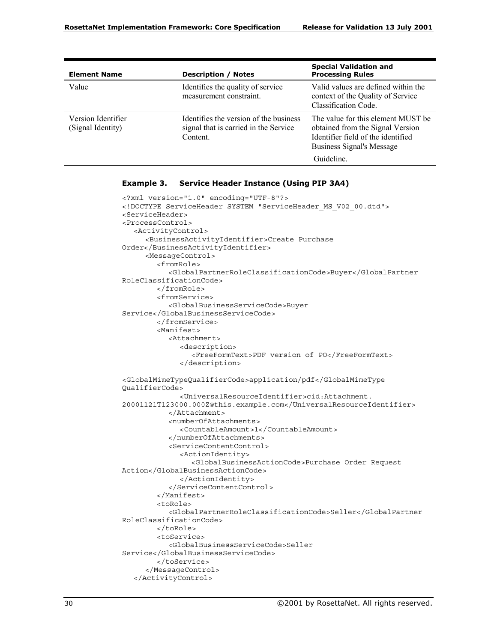| <b>Element Name</b>                     | <b>Description / Notes</b>                                                                  | <b>Special Validation and</b><br><b>Processing Rules</b>                                                                                         |
|-----------------------------------------|---------------------------------------------------------------------------------------------|--------------------------------------------------------------------------------------------------------------------------------------------------|
| Value                                   | Identifies the quality of service<br>measurement constraint.                                | Valid values are defined within the<br>context of the Quality of Service<br>Classification Code.                                                 |
| Version Identifier<br>(Signal Identity) | Identifies the version of the business<br>signal that is carried in the Service<br>Content. | The value for this element MUST be<br>obtained from the Signal Version<br>Identifier field of the identified<br><b>Business Signal's Message</b> |
|                                         |                                                                                             | Guideline.                                                                                                                                       |

#### **Example 3. Service Header Instance (Using PIP 3A4)**

```
<?xml version="1.0" encoding="UTF-8"?>
<!DOCTYPE ServiceHeader SYSTEM "ServiceHeader_MS_V02_00.dtd">
<ServiceHeader>
<ProcessControl>
  <ActivityControl>
     <BusinessActivityIdentifier>Create Purchase
Order</BusinessActivityIdentifier>
     <MessageControl>
        <fromRole>
           <GlobalPartnerRoleClassificationCode>Buyer</GlobalPartner
RoleClassificationCode>
        </fromRole>
        <fromService>
           <GlobalBusinessServiceCode>Buyer
Service</GlobalBusinessServiceCode>
        </fromService>
        <Manifest>
           <Attachment>
             <description>
                <FreeFormText>PDF version of PO</FreeFormText>
             </description>
<GlobalMimeTypeQualifierCode>application/pdf</GlobalMimeType
QualifierCode>
             <UniversalResourceIdentifier>cid:Attachment.
20001121T123000.000Z@this.example.com</UniversalResourceIdentifier>
           </Attachment>
           <numberOfAttachments>
             <CountableAmount>1</CountableAmount>
           </numberOfAttachments>
           <ServiceContentControl>
             <ActionIdentity>
                <GlobalBusinessActionCode>Purchase Order Request
Action</GlobalBusinessActionCode>
             </ActionIdentity>
           </ServiceContentControl>
        </Manifest>
        <toRole>
          <GlobalPartnerRoleClassificationCode>Seller</GlobalPartner
RoleClassificationCode>
        </toRole>
        <toService>
           <GlobalBusinessServiceCode>Seller
Service</GlobalBusinessServiceCode>
        </toService>
     </MessageControl>
  </ActivityControl>
```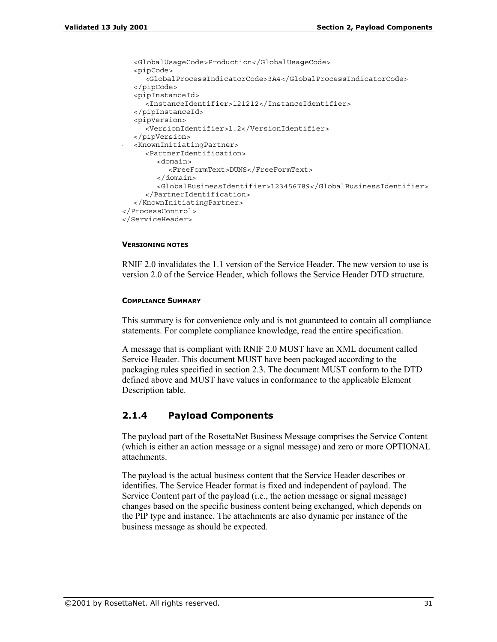```
<GlobalUsageCode>Production</GlobalUsageCode>
  <pipCode>
     <GlobalProcessIndicatorCode>3A4</GlobalProcessIndicatorCode>
  </pipCode>
  <pipInstanceId>
     <InstanceIdentifier>121212</InstanceIdentifier>
  </pipInstanceId>
  <pipVersion>
     <VersionIdentifier>1.2</VersionIdentifier>
  </pipVersion>
  <KnownInitiatingPartner>
     <PartnerIdentification>
        <domain>
          <FreeFormText>DUNS</FreeFormText>
       </domain>
        <GlobalBusinessIdentifier>123456789</GlobalBusinessIdentifier>
     </PartnerIdentification>
  </KnownInitiatingPartner>
</ProcessControl>
</ServiceHeader>
```
### **VERSIONING NOTES**

RNIF 2.0 invalidates the 1.1 version of the Service Header. The new version to use is version 2.0 of the Service Header, which follows the Service Header DTD structure.

### **COMPLIANCE SUMMARY**

This summary is for convenience only and is not guaranteed to contain all compliance statements. For complete compliance knowledge, read the entire specification.

A message that is compliant with RNIF 2.0 MUST have an XML document called Service Header. This document MUST have been packaged according to the packaging rules specified in section 2.3. The document MUST conform to the DTD defined above and MUST have values in conformance to the applicable Element Description table.

# **2.1.4 Payload Components**

The payload part of the RosettaNet Business Message comprises the Service Content (which is either an action message or a signal message) and zero or more OPTIONAL attachments.

The payload is the actual business content that the Service Header describes or identifies. The Service Header format is fixed and independent of payload. The Service Content part of the payload (i.e., the action message or signal message) changes based on the specific business content being exchanged, which depends on the PIP type and instance. The attachments are also dynamic per instance of the business message as should be expected.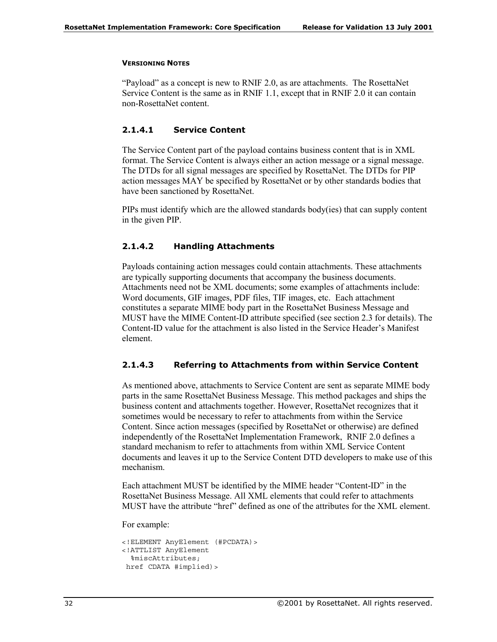### **VERSIONING NOTES**

 $\lq$ Payload" as a concept is new to RNIF 2.0, as are attachments. The RosettaNet Service Content is the same as in RNIF 1.1, except that in RNIF 2.0 it can contain non-RosettaNet content.

# **2.1.4.1 Service Content**

The Service Content part of the payload contains business content that is in XML format. The Service Content is always either an action message or a signal message. The DTDs for all signal messages are specified by RosettaNet. The DTDs for PIP action messages MAY be specified by RosettaNet or by other standards bodies that have been sanctioned by RosettaNet.

PIPs must identify which are the allowed standards body(ies) that can supply content in the given PIP.

### **2.1.4.2 Handling Attachments**

Payloads containing action messages could contain attachments. These attachments are typically supporting documents that accompany the business documents. Attachments need not be XML documents; some examples of attachments include: Word documents, GIF images, PDF files, TIF images, etc. Each attachment constitutes a separate MIME body part in the RosettaNet Business Message and MUST have the MIME Content-ID attribute specified (see section 2.3 for details). The Content-ID value for the attachment is also listed in the Service Header's Manifest element.

# **2.1.4.3 Referring to Attachments from within Service Content**

As mentioned above, attachments to Service Content are sent as separate MIME body parts in the same RosettaNet Business Message. This method packages and ships the business content and attachments together. However, RosettaNet recognizes that it sometimes would be necessary to refer to attachments from within the Service Content. Since action messages (specified by RosettaNet or otherwise) are defined independently of the RosettaNet Implementation Framework, RNIF 2.0 defines a standard mechanism to refer to attachments from within XML Service Content documents and leaves it up to the Service Content DTD developers to make use of this mechanism.

Each attachment MUST be identified by the MIME header "Content-ID" in the RosettaNet Business Message. All XML elements that could refer to attachments MUST have the attribute "href" defined as one of the attributes for the XML element.

For example:

```
<!ELEMENT AnyElement (#PCDATA)>
<!ATTLIST AnyElement
  %miscAttributes;
href CDATA #implied) >
```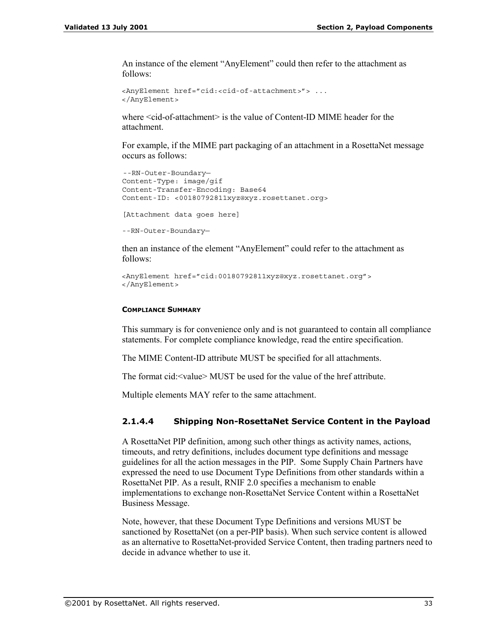An instance of the element "AnyElement" could then refer to the attachment as follows:

```
<AnyElement href="cid:<cid-of-attachment>"> ...
</AnyElement>
```
where <cid-of-attachment> is the value of Content-ID MIME header for the attachment.

For example, if the MIME part packaging of an attachment in a RosettaNet message occurs as follows:

```
--RN-Outer-Boundary—
Content-Type: image/gif
Content-Transfer-Encoding: Base64
Content-ID: <00180792811xyz@xyz.rosettanet.org>
[Attachment data goes here]
--RN-Outer-Boundary—
```
then an instance of the element "AnyElement" could refer to the attachment as follows:

```
<AnyElement href="cid:00180792811xyz@xyz.rosettanet.org">
</AnyElement>
```
### **COMPLIANCE SUMMARY**

This summary is for convenience only and is not guaranteed to contain all compliance statements. For complete compliance knowledge, read the entire specification.

The MIME Content-ID attribute MUST be specified for all attachments.

The format  $cid < value> MUST$  be used for the value of the href attribute.

Multiple elements MAY refer to the same attachment.

### **2.1.4.4 Shipping Non-RosettaNet Service Content in the Payload**

A RosettaNet PIP definition, among such other things as activity names, actions, timeouts, and retry definitions, includes document type definitions and message guidelines for all the action messages in the PIP. Some Supply Chain Partners have expressed the need to use Document Type Definitions from other standards within a RosettaNet PIP. As a result, RNIF 2.0 specifies a mechanism to enable implementations to exchange non-RosettaNet Service Content within a RosettaNet Business Message.

Note, however, that these Document Type Definitions and versions MUST be sanctioned by RosettaNet (on a per-PIP basis). When such service content is allowed as an alternative to RosettaNet-provided Service Content, then trading partners need to decide in advance whether to use it.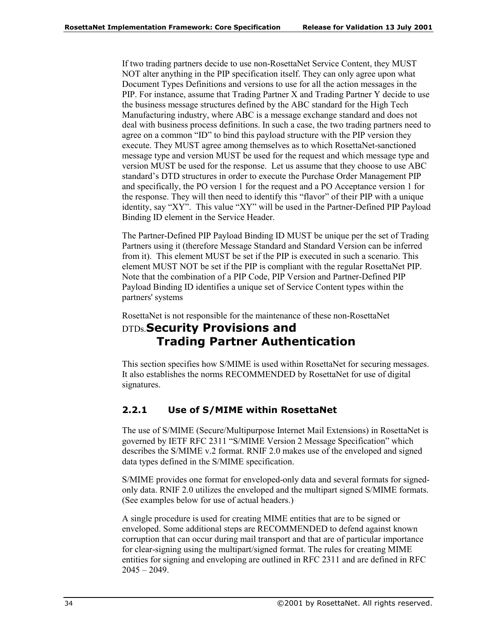If two trading partners decide to use non-RosettaNet Service Content, they MUST NOT alter anything in the PIP specification itself. They can only agree upon what Document Types Definitions and versions to use for all the action messages in the PIP. For instance, assume that Trading Partner X and Trading Partner Y decide to use the business message structures defined by the ABC standard for the High Tech Manufacturing industry, where ABC is a message exchange standard and does not deal with business process definitions. In such a case, the two trading partners need to agree on a common " $ID$ " to bind this payload structure with the PIP version they execute. They MUST agree among themselves as to which RosettaNet-sanctioned message type and version MUST be used for the request and which message type and version MUST be used for the response. Let us assume that they choose to use ABC standard's DTD structures in order to execute the Purchase Order Management PIP and specifically, the PO version 1 for the request and a PO Acceptance version 1 for the response. They will then need to identify this "flavor" of their PIP with a unique identity, say " $XY$ ". This value " $XY$ " will be used in the Partner-Defined PIP Payload Binding ID element in the Service Header.

The Partner-Defined PIP Payload Binding ID MUST be unique per the set of Trading Partners using it (therefore Message Standard and Standard Version can be inferred from it). This element MUST be set if the PIP is executed in such a scenario. This element MUST NOT be set if the PIP is compliant with the regular RosettaNet PIP. Note that the combination of a PIP Code, PIP Version and Partner-Defined PIP Payload Binding ID identifies a unique set of Service Content types within the partners' systems

RosettaNet is not responsible for the maintenance of these non-RosettaNet

# DTDs.**Security Provisions and Trading Partner Authentication**

This section specifies how S/MIME is used within RosettaNet for securing messages. It also establishes the norms RECOMMENDED by RosettaNet for use of digital signatures.

# **2.2.1 Use of S/MIME within RosettaNet**

The use of S/MIME (Secure/Multipurpose Internet Mail Extensions) in RosettaNet is governed by IETF RFC 2311 "S/MIME Version 2 Message Specification" which describes the S/MIME v.2 format. RNIF 2.0 makes use of the enveloped and signed data types defined in the S/MIME specification.

S/MIME provides one format for enveloped-only data and several formats for signedonly data. RNIF 2.0 utilizes the enveloped and the multipart signed S/MIME formats. (See examples below for use of actual headers.)

A single procedure is used for creating MIME entities that are to be signed or enveloped. Some additional steps are RECOMMENDED to defend against known corruption that can occur during mail transport and that are of particular importance for clear-signing using the multipart/signed format. The rules for creating MIME entities for signing and enveloping are outlined in RFC 2311 and are defined in RFC  $2045 - 2049$ .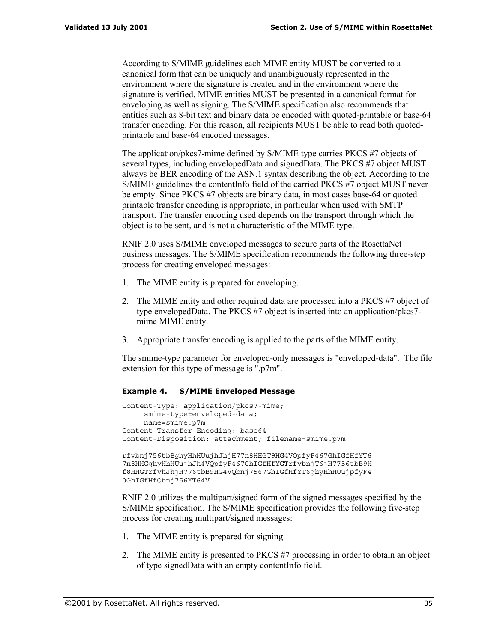According to S/MIME guidelines each MIME entity MUST be converted to a canonical form that can be uniquely and unambiguously represented in the environment where the signature is created and in the environment where the signature is verified. MIME entities MUST be presented in a canonical format for enveloping as well as signing. The S/MIME specification also recommends that entities such as 8-bit text and binary data be encoded with quoted-printable or base-64 transfer encoding. For this reason, all recipients MUST be able to read both quotedprintable and base-64 encoded messages.

The application/pkcs7-mime defined by S/MIME type carries PKCS #7 objects of several types, including envelopedData and signedData. The PKCS #7 object MUST always be BER encoding of the ASN.1 syntax describing the object. According to the S/MIME guidelines the contentInfo field of the carried PKCS #7 object MUST never be empty. Since PKCS #7 objects are binary data, in most cases base-64 or quoted printable transfer encoding is appropriate, in particular when used with SMTP transport. The transfer encoding used depends on the transport through which the object is to be sent, and is not a characteristic of the MIME type.

RNIF 2.0 uses S/MIME enveloped messages to secure parts of the RosettaNet business messages. The S/MIME specification recommends the following three-step process for creating enveloped messages:

- 1. The MIME entity is prepared for enveloping.
- 2. The MIME entity and other required data are processed into a PKCS #7 object of type envelopedData. The PKCS #7 object is inserted into an application/pkcs7 mime MIME entity.
- 3. Appropriate transfer encoding is applied to the parts of the MIME entity.

The smime-type parameter for enveloped-only messages is "enveloped-data". The file extension for this type of message is ".p7m".

### **Example 4. S/MIME Enveloped Message**

```
Content-Type: application/pkcs7-mime;
    smime-type=enveloped-data;
    name=smime.p7m
Content-Transfer-Encoding: base64
Content-Disposition: attachment; filename=smime.p7m
rfvbnj756tbBghyHhHUujhJhjH77n8HHGT9HG4VQpfyF467GhIGfHfYT6
7n8HHGghyHhHUujhJh4VQpfyF467GhIGfHfYGTrfvbnjT6jH7756tbB9H
f8HHGTrfvhJhjH776tbB9HG4VQbnj7567GhIGfHfYT6ghyHhHUujpfyF4
0GhIGfHfQbnj756YT64V
```
RNIF 2.0 utilizes the multipart/signed form of the signed messages specified by the S/MIME specification. The S/MIME specification provides the following five-step process for creating multipart/signed messages:

- 1. The MIME entity is prepared for signing.
- 2. The MIME entity is presented to PKCS #7 processing in order to obtain an object of type signedData with an empty contentInfo field.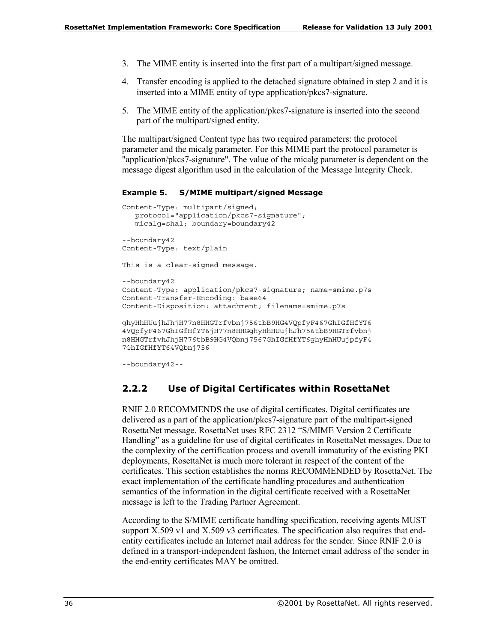- 3. The MIME entity is inserted into the first part of a multipart/signed message.
- 4. Transfer encoding is applied to the detached signature obtained in step 2 and it is inserted into a MIME entity of type application/pkcs7-signature.
- 5. The MIME entity of the application/pkcs7-signature is inserted into the second part of the multipart/signed entity.

The multipart/signed Content type has two required parameters: the protocol parameter and the micalg parameter. For this MIME part the protocol parameter is "application/pkcs7-signature". The value of the micalg parameter is dependent on the message digest algorithm used in the calculation of the Message Integrity Check.

#### **Example 5. S/MIME multipart/signed Message**

```
Content-Type: multipart/signed;
  protocol="application/pkcs7-signature";
  micalg=sha1; boundary=boundary42
--boundary42
Content-Type: text/plain
This is a clear-signed message.
--boundary42
Content-Type: application/pkcs7-signature; name=smime.p7s
Content-Transfer-Encoding: base64
Content-Disposition: attachment; filename=smime.p7s
ghyHhHUujhJhjH77n8HHGTrfvbnj756tbB9HG4VQpfyF467GhIGfHfYT6
4VQpfyF467GhIGfHfYT6jH77n8HHGghyHhHUujhJh756tbB9HGTrfvbnj
n8HHGTrfvhJhjH776tbB9HG4VQbnj7567GhIGfHfYT6ghyHhHUujpfyF4
7GhIGfHfYT64VQbnj756
```

```
--boundary42--
```
# **2.2.2 Use of Digital Certificates within RosettaNet**

RNIF 2.0 RECOMMENDS the use of digital certificates. Digital certificates are delivered as a part of the application/pkcs7-signature part of the multipart-signed RosettaNet message. RosettaNet uses RFC 2312 "S/MIME Version 2 Certificate Handling" as a guideline for use of digital certificates in RosettaNet messages. Due to the complexity of the certification process and overall immaturity of the existing PKI deployments, RosettaNet is much more tolerant in respect of the content of the certificates. This section establishes the norms RECOMMENDED by RosettaNet. The exact implementation of the certificate handling procedures and authentication semantics of the information in the digital certificate received with a RosettaNet message is left to the Trading Partner Agreement.

According to the S/MIME certificate handling specification, receiving agents MUST support X.509 v1 and X.509 v3 certificates. The specification also requires that endentity certificates include an Internet mail address for the sender. Since RNIF 2.0 is defined in a transport-independent fashion, the Internet email address of the sender in the end-entity certificates MAY be omitted.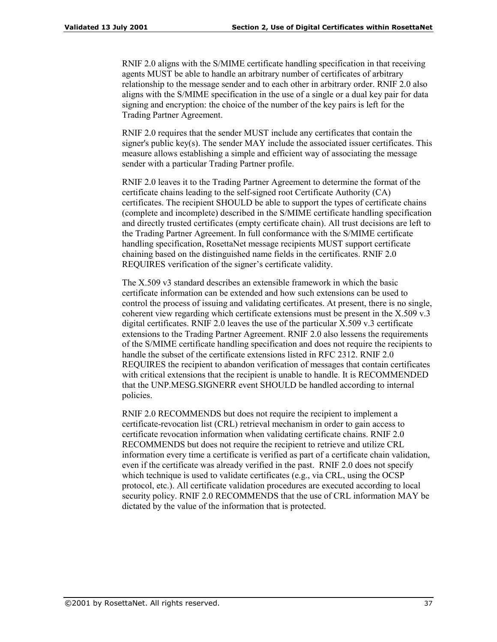RNIF 2.0 aligns with the S/MIME certificate handling specification in that receiving agents MUST be able to handle an arbitrary number of certificates of arbitrary relationship to the message sender and to each other in arbitrary order. RNIF 2.0 also aligns with the S/MIME specification in the use of a single or a dual key pair for data signing and encryption: the choice of the number of the key pairs is left for the Trading Partner Agreement.

RNIF 2.0 requires that the sender MUST include any certificates that contain the signer's public key(s). The sender MAY include the associated issuer certificates. This measure allows establishing a simple and efficient way of associating the message sender with a particular Trading Partner profile.

RNIF 2.0 leaves it to the Trading Partner Agreement to determine the format of the certificate chains leading to the self-signed root Certificate Authority (CA) certificates. The recipient SHOULD be able to support the types of certificate chains (complete and incomplete) described in the S/MIME certificate handling specification and directly trusted certificates (empty certificate chain). All trust decisions are left to the Trading Partner Agreement. In full conformance with the S/MIME certificate handling specification, RosettaNet message recipients MUST support certificate chaining based on the distinguished name fields in the certificates. RNIF 2.0 REQUIRES verification of the signer's certificate validity.

The X.509 v3 standard describes an extensible framework in which the basic certificate information can be extended and how such extensions can be used to control the process of issuing and validating certificates. At present, there is no single, coherent view regarding which certificate extensions must be present in the X.509 v.3 digital certificates. RNIF 2.0 leaves the use of the particular X.509 v.3 certificate extensions to the Trading Partner Agreement. RNIF 2.0 also lessens the requirements of the S/MIME certificate handling specification and does not require the recipients to handle the subset of the certificate extensions listed in RFC 2312. RNIF 2.0 REQUIRES the recipient to abandon verification of messages that contain certificates with critical extensions that the recipient is unable to handle. It is RECOMMENDED that the UNP.MESG.SIGNERR event SHOULD be handled according to internal policies.

RNIF 2.0 RECOMMENDS but does not require the recipient to implement a certificate-revocation list (CRL) retrieval mechanism in order to gain access to certificate revocation information when validating certificate chains. RNIF 2.0 RECOMMENDS but does not require the recipient to retrieve and utilize CRL information every time a certificate is verified as part of a certificate chain validation, even if the certificate was already verified in the past. RNIF 2.0 does not specify which technique is used to validate certificates (e.g., via CRL, using the OCSP protocol, etc.). All certificate validation procedures are executed according to local security policy. RNIF 2.0 RECOMMENDS that the use of CRL information MAY be dictated by the value of the information that is protected.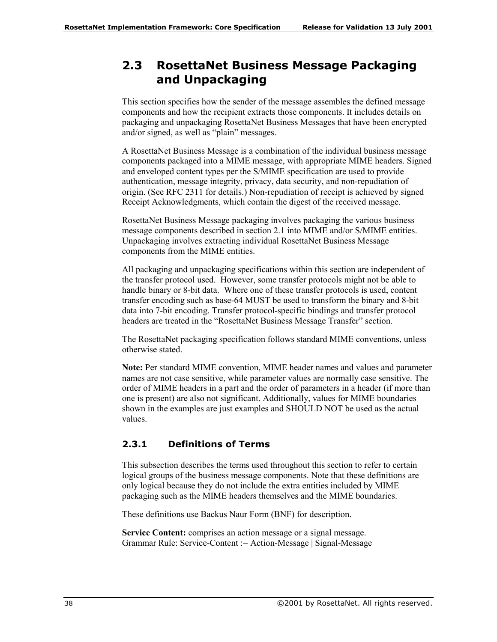# **2.3 RosettaNet Business Message Packaging and Unpackaging**

This section specifies how the sender of the message assembles the defined message components and how the recipient extracts those components. It includes details on packaging and unpackaging RosettaNet Business Messages that have been encrypted and/or signed, as well as "plain" messages.

A RosettaNet Business Message is a combination of the individual business message components packaged into a MIME message, with appropriate MIME headers. Signed and enveloped content types per the S/MIME specification are used to provide authentication, message integrity, privacy, data security, and non-repudiation of origin. (See RFC 2311 for details.) Non-repudiation of receipt is achieved by signed Receipt Acknowledgments, which contain the digest of the received message.

RosettaNet Business Message packaging involves packaging the various business message components described in section 2.1 into MIME and/or S/MIME entities. Unpackaging involves extracting individual RosettaNet Business Message components from the MIME entities.

All packaging and unpackaging specifications within this section are independent of the transfer protocol used. However, some transfer protocols might not be able to handle binary or 8-bit data. Where one of these transfer protocols is used, content transfer encoding such as base-64 MUST be used to transform the binary and 8-bit data into 7-bit encoding. Transfer protocol-specific bindings and transfer protocol headers are treated in the "RosettaNet Business Message Transfer" section.

The RosettaNet packaging specification follows standard MIME conventions, unless otherwise stated.

**Note:** Per standard MIME convention, MIME header names and values and parameter names are not case sensitive, while parameter values are normally case sensitive. The order of MIME headers in a part and the order of parameters in a header (if more than one is present) are also not significant. Additionally, values for MIME boundaries shown in the examples are just examples and SHOULD NOT be used as the actual values.

# **2.3.1 Definitions of Terms**

This subsection describes the terms used throughout this section to refer to certain logical groups of the business message components. Note that these definitions are only logical because they do not include the extra entities included by MIME packaging such as the MIME headers themselves and the MIME boundaries.

These definitions use Backus Naur Form (BNF) for description.

**Service Content:** comprises an action message or a signal message. Grammar Rule: Service-Content := Action-Message | Signal-Message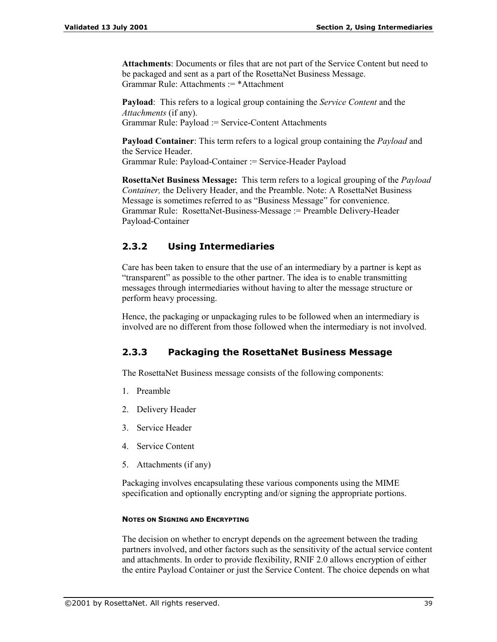**Attachments**: Documents or files that are not part of the Service Content but need to be packaged and sent as a part of the RosettaNet Business Message. Grammar Rule: Attachments := \*Attachment

**Payload**: This refers to a logical group containing the *Service Content* and the *Attachments* (if any). Grammar Rule: Payload := Service-Content Attachments

**Payload Container**: This term refers to a logical group containing the *Payload* and the Service Header. Grammar Rule: Payload-Container := Service-Header Payload

**RosettaNet Business Message:** This term refers to a logical grouping of the *Payload Container*, the Delivery Header, and the Preamble. Note: A RosettaNet Business Message is sometimes referred to as "Business Message" for convenience. Grammar Rule: RosettaNet-Business-Message := Preamble Delivery-Header Payload-Container

# **2.3.2 Using Intermediaries**

Care has been taken to ensure that the use of an intermediary by a partner is kept as "transparent" as possible to the other partner. The idea is to enable transmitting messages through intermediaries without having to alter the message structure or perform heavy processing.

Hence, the packaging or unpackaging rules to be followed when an intermediary is involved are no different from those followed when the intermediary is not involved.

# **2.3.3 Packaging the RosettaNet Business Message**

The RosettaNet Business message consists of the following components:

- 1. Preamble
- 2. Delivery Header
- 3. Service Header
- 4. Service Content
- 5. Attachments (if any)

Packaging involves encapsulating these various components using the MIME specification and optionally encrypting and/or signing the appropriate portions.

# **NOTES ON SIGNING AND ENCRYPTING**

The decision on whether to encrypt depends on the agreement between the trading partners involved, and other factors such as the sensitivity of the actual service content and attachments. In order to provide flexibility, RNIF 2.0 allows encryption of either the entire Payload Container or just the Service Content. The choice depends on what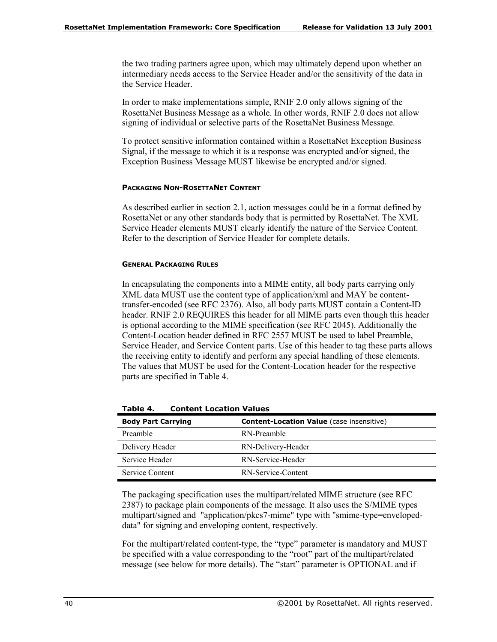the two trading partners agree upon, which may ultimately depend upon whether an intermediary needs access to the Service Header and/or the sensitivity of the data in the Service Header.

In order to make implementations simple, RNIF 2.0 only allows signing of the RosettaNet Business Message as a whole. In other words, RNIF 2.0 does not allow signing of individual or selective parts of the RosettaNet Business Message.

To protect sensitive information contained within a RosettaNet Exception Business Signal, if the message to which it is a response was encrypted and/or signed, the Exception Business Message MUST likewise be encrypted and/or signed.

### **PACKAGING NON-ROSETTANET CONTENT**

As described earlier in section 2.1, action messages could be in a format defined by RosettaNet or any other standards body that is permitted by RosettaNet. The XML Service Header elements MUST clearly identify the nature of the Service Content. Refer to the description of Service Header for complete details.

### **GENERAL PACKAGING RULES**

In encapsulating the components into a MIME entity, all body parts carrying only XML data MUST use the content type of application/xml and MAY be contenttransfer-encoded (see RFC 2376). Also, all body parts MUST contain a Content-ID header. RNIF 2.0 REQUIRES this header for all MIME parts even though this header is optional according to the MIME specification (see RFC 2045). Additionally the Content-Location header defined in RFC 2557 MUST be used to label Preamble, Service Header, and Service Content parts. Use of this header to tag these parts allows the receiving entity to identify and perform any special handling of these elements. The values that MUST be used for the Content-Location header for the respective parts are specified in Table 4.

| <b>Body Part Carrying</b> | <b>Content-Location Value</b> (case insensitive) |
|---------------------------|--------------------------------------------------|
| Preamble                  | RN-Preamble                                      |
| Delivery Header           | RN-Delivery-Header                               |
| Service Header            | RN-Service-Header                                |
| Service Content           | RN-Service-Content                               |

**Table 4. Content Location Values** 

The packaging specification uses the multipart/related MIME structure (see RFC 2387) to package plain components of the message. It also uses the S/MIME types multipart/signed and "application/pkcs7-mime" type with "smime-type=envelopeddata" for signing and enveloping content, respectively.

For the multipart/related content-type, the "type" parameter is mandatory and MUST be specified with a value corresponding to the "root" part of the multipart/related message (see below for more details). The "start" parameter is OPTIONAL and if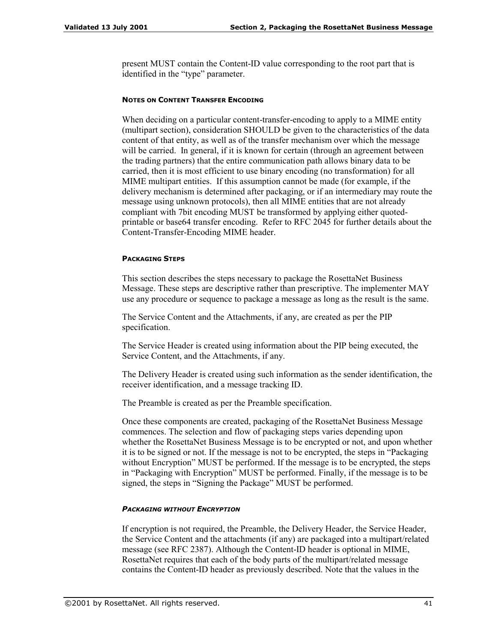present MUST contain the Content-ID value corresponding to the root part that is identified in the "type" parameter.

### **NOTES ON CONTENT TRANSFER ENCODING**

When deciding on a particular content-transfer-encoding to apply to a MIME entity (multipart section), consideration SHOULD be given to the characteristics of the data content of that entity, as well as of the transfer mechanism over which the message will be carried. In general, if it is known for certain (through an agreement between the trading partners) that the entire communication path allows binary data to be carried, then it is most efficient to use binary encoding (no transformation) for all MIME multipart entities. If this assumption cannot be made (for example, if the delivery mechanism is determined after packaging, or if an intermediary may route the message using unknown protocols), then all MIME entities that are not already compliant with 7bit encoding MUST be transformed by applying either quotedprintable or base64 transfer encoding. Refer to RFC 2045 for further details about the Content-Transfer-Encoding MIME header.

### **PACKAGING STEPS**

This section describes the steps necessary to package the RosettaNet Business Message. These steps are descriptive rather than prescriptive. The implementer MAY use any procedure or sequence to package a message as long as the result is the same.

The Service Content and the Attachments, if any, are created as per the PIP specification.

The Service Header is created using information about the PIP being executed, the Service Content, and the Attachments, if any.

The Delivery Header is created using such information as the sender identification, the receiver identification, and a message tracking ID.

The Preamble is created as per the Preamble specification.

Once these components are created, packaging of the RosettaNet Business Message commences. The selection and flow of packaging steps varies depending upon whether the RosettaNet Business Message is to be encrypted or not, and upon whether it is to be signed or not. If the message is not to be encrypted, the steps in "Packaging" without Encryption<sup>n</sup> MUST be performed. If the message is to be encrypted, the steps in "Packaging with Encryption" MUST be performed. Finally, if the message is to be signed, the steps in "Signing the Package" MUST be performed.

### *PACKAGING WITHOUT ENCRYPTION*

If encryption is not required, the Preamble, the Delivery Header, the Service Header, the Service Content and the attachments (if any) are packaged into a multipart/related message (see RFC 2387). Although the Content-ID header is optional in MIME, RosettaNet requires that each of the body parts of the multipart/related message contains the Content-ID header as previously described. Note that the values in the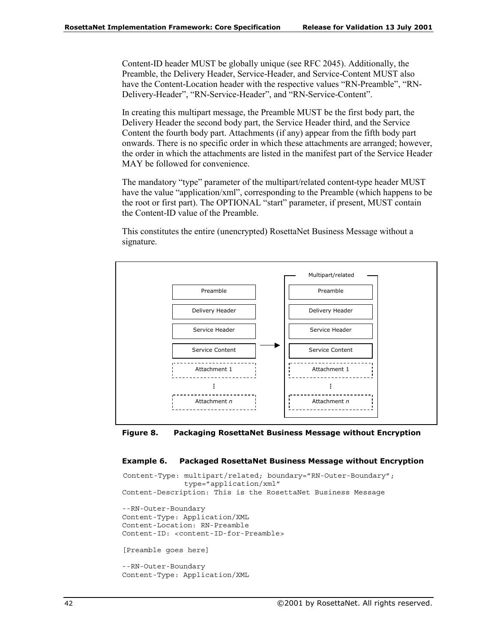Content-ID header MUST be globally unique (see RFC 2045). Additionally, the Preamble, the Delivery Header, Service-Header, and Service-Content MUST also have the Content-Location header with the respective values "RN-Preamble", "RN-Delivery-Header", "RN-Service-Header", and "RN-Service-Content".

In creating this multipart message, the Preamble MUST be the first body part, the Delivery Header the second body part, the Service Header third, and the Service Content the fourth body part. Attachments (if any) appear from the fifth body part onwards. There is no specific order in which these attachments are arranged; however, the order in which the attachments are listed in the manifest part of the Service Header MAY be followed for convenience.

The mandatory "type" parameter of the multipart/related content-type header MUST have the value "application/xml", corresponding to the Preamble (which happens to be the root or first part). The OPTIONAL "start" parameter, if present, MUST contain the Content-ID value of the Preamble.

This constitutes the entire (unencrypted) RosettaNet Business Message without a signature.





### **Example 6. Packaged RosettaNet Business Message without Encryption**

```
Content-Type: multipart/related; boundary="RN-Outer-Boundary";
              type="application/xml"
Content-Description: This is the RosettaNet Business Message
--RN-Outer-Boundary
Content-Type: Application/XML
Content-Location: RN-Preamble
Content-ID: <content-ID-for-Preamble>
[Preamble goes here]
--RN-Outer-Boundary
Content-Type: Application/XML
```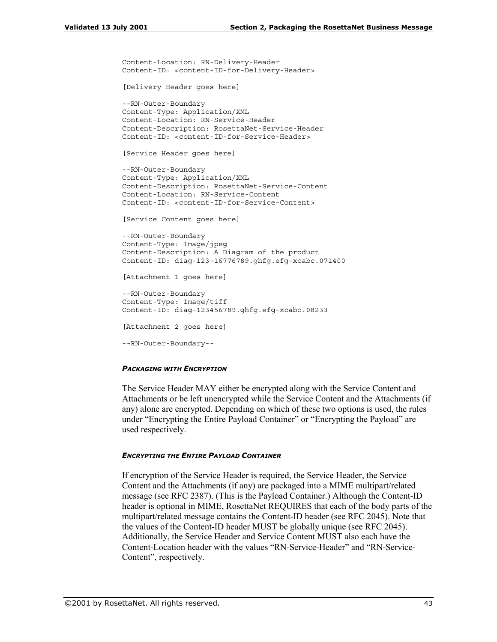```
Content-Location: RN-Delivery-Header
Content-ID: <content-ID-for-Delivery-Header>
[Delivery Header goes here]
--RN-Outer-Boundary
Content-Type: Application/XML
Content-Location: RN-Service-Header
Content-Description: RosettaNet-Service-Header
Content-ID: <content-ID-for-Service-Header>
[Service Header goes here]
--RN-Outer-Boundary
Content-Type: Application/XML
Content-Description: RosettaNet-Service-Content
Content-Location: RN-Service-Content
Content-ID: <content-ID-for-Service-Content>
[Service Content goes here]
--RN-Outer-Boundary
Content-Type: Image/jpeg
Content-Description: A Diagram of the product
Content-ID: diag-123-16776789.ghfg.efg-xcabc.071400
[Attachment 1 goes here]
--RN-Outer-Boundary
Content-Type: Image/tiff
Content-ID: diag-123456789.ghfg.efg-xcabc.08233
[Attachment 2 goes here]
--RN-Outer-Boundary--
```
### *PACKAGING WITH ENCRYPTION*

The Service Header MAY either be encrypted along with the Service Content and Attachments or be left unencrypted while the Service Content and the Attachments (if any) alone are encrypted. Depending on which of these two options is used, the rules under "Encrypting the Entire Payload Container" or "Encrypting the Payload" are used respectively.

### *ENCRYPTING THE ENTIRE PAYLOAD CONTAINER*

If encryption of the Service Header is required, the Service Header, the Service Content and the Attachments (if any) are packaged into a MIME multipart/related message (see RFC 2387). (This is the Payload Container.) Although the Content-ID header is optional in MIME, RosettaNet REQUIRES that each of the body parts of the multipart/related message contains the Content-ID header (see RFC 2045). Note that the values of the Content-ID header MUST be globally unique (see RFC 2045). Additionally, the Service Header and Service Content MUST also each have the Content-Location header with the values "RN-Service-Header" and "RN-Service-Content", respectively.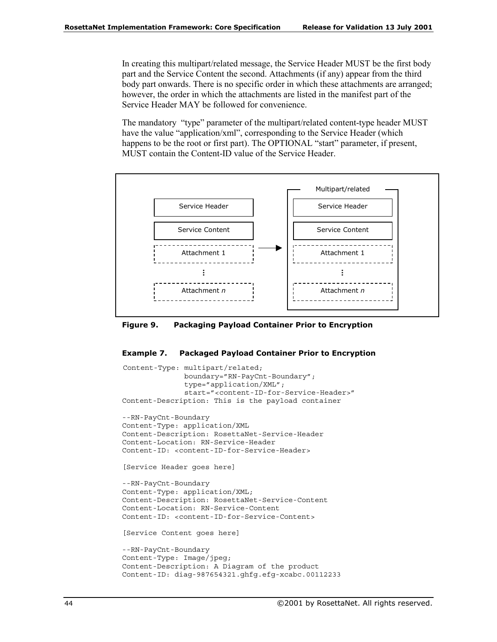In creating this multipart/related message, the Service Header MUST be the first body part and the Service Content the second. Attachments (if any) appear from the third body part onwards. There is no specific order in which these attachments are arranged; however, the order in which the attachments are listed in the manifest part of the Service Header MAY be followed for convenience.

The mandatory "type" parameter of the multipart/related content-type header MUST have the value "application/xml", corresponding to the Service Header (which happens to be the root or first part). The OPTIONAL "start" parameter, if present, MUST contain the Content-ID value of the Service Header.



**Figure 9. Packaging Payload Container Prior to Encryption** 

### **Example 7. Packaged Payload Container Prior to Encryption**

```
Content-Type: multipart/related;
              boundary="RN-PayCnt-Boundary";
              type="application/XML";
              start="<content-ID-for-Service-Header>"
Content-Description: This is the payload container
--RN-PayCnt-Boundary
Content-Type: application/XML
Content-Description: RosettaNet-Service-Header
Content-Location: RN-Service-Header
Content-ID: <content-ID-for-Service-Header>
[Service Header goes here]
--RN-PayCnt-Boundary
Content-Type: application/XML;
Content-Description: RosettaNet-Service-Content
Content-Location: RN-Service-Content
Content-ID: <content-ID-for-Service-Content>
[Service Content goes here]
--RN-PayCnt-Boundary
Content-Type: Image/jpeg;
Content-Description: A Diagram of the product
```
Content-ID: diag-987654321.ghfg.efg-xcabc.00112233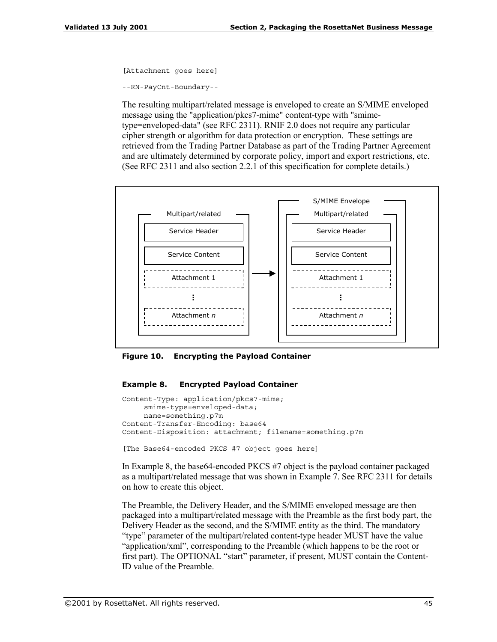```
[Attachment goes here]
```

```
--RN-PayCnt-Boundary--
```
The resulting multipart/related message is enveloped to create an S/MIME enveloped message using the "application/pkcs7-mime" content-type with "smimetype=enveloped-data" (see RFC 2311). RNIF 2.0 does not require any particular cipher strength or algorithm for data protection or encryption. These settings are retrieved from the Trading Partner Database as part of the Trading Partner Agreement and are ultimately determined by corporate policy, import and export restrictions, etc. (See RFC 2311 and also section 2.2.1 of this specification for complete details.)



**Figure 10. Encrypting the Payload Container** 

### **Example 8. Encrypted Payload Container**

```
Content-Type: application/pkcs7-mime;
     smime-type=enveloped-data;
    name=something.p7m
Content-Transfer-Encoding: base64
Content-Disposition: attachment; filename=something.p7m
```

```
[The Base64-encoded PKCS #7 object goes here]
```
In Example 8, the base64-encoded PKCS #7 object is the payload container packaged as a multipart/related message that was shown in Example 7. See RFC 2311 for details on how to create this object.

The Preamble, the Delivery Header, and the S/MIME enveloped message are then packaged into a multipart/related message with the Preamble as the first body part, the Delivery Header as the second, and the S/MIME entity as the third. The mandatory "type" parameter of the multipart/related content-type header MUST have the value "application/ $x$ ml", corresponding to the Preamble (which happens to be the root or first part). The OPTIONAL "start" parameter, if present, MUST contain the Content-ID value of the Preamble.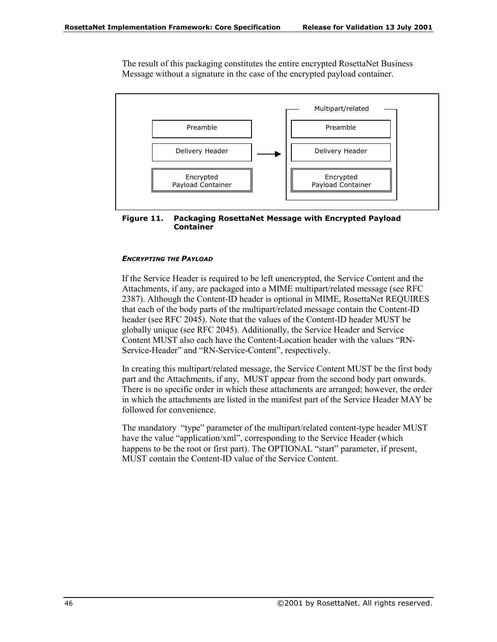The result of this packaging constitutes the entire encrypted RosettaNet Business Message without a signature in the case of the encrypted payload container.



**Figure 11. Packaging RosettaNet Message with Encrypted Payload Container** 

### *ENCRYPTING THE PAYLOAD*

If the Service Header is required to be left unencrypted, the Service Content and the Attachments, if any, are packaged into a MIME multipart/related message (see RFC 2387). Although the Content-ID header is optional in MIME, RosettaNet REQUIRES that each of the body parts of the multipart/related message contain the Content-ID header (see RFC 2045). Note that the values of the Content-ID header MUST be globally unique (see RFC 2045). Additionally, the Service Header and Service Content MUST also each have the Content-Location header with the values "RN-Service-Header" and "RN-Service-Content", respectively.

In creating this multipart/related message, the Service Content MUST be the first body part and the Attachments, if any, MUST appear from the second body part onwards. There is no specific order in which these attachments are arranged; however, the order in which the attachments are listed in the manifest part of the Service Header MAY be followed for convenience.

The mandatory "type" parameter of the multipart/related content-type header MUST have the value "application/xml", corresponding to the Service Header (which happens to be the root or first part). The OPTIONAL "start" parameter, if present, MUST contain the Content-ID value of the Service Content.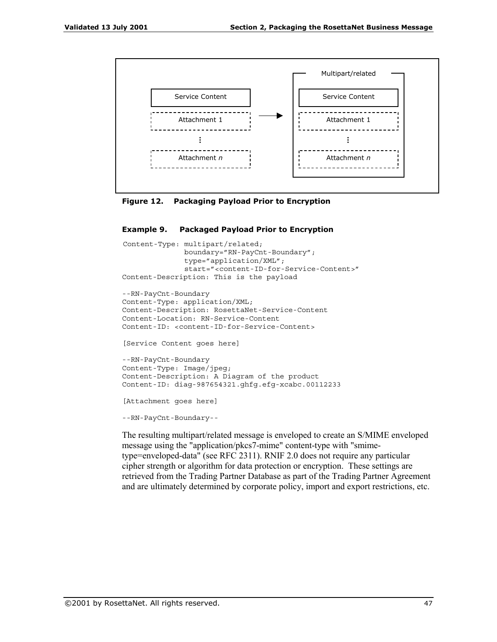

**Figure 12. Packaging Payload Prior to Encryption** 

#### **Example 9. Packaged Payload Prior to Encryption**

```
Content-Type: multipart/related;
              boundary="RN-PayCnt-Boundary";
              type="application/XML";
              start="<content-ID-for-Service-Content>"
Content-Description: This is the payload
--RN-PayCnt-Boundary
Content-Type: application/XML;
Content-Description: RosettaNet-Service-Content
Content-Location: RN-Service-Content
Content-ID: <content-ID-for-Service-Content>
[Service Content goes here]
--RN-PayCnt-Boundary
Content-Type: Image/jpeg;
Content-Description: A Diagram of the product
Content-ID: diag-987654321.ghfg.efg-xcabc.00112233
[Attachment goes here]
--RN-PayCnt-Boundary--
```
The resulting multipart/related message is enveloped to create an S/MIME enveloped message using the "application/pkcs7-mime" content-type with "smimetype=enveloped-data" (see RFC 2311). RNIF 2.0 does not require any particular cipher strength or algorithm for data protection or encryption. These settings are retrieved from the Trading Partner Database as part of the Trading Partner Agreement and are ultimately determined by corporate policy, import and export restrictions, etc.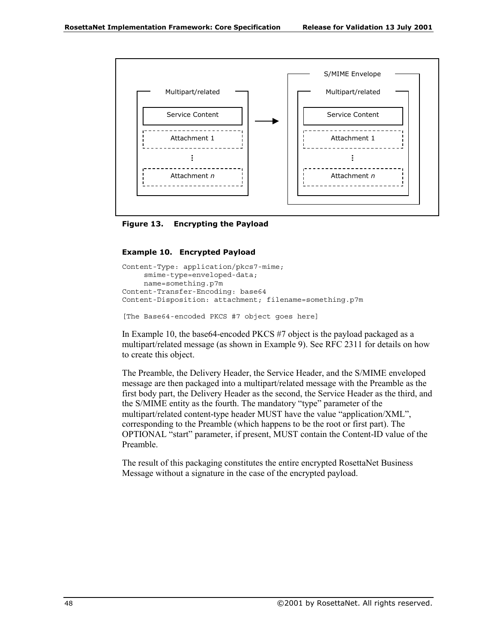

**Figure 13. Encrypting the Payload** 

### **Example 10. Encrypted Payload**

```
Content-Type: application/pkcs7-mime;
     smime-type=enveloped-data;
    name=something.p7m
Content-Transfer-Encoding: base64
Content-Disposition: attachment; filename=something.p7m
```
[The Base64-encoded PKCS #7 object goes here]

In Example 10, the base64-encoded PKCS #7 object is the payload packaged as a multipart/related message (as shown in Example 9). See RFC 2311 for details on how to create this object.

The Preamble, the Delivery Header, the Service Header, and the S/MIME enveloped message are then packaged into a multipart/related message with the Preamble as the first body part, the Delivery Header as the second, the Service Header as the third, and the S/MIME entity as the fourth. The mandatory "type" parameter of the multipart/related content-type header MUST have the value "application/XML", corresponding to the Preamble (which happens to be the root or first part). The OPTIONAL "start" parameter, if present, MUST contain the Content-ID value of the Preamble.

The result of this packaging constitutes the entire encrypted RosettaNet Business Message without a signature in the case of the encrypted payload.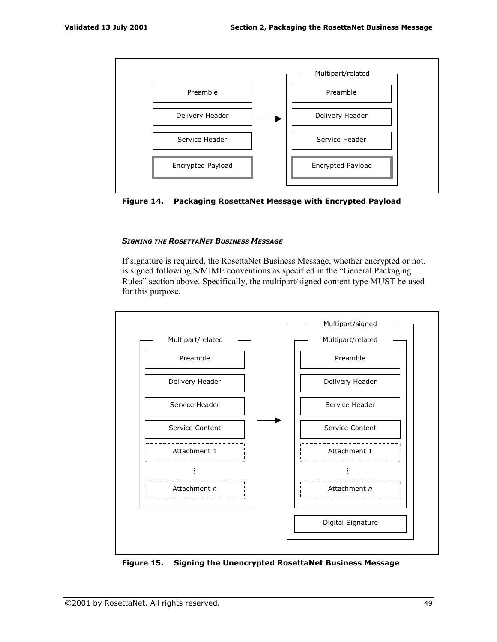



### *SIGNING THE ROSETTANET BUSINESS MESSAGE*

If signature is required, the RosettaNet Business Message, whether encrypted or not, is signed following S/MIME conventions as specified in the "General Packaging Rules" section above. Specifically, the multipart/signed content type MUST be used for this purpose.



**Figure 15. Signing the Unencrypted RosettaNet Business Message**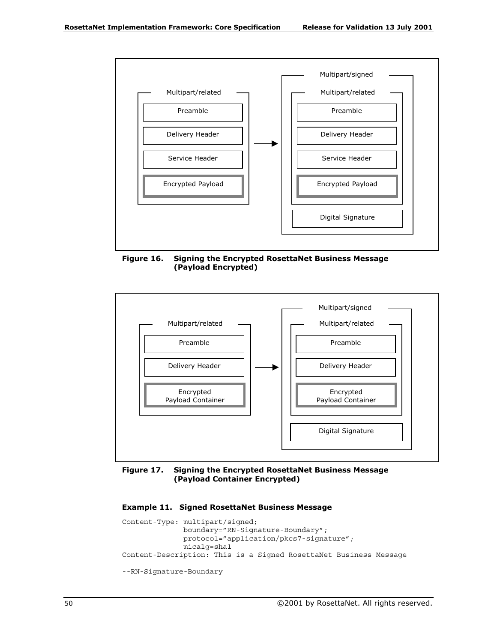

**Figure 16. Signing the Encrypted RosettaNet Business Message (Payload Encrypted)** 



### **Figure 17. Signing the Encrypted RosettaNet Business Message (Payload Container Encrypted)**

### **Example 11. Signed RosettaNet Business Message**

```
Content-Type: multipart/signed;
              boundary="RN-Signature-Boundary";
              protocol="application/pkcs7-signature";
             micalg=sha1
Content-Description: This is a Signed RosettaNet Business Message
--RN-Signature-Boundary
```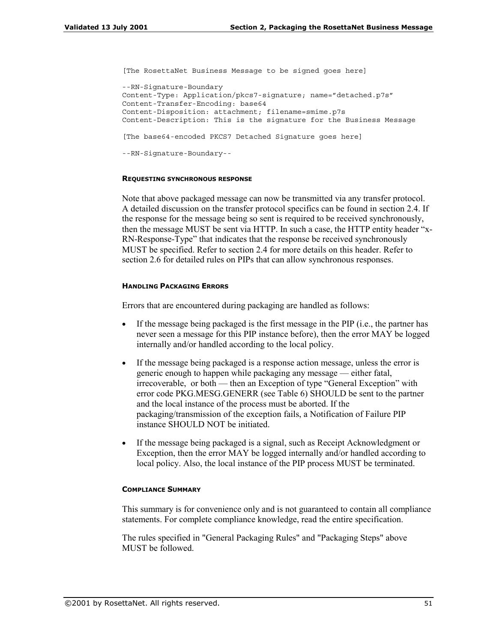```
[The RosettaNet Business Message to be signed goes here]
--RN-Signature-Boundary
Content-Type: Application/pkcs7-signature; name="detached.p7s"
Content-Transfer-Encoding: base64
Content-Disposition: attachment; filename=smime.p7s
Content-Description: This is the signature for the Business Message
[The base64-encoded PKCS7 Detached Signature goes here]
--RN-Signature-Boundary--
```
### **REQUESTING SYNCHRONOUS RESPONSE**

Note that above packaged message can now be transmitted via any transfer protocol. A detailed discussion on the transfer protocol specifics can be found in section 2.4. If the response for the message being so sent is required to be received synchronously, then the message MUST be sent via HTTP. In such a case, the HTTP entity header "x-RN-Response-Type" that indicates that the response be received synchronously MUST be specified. Refer to section 2.4 for more details on this header. Refer to section 2.6 for detailed rules on PIPs that can allow synchronous responses.

### **HANDLING PACKAGING ERRORS**

Errors that are encountered during packaging are handled as follows:

- If the message being packaged is the first message in the PIP (i.e., the partner has never seen a message for this PIP instance before), then the error MAY be logged internally and/or handled according to the local policy.
- If the message being packaged is a response action message, unless the error is generic enough to happen while packaging any message — either fatal, irrecoverable, or both — then an Exception of type "General Exception" with error code PKG.MESG.GENERR (see Table 6) SHOULD be sent to the partner and the local instance of the process must be aborted. If the packaging/transmission of the exception fails, a Notification of Failure PIP instance SHOULD NOT be initiated.
- If the message being packaged is a signal, such as Receipt Acknowledgment or Exception, then the error MAY be logged internally and/or handled according to local policy. Also, the local instance of the PIP process MUST be terminated.

#### **COMPLIANCE SUMMARY**

This summary is for convenience only and is not guaranteed to contain all compliance statements. For complete compliance knowledge, read the entire specification.

The rules specified in "General Packaging Rules" and "Packaging Steps" above MUST be followed.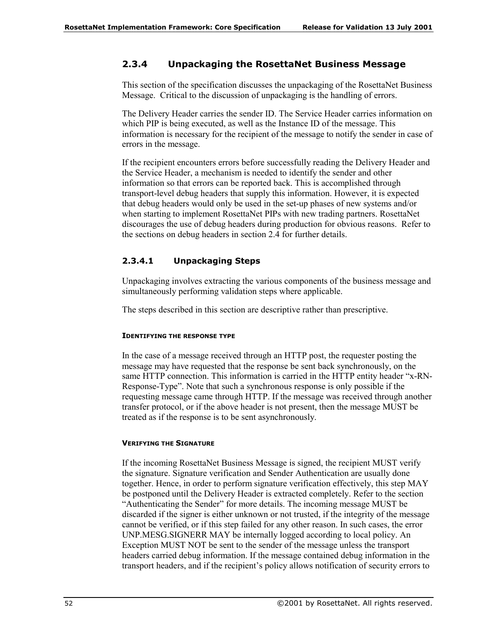# **2.3.4 Unpackaging the RosettaNet Business Message**

This section of the specification discusses the unpackaging of the RosettaNet Business Message. Critical to the discussion of unpackaging is the handling of errors.

The Delivery Header carries the sender ID. The Service Header carries information on which PIP is being executed, as well as the Instance ID of the message. This information is necessary for the recipient of the message to notify the sender in case of errors in the message.

If the recipient encounters errors before successfully reading the Delivery Header and the Service Header, a mechanism is needed to identify the sender and other information so that errors can be reported back. This is accomplished through transport-level debug headers that supply this information. However, it is expected that debug headers would only be used in the set-up phases of new systems and/or when starting to implement RosettaNet PIPs with new trading partners. RosettaNet discourages the use of debug headers during production for obvious reasons. Refer to the sections on debug headers in section 2.4 for further details.

# **2.3.4.1 Unpackaging Steps**

Unpackaging involves extracting the various components of the business message and simultaneously performing validation steps where applicable.

The steps described in this section are descriptive rather than prescriptive.

### **IDENTIFYING THE RESPONSE TYPE**

In the case of a message received through an HTTP post, the requester posting the message may have requested that the response be sent back synchronously, on the same HTTP connection. This information is carried in the HTTP entity header "x-RN-Response-Type". Note that such a synchronous response is only possible if the requesting message came through HTTP. If the message was received through another transfer protocol, or if the above header is not present, then the message MUST be treated as if the response is to be sent asynchronously.

# **VERIFYING THE SIGNATURE**

If the incoming RosettaNet Business Message is signed, the recipient MUST verify the signature. Signature verification and Sender Authentication are usually done together. Hence, in order to perform signature verification effectively, this step MAY be postponed until the Delivery Header is extracted completely. Refer to the section "Authenticating the Sender" for more details. The incoming message MUST be discarded if the signer is either unknown or not trusted, if the integrity of the message cannot be verified, or if this step failed for any other reason. In such cases, the error UNP.MESG.SIGNERR MAY be internally logged according to local policy. An Exception MUST NOT be sent to the sender of the message unless the transport headers carried debug information. If the message contained debug information in the transport headers, and if the recipient's policy allows notification of security errors to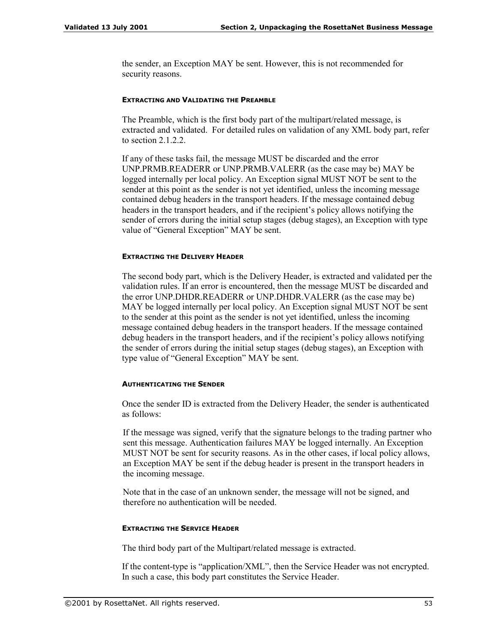the sender, an Exception MAY be sent. However, this is not recommended for security reasons.

### **EXTRACTING AND VALIDATING THE PREAMBLE**

The Preamble, which is the first body part of the multipart/related message, is extracted and validated. For detailed rules on validation of any XML body part, refer to section  $2.1.2.2$ .

If any of these tasks fail, the message MUST be discarded and the error UNP.PRMB.READERR or UNP.PRMB.VALERR (as the case may be) MAY be logged internally per local policy. An Exception signal MUST NOT be sent to the sender at this point as the sender is not yet identified, unless the incoming message contained debug headers in the transport headers. If the message contained debug headers in the transport headers, and if the recipient's policy allows notifying the sender of errors during the initial setup stages (debug stages), an Exception with type value of "General Exception" MAY be sent.

### **EXTRACTING THE DELIVERY HEADER**

The second body part, which is the Delivery Header, is extracted and validated per the validation rules. If an error is encountered, then the message MUST be discarded and the error UNP.DHDR.READERR or UNP.DHDR.VALERR (as the case may be) MAY be logged internally per local policy. An Exception signal MUST NOT be sent to the sender at this point as the sender is not yet identified, unless the incoming message contained debug headers in the transport headers. If the message contained debug headers in the transport headers, and if the recipient's policy allows notifying the sender of errors during the initial setup stages (debug stages), an Exception with type value of "General Exception" MAY be sent.

### **AUTHENTICATING THE SENDER**

Once the sender ID is extracted from the Delivery Header, the sender is authenticated as follows:

If the message was signed, verify that the signature belongs to the trading partner who sent this message. Authentication failures MAY be logged internally. An Exception MUST NOT be sent for security reasons. As in the other cases, if local policy allows, an Exception MAY be sent if the debug header is present in the transport headers in the incoming message.

Note that in the case of an unknown sender, the message will not be signed, and therefore no authentication will be needed.

### **EXTRACTING THE SERVICE HEADER**

The third body part of the Multipart/related message is extracted.

If the content-type is "application/ $XML$ ", then the Service Header was not encrypted. In such a case, this body part constitutes the Service Header.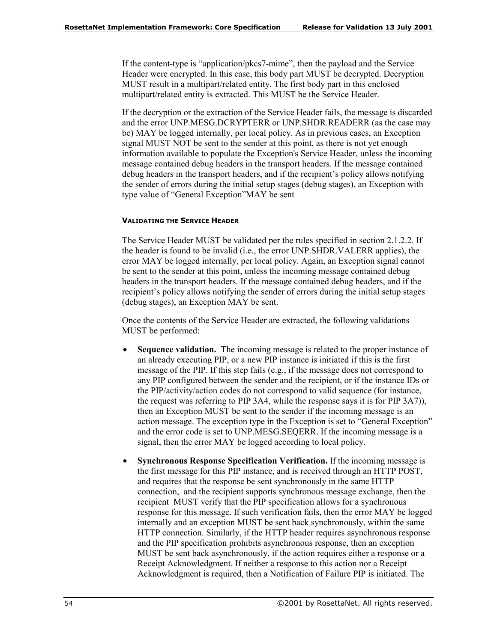If the content-type is "application/pkcs7-mime", then the payload and the Service Header were encrypted. In this case, this body part MUST be decrypted. Decryption MUST result in a multipart/related entity. The first body part in this enclosed multipart/related entity is extracted. This MUST be the Service Header.

If the decryption or the extraction of the Service Header fails, the message is discarded and the error UNP.MESG.DCRYPTERR or UNP.SHDR.READERR (as the case may be) MAY be logged internally, per local policy. As in previous cases, an Exception signal MUST NOT be sent to the sender at this point, as there is not yet enough information available to populate the Exception's Service Header, unless the incoming message contained debug headers in the transport headers. If the message contained debug headers in the transport headers, and if the recipient's policy allows notifying the sender of errors during the initial setup stages (debug stages), an Exception with type value of "General Exception" MAY be sent

### **VALIDATING THE SERVICE HEADER**

The Service Header MUST be validated per the rules specified in section 2.1.2.2. If the header is found to be invalid (i.e., the error UNP.SHDR.VALERR applies), the error MAY be logged internally, per local policy. Again, an Exception signal cannot be sent to the sender at this point, unless the incoming message contained debug headers in the transport headers. If the message contained debug headers, and if the recipient's policy allows notifying the sender of errors during the initial setup stages (debug stages), an Exception MAY be sent.

Once the contents of the Service Header are extracted, the following validations MUST be performed:

- **Sequence validation.** The incoming message is related to the proper instance of an already executing PIP, or a new PIP instance is initiated if this is the first message of the PIP. If this step fails (e.g., if the message does not correspond to any PIP configured between the sender and the recipient, or if the instance IDs or the PIP/activity/action codes do not correspond to valid sequence (for instance, the request was referring to PIP 3A4, while the response says it is for PIP 3A7)), then an Exception MUST be sent to the sender if the incoming message is an action message. The exception type in the Exception is set to "General Exception" and the error code is set to UNP.MESG.SEQERR. If the incoming message is a signal, then the error MAY be logged according to local policy.
- **Synchronous Response Specification Verification.** If the incoming message is the first message for this PIP instance, and is received through an HTTP POST, and requires that the response be sent synchronously in the same HTTP connection, and the recipient supports synchronous message exchange, then the recipient MUST verify that the PIP specification allows for a synchronous response for this message. If such verification fails, then the error MAY be logged internally and an exception MUST be sent back synchronously, within the same HTTP connection. Similarly, if the HTTP header requires asynchronous response and the PIP specification prohibits asynchronous response, then an exception MUST be sent back asynchronously, if the action requires either a response or a Receipt Acknowledgment. If neither a response to this action nor a Receipt Acknowledgment is required, then a Notification of Failure PIP is initiated. The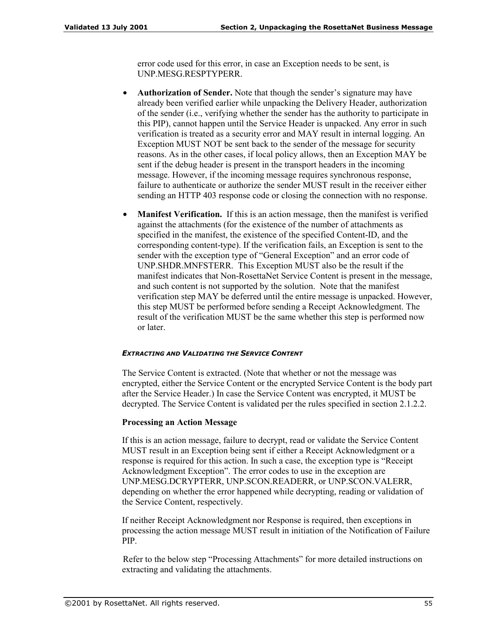error code used for this error, in case an Exception needs to be sent, is UNP.MESG.RESPTYPERR.

- **Authorization of Sender.** Note that though the sender's signature may have already been verified earlier while unpacking the Delivery Header, authorization of the sender (i.e., verifying whether the sender has the authority to participate in this PIP), cannot happen until the Service Header is unpacked. Any error in such verification is treated as a security error and MAY result in internal logging. An Exception MUST NOT be sent back to the sender of the message for security reasons. As in the other cases, if local policy allows, then an Exception MAY be sent if the debug header is present in the transport headers in the incoming message. However, if the incoming message requires synchronous response, failure to authenticate or authorize the sender MUST result in the receiver either sending an HTTP 403 response code or closing the connection with no response.
- **Manifest Verification.** If this is an action message, then the manifest is verified against the attachments (for the existence of the number of attachments as specified in the manifest, the existence of the specified Content-ID, and the corresponding content-type). If the verification fails, an Exception is sent to the sender with the exception type of "General Exception" and an error code of UNP.SHDR.MNFSTERR. This Exception MUST also be the result if the manifest indicates that Non-RosettaNet Service Content is present in the message, and such content is not supported by the solution. Note that the manifest verification step MAY be deferred until the entire message is unpacked. However, this step MUST be performed before sending a Receipt Acknowledgment. The result of the verification MUST be the same whether this step is performed now or later.

#### *EXTRACTING AND VALIDATING THE SERVICE CONTENT*

The Service Content is extracted. (Note that whether or not the message was encrypted, either the Service Content or the encrypted Service Content is the body part after the Service Header.) In case the Service Content was encrypted, it MUST be decrypted. The Service Content is validated per the rules specified in section 2.1.2.2.

#### **Processing an Action Message**

If this is an action message, failure to decrypt, read or validate the Service Content MUST result in an Exception being sent if either a Receipt Acknowledgment or a response is required for this action. In such a case, the exception type is "Receipt" Acknowledgment Exceptionî. The error codes to use in the exception are UNP.MESG.DCRYPTERR, UNP.SCON.READERR, or UNP.SCON.VALERR, depending on whether the error happened while decrypting, reading or validation of the Service Content, respectively.

If neither Receipt Acknowledgment nor Response is required, then exceptions in processing the action message MUST result in initiation of the Notification of Failure PIP.

Refer to the below step "Processing Attachments" for more detailed instructions on extracting and validating the attachments.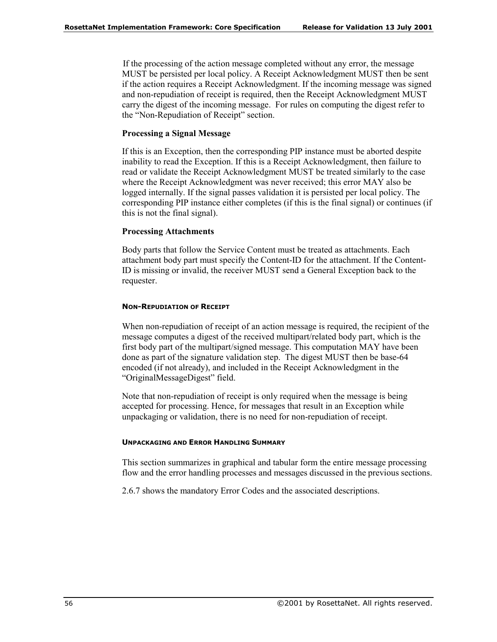If the processing of the action message completed without any error, the message MUST be persisted per local policy. A Receipt Acknowledgment MUST then be sent if the action requires a Receipt Acknowledgment. If the incoming message was signed and non-repudiation of receipt is required, then the Receipt Acknowledgment MUST carry the digest of the incoming message. For rules on computing the digest refer to the "Non-Repudiation of Receipt" section.

### **Processing a Signal Message**

If this is an Exception, then the corresponding PIP instance must be aborted despite inability to read the Exception. If this is a Receipt Acknowledgment, then failure to read or validate the Receipt Acknowledgment MUST be treated similarly to the case where the Receipt Acknowledgment was never received; this error MAY also be logged internally. If the signal passes validation it is persisted per local policy. The corresponding PIP instance either completes (if this is the final signal) or continues (if this is not the final signal).

#### **Processing Attachments**

Body parts that follow the Service Content must be treated as attachments. Each attachment body part must specify the Content-ID for the attachment. If the Content-ID is missing or invalid, the receiver MUST send a General Exception back to the requester.

#### **NON-REPUDIATION OF RECEIPT**

When non-repudiation of receipt of an action message is required, the recipient of the message computes a digest of the received multipart/related body part, which is the first body part of the multipart/signed message. This computation MAY have been done as part of the signature validation step. The digest MUST then be base-64 encoded (if not already), and included in the Receipt Acknowledgment in the "OriginalMessageDigest" field.

Note that non-repudiation of receipt is only required when the message is being accepted for processing. Hence, for messages that result in an Exception while unpackaging or validation, there is no need for non-repudiation of receipt.

#### **UNPACKAGING AND ERROR HANDLING SUMMARY**

This section summarizes in graphical and tabular form the entire message processing flow and the error handling processes and messages discussed in the previous sections.

2.6.7 shows the mandatory Error Codes and the associated descriptions.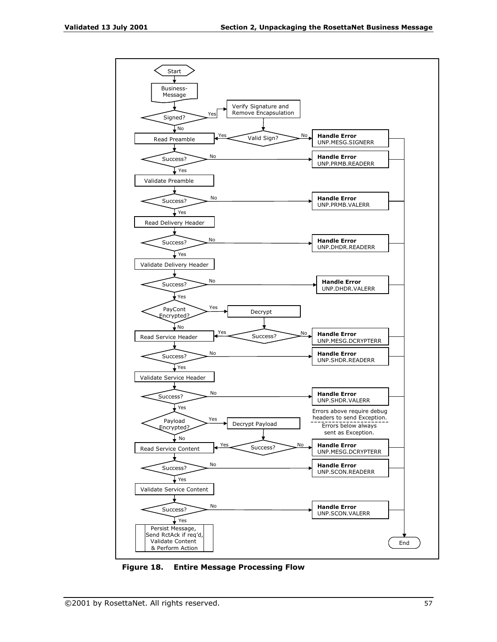

**Figure 18. Entire Message Processing Flow**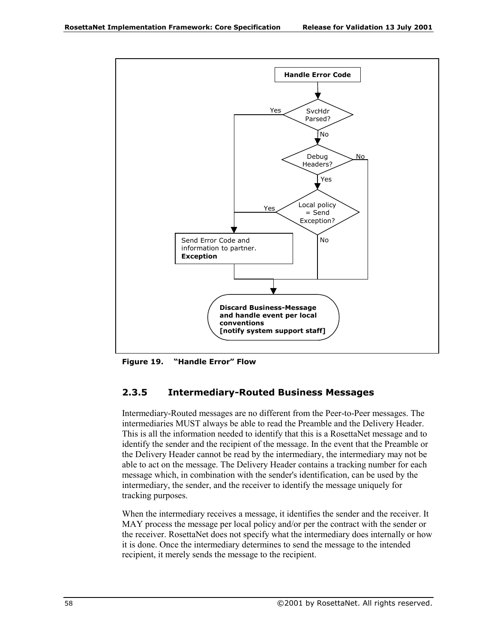

**Figure 19.**  "Handle Error" Flow

## **2.3.5 Intermediary-Routed Business Messages**

Intermediary-Routed messages are no different from the Peer-to-Peer messages. The intermediaries MUST always be able to read the Preamble and the Delivery Header. This is all the information needed to identify that this is a RosettaNet message and to identify the sender and the recipient of the message. In the event that the Preamble or the Delivery Header cannot be read by the intermediary, the intermediary may not be able to act on the message. The Delivery Header contains a tracking number for each message which, in combination with the sender's identification, can be used by the intermediary, the sender, and the receiver to identify the message uniquely for tracking purposes.

When the intermediary receives a message, it identifies the sender and the receiver. It MAY process the message per local policy and/or per the contract with the sender or the receiver. RosettaNet does not specify what the intermediary does internally or how it is done. Once the intermediary determines to send the message to the intended recipient, it merely sends the message to the recipient.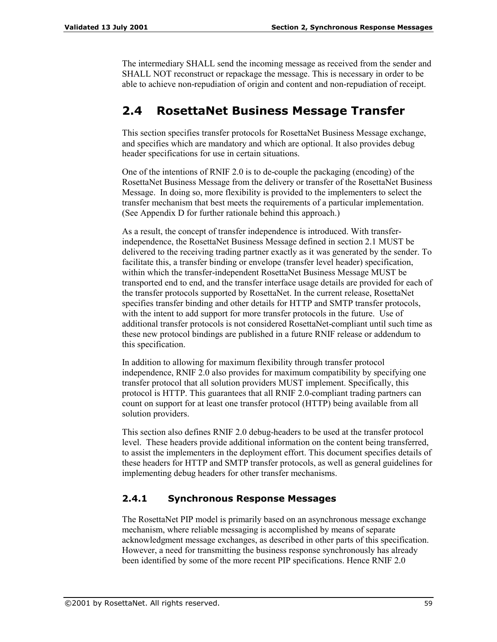The intermediary SHALL send the incoming message as received from the sender and SHALL NOT reconstruct or repackage the message. This is necessary in order to be able to achieve non-repudiation of origin and content and non-repudiation of receipt.

# **2.4 RosettaNet Business Message Transfer**

This section specifies transfer protocols for RosettaNet Business Message exchange, and specifies which are mandatory and which are optional. It also provides debug header specifications for use in certain situations.

One of the intentions of RNIF 2.0 is to de-couple the packaging (encoding) of the RosettaNet Business Message from the delivery or transfer of the RosettaNet Business Message. In doing so, more flexibility is provided to the implementers to select the transfer mechanism that best meets the requirements of a particular implementation. (See Appendix D for further rationale behind this approach.)

As a result, the concept of transfer independence is introduced. With transferindependence, the RosettaNet Business Message defined in section 2.1 MUST be delivered to the receiving trading partner exactly as it was generated by the sender. To facilitate this, a transfer binding or envelope (transfer level header) specification, within which the transfer-independent RosettaNet Business Message MUST be transported end to end, and the transfer interface usage details are provided for each of the transfer protocols supported by RosettaNet. In the current release, RosettaNet specifies transfer binding and other details for HTTP and SMTP transfer protocols, with the intent to add support for more transfer protocols in the future. Use of additional transfer protocols is not considered RosettaNet-compliant until such time as these new protocol bindings are published in a future RNIF release or addendum to this specification.

In addition to allowing for maximum flexibility through transfer protocol independence, RNIF 2.0 also provides for maximum compatibility by specifying one transfer protocol that all solution providers MUST implement. Specifically, this protocol is HTTP. This guarantees that all RNIF 2.0-compliant trading partners can count on support for at least one transfer protocol (HTTP) being available from all solution providers.

This section also defines RNIF 2.0 debug-headers to be used at the transfer protocol level. These headers provide additional information on the content being transferred, to assist the implementers in the deployment effort. This document specifies details of these headers for HTTP and SMTP transfer protocols, as well as general guidelines for implementing debug headers for other transfer mechanisms.

## **2.4.1 Synchronous Response Messages**

The RosettaNet PIP model is primarily based on an asynchronous message exchange mechanism, where reliable messaging is accomplished by means of separate acknowledgment message exchanges, as described in other parts of this specification. However, a need for transmitting the business response synchronously has already been identified by some of the more recent PIP specifications. Hence RNIF 2.0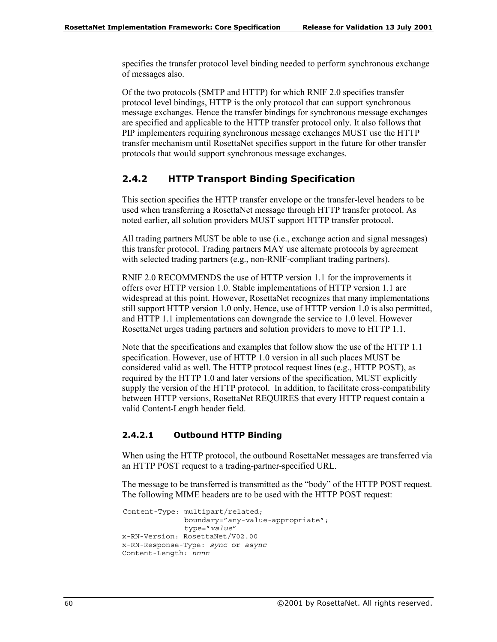specifies the transfer protocol level binding needed to perform synchronous exchange of messages also.

Of the two protocols (SMTP and HTTP) for which RNIF 2.0 specifies transfer protocol level bindings, HTTP is the only protocol that can support synchronous message exchanges. Hence the transfer bindings for synchronous message exchanges are specified and applicable to the HTTP transfer protocol only. It also follows that PIP implementers requiring synchronous message exchanges MUST use the HTTP transfer mechanism until RosettaNet specifies support in the future for other transfer protocols that would support synchronous message exchanges.

## **2.4.2 HTTP Transport Binding Specification**

This section specifies the HTTP transfer envelope or the transfer-level headers to be used when transferring a RosettaNet message through HTTP transfer protocol. As noted earlier, all solution providers MUST support HTTP transfer protocol.

All trading partners MUST be able to use (i.e., exchange action and signal messages) this transfer protocol. Trading partners MAY use alternate protocols by agreement with selected trading partners (e.g., non-RNIF-compliant trading partners).

RNIF 2.0 RECOMMENDS the use of HTTP version 1.1 for the improvements it offers over HTTP version 1.0. Stable implementations of HTTP version 1.1 are widespread at this point. However, RosettaNet recognizes that many implementations still support HTTP version 1.0 only. Hence, use of HTTP version 1.0 is also permitted, and HTTP 1.1 implementations can downgrade the service to 1.0 level. However RosettaNet urges trading partners and solution providers to move to HTTP 1.1.

Note that the specifications and examples that follow show the use of the HTTP 1.1 specification. However, use of HTTP 1.0 version in all such places MUST be considered valid as well. The HTTP protocol request lines (e.g., HTTP POST), as required by the HTTP 1.0 and later versions of the specification, MUST explicitly supply the version of the HTTP protocol. In addition, to facilitate cross-compatibility between HTTP versions, RosettaNet REQUIRES that every HTTP request contain a valid Content-Length header field.

### **2.4.2.1 Outbound HTTP Binding**

When using the HTTP protocol, the outbound RosettaNet messages are transferred via an HTTP POST request to a trading-partner-specified URL.

The message to be transferred is transmitted as the "body" of the HTTP POST request. The following MIME headers are to be used with the HTTP POST request:

```
Content-Type: multipart/related;
              boundary="any-value-appropriate";
              type="value"
x-RN-Version: RosettaNet/V02.00
x-RN-Response-Type: sync or async
Content-Length: nnnn
```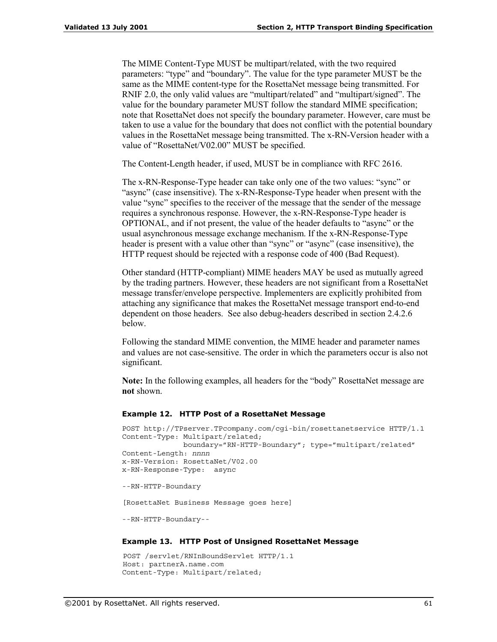The MIME Content-Type MUST be multipart/related, with the two required parameters: "type" and "boundary". The value for the type parameter MUST be the same as the MIME content-type for the RosettaNet message being transmitted. For RNIF 2.0, the only valid values are "multipart/related" and "multipart/signed". The value for the boundary parameter MUST follow the standard MIME specification; note that RosettaNet does not specify the boundary parameter. However, care must be taken to use a value for the boundary that does not conflict with the potential boundary values in the RosettaNet message being transmitted. The x-RN-Version header with a value of "RosettaNet/V02.00" MUST be specified.

The Content-Length header, if used, MUST be in compliance with RFC 2616.

The x-RN-Response-Type header can take only one of the two values: "sync" or ìasyncî (case insensitive). The x-RN-Response-Type header when present with the value "sync" specifies to the receiver of the message that the sender of the message requires a synchronous response. However, the x-RN-Response-Type header is OPTIONAL, and if not present, the value of the header defaults to "async" or the usual asynchronous message exchange mechanism. If the x-RN-Response-Type header is present with a value other than "sync" or "async" (case insensitive), the HTTP request should be rejected with a response code of 400 (Bad Request).

Other standard (HTTP-compliant) MIME headers MAY be used as mutually agreed by the trading partners. However, these headers are not significant from a RosettaNet message transfer/envelope perspective. Implementers are explicitly prohibited from attaching any significance that makes the RosettaNet message transport end-to-end dependent on those headers. See also debug-headers described in section 2.4.2.6 below.

Following the standard MIME convention, the MIME header and parameter names and values are not case-sensitive. The order in which the parameters occur is also not significant.

**Note:** In the following examples, all headers for the "body" RosettaNet message are **not** shown.

#### **Example 12. HTTP Post of a RosettaNet Message**

```
POST http://TPserver.TPcompany.com/cgi-bin/rosettanetservice HTTP/1.1
Content-Type: Multipart/related;
              boundary="RN-HTTP-Boundary"; type="multipart/related"
Content-Length: nnnn
x-RN-Version: RosettaNet/V02.00
x-RN-Response-Type: async
--RN-HTTP-Boundary
[RosettaNet Business Message goes here]
--RN-HTTP-Boundary--
```
#### **Example 13. HTTP Post of Unsigned RosettaNet Message**

```
POST /servlet/RNInBoundServlet HTTP/1.1
Host: partnerA.name.com
Content-Type: Multipart/related;
```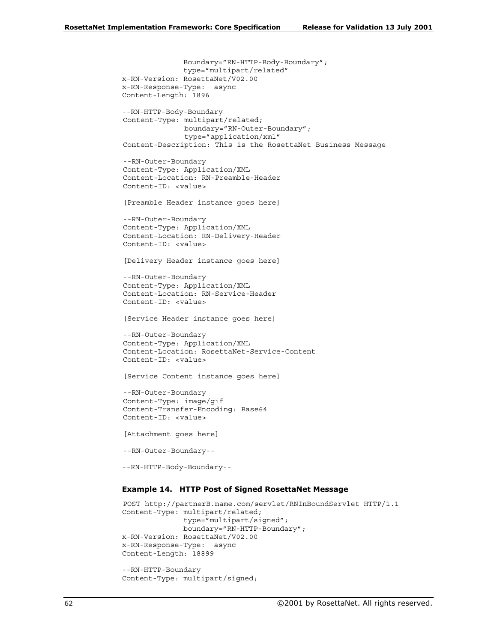Boundary="RN-HTTP-Body-Boundary"; type="multipart/related" x-RN-Version: RosettaNet/V02.00 x-RN-Response-Type: async Content-Length: 1896 --RN-HTTP-Body-Boundary Content-Type: multipart/related; boundary="RN-Outer-Boundary"; type="application/xml" Content-Description: This is the RosettaNet Business Message --RN-Outer-Boundary Content-Type: Application/XML Content-Location: RN-Preamble-Header Content-ID: <value> [Preamble Header instance goes here] --RN-Outer-Boundary Content-Type: Application/XML Content-Location: RN-Delivery-Header Content-ID: <value> [Delivery Header instance goes here] --RN-Outer-Boundary Content-Type: Application/XML Content-Location: RN-Service-Header Content-ID: <value> [Service Header instance goes here] --RN-Outer-Boundary Content-Type: Application/XML Content-Location: RosettaNet-Service-Content Content-ID: <value> [Service Content instance goes here] --RN-Outer-Boundary Content-Type: image/gif Content-Transfer-Encoding: Base64 Content-ID: <value> [Attachment goes here] --RN-Outer-Boundary-- --RN-HTTP-Body-Boundary-- **Example 14. HTTP Post of Signed RosettaNet Message**  POST http://partnerB.name.com/servlet/RNInBoundServlet HTTP/1.1

```
Content-Type: multipart/related;
              type="multipart/signed";
              boundary="RN-HTTP-Boundary";
x-RN-Version: RosettaNet/V02.00
x-RN-Response-Type: async
Content-Length: 18899
--RN-HTTP-Boundary
```

```
Content-Type: multipart/signed;
```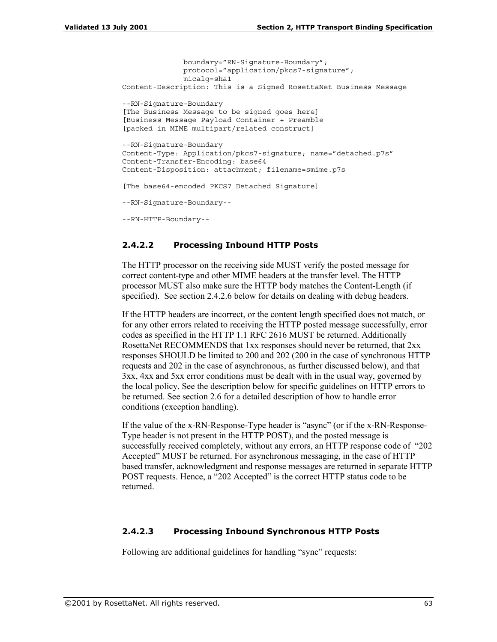```
boundary="RN-Signature-Boundary";
              protocol="application/pkcs7-signature";
              micalg=sha1
Content-Description: This is a Signed RosettaNet Business Message
--RN-Signature-Boundary
[The Business Message to be signed goes here]
[Business Message Payload Container + Preamble
[packed in MIME multipart/related construct]
--RN-Signature-Boundary
Content-Type: Application/pkcs7-signature; name="detached.p7s"
Content-Transfer-Encoding: base64
Content-Disposition: attachment; filename=smime.p7s
[The base64-encoded PKCS7 Detached Signature]
--RN-Signature-Boundary--
--RN-HTTP-Boundary--
```
### **2.4.2.2 Processing Inbound HTTP Posts**

The HTTP processor on the receiving side MUST verify the posted message for correct content-type and other MIME headers at the transfer level. The HTTP processor MUST also make sure the HTTP body matches the Content-Length (if specified). See section 2.4.2.6 below for details on dealing with debug headers.

If the HTTP headers are incorrect, or the content length specified does not match, or for any other errors related to receiving the HTTP posted message successfully, error codes as specified in the HTTP 1.1 RFC 2616 MUST be returned. Additionally RosettaNet RECOMMENDS that 1xx responses should never be returned, that 2xx responses SHOULD be limited to 200 and 202 (200 in the case of synchronous HTTP requests and 202 in the case of asynchronous, as further discussed below), and that 3xx, 4xx and 5xx error conditions must be dealt with in the usual way, governed by the local policy. See the description below for specific guidelines on HTTP errors to be returned. See section 2.6 for a detailed description of how to handle error conditions (exception handling).

If the value of the x-RN-Response-Type header is "async" (or if the x-RN-Response-Type header is not present in the HTTP POST), and the posted message is successfully received completely, without any errors, an HTTP response code of "202 Accepted" MUST be returned. For asynchronous messaging, in the case of HTTP based transfer, acknowledgment and response messages are returned in separate HTTP POST requests. Hence, a "202 Accepted" is the correct HTTP status code to be returned.

#### **2.4.2.3 Processing Inbound Synchronous HTTP Posts**

Following are additional guidelines for handling "sync" requests: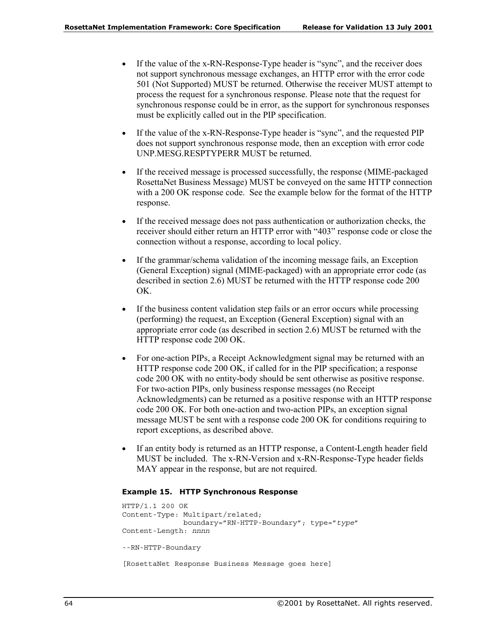- If the value of the x-RN-Response-Type header is "sync", and the receiver does not support synchronous message exchanges, an HTTP error with the error code 501 (Not Supported) MUST be returned. Otherwise the receiver MUST attempt to process the request for a synchronous response. Please note that the request for synchronous response could be in error, as the support for synchronous responses must be explicitly called out in the PIP specification.
- If the value of the x-RN-Response-Type header is "sync", and the requested PIP does not support synchronous response mode, then an exception with error code UNP.MESG.RESPTYPERR MUST be returned.
- If the received message is processed successfully, the response (MIME-packaged) RosettaNet Business Message) MUST be conveyed on the same HTTP connection with a 200 OK response code. See the example below for the format of the HTTP response.
- If the received message does not pass authentication or authorization checks, the receiver should either return an HTTP error with "403" response code or close the connection without a response, according to local policy.
- If the grammar/schema validation of the incoming message fails, an Exception (General Exception) signal (MIME-packaged) with an appropriate error code (as described in section 2.6) MUST be returned with the HTTP response code 200 OK.
- If the business content validation step fails or an error occurs while processing (performing) the request, an Exception (General Exception) signal with an appropriate error code (as described in section 2.6) MUST be returned with the HTTP response code 200 OK.
- For one-action PIPs, a Receipt Acknowledgment signal may be returned with an HTTP response code 200 OK, if called for in the PIP specification; a response code 200 OK with no entity-body should be sent otherwise as positive response. For two-action PIPs, only business response messages (no Receipt Acknowledgments) can be returned as a positive response with an HTTP response code 200 OK. For both one-action and two-action PIPs, an exception signal message MUST be sent with a response code 200 OK for conditions requiring to report exceptions, as described above.
- If an entity body is returned as an HTTP response, a Content-Length header field MUST be included. The x-RN-Version and x-RN-Response-Type header fields MAY appear in the response, but are not required.

#### **Example 15. HTTP Synchronous Response**

```
HTTP/1.1 200 OK
Content-Type: Multipart/related;
             boundary="RN-HTTP-Boundary"; type="type"
Content-Length: nnnn
--RN-HTTP-Boundary
[RosettaNet Response Business Message goes here]
```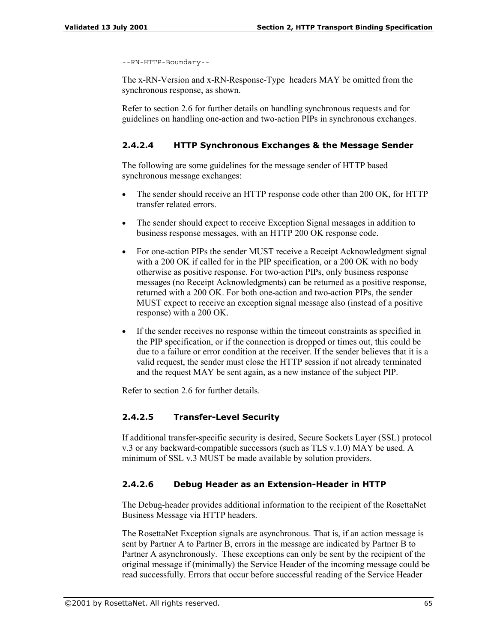```
--RN-HTTP-Boundary--
```
The x-RN-Version and x-RN-Response-Type headers MAY be omitted from the synchronous response, as shown.

Refer to section 2.6 for further details on handling synchronous requests and for guidelines on handling one-action and two-action PIPs in synchronous exchanges.

### **2.4.2.4 HTTP Synchronous Exchanges & the Message Sender**

The following are some guidelines for the message sender of HTTP based synchronous message exchanges:

- The sender should receive an HTTP response code other than 200 OK, for HTTP transfer related errors.
- The sender should expect to receive Exception Signal messages in addition to business response messages, with an HTTP 200 OK response code.
- For one-action PIPs the sender MUST receive a Receipt Acknowledgment signal with a 200 OK if called for in the PIP specification, or a 200 OK with no body otherwise as positive response. For two-action PIPs, only business response messages (no Receipt Acknowledgments) can be returned as a positive response, returned with a 200 OK. For both one-action and two-action PIPs, the sender MUST expect to receive an exception signal message also (instead of a positive response) with a 200 OK.
- If the sender receives no response within the timeout constraints as specified in the PIP specification, or if the connection is dropped or times out, this could be due to a failure or error condition at the receiver. If the sender believes that it is a valid request, the sender must close the HTTP session if not already terminated and the request MAY be sent again, as a new instance of the subject PIP.

Refer to section 2.6 for further details.

## **2.4.2.5 Transfer-Level Security**

If additional transfer-specific security is desired, Secure Sockets Layer (SSL) protocol v.3 or any backward-compatible successors (such as TLS v.1.0) MAY be used. A minimum of SSL v.3 MUST be made available by solution providers.

### **2.4.2.6 Debug Header as an Extension-Header in HTTP**

The Debug-header provides additional information to the recipient of the RosettaNet Business Message via HTTP headers.

The RosettaNet Exception signals are asynchronous. That is, if an action message is sent by Partner A to Partner B, errors in the message are indicated by Partner B to Partner A asynchronously. These exceptions can only be sent by the recipient of the original message if (minimally) the Service Header of the incoming message could be read successfully. Errors that occur before successful reading of the Service Header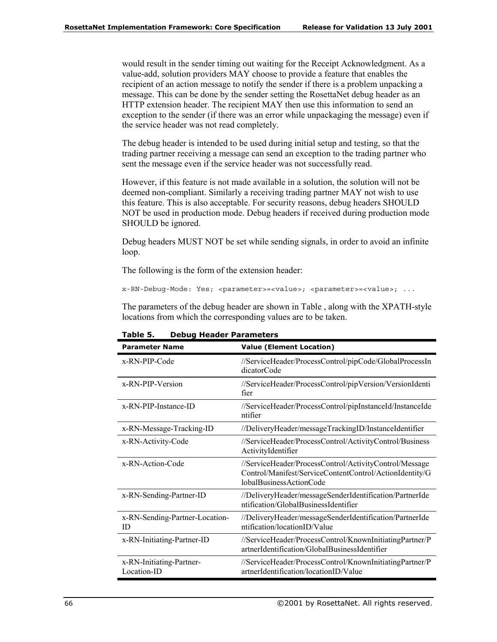would result in the sender timing out waiting for the Receipt Acknowledgment. As a value-add, solution providers MAY choose to provide a feature that enables the recipient of an action message to notify the sender if there is a problem unpacking a message. This can be done by the sender setting the RosettaNet debug header as an HTTP extension header. The recipient MAY then use this information to send an exception to the sender (if there was an error while unpackaging the message) even if the service header was not read completely.

The debug header is intended to be used during initial setup and testing, so that the trading partner receiving a message can send an exception to the trading partner who sent the message even if the service header was not successfully read.

However, if this feature is not made available in a solution, the solution will not be deemed non-compliant. Similarly a receiving trading partner MAY not wish to use this feature. This is also acceptable. For security reasons, debug headers SHOULD NOT be used in production mode. Debug headers if received during production mode SHOULD be ignored.

Debug headers MUST NOT be set while sending signals, in order to avoid an infinite loop.

The following is the form of the extension header:

x-RN-Debug-Mode: Yes; <parameter>=<value>; <parameter>=<value>; ...

The parameters of the debug header are shown in Table , along with the XPATH-style locations from which the corresponding values are to be taken.

| <b>Parameter Name</b>                   | <b>Value (Element Location)</b>                                                                                                              |
|-----------------------------------------|----------------------------------------------------------------------------------------------------------------------------------------------|
| x-RN-PIP-Code                           | //ServiceHeader/ProcessControl/pipCode/GlobalProcessIn<br>dicatorCode                                                                        |
| x-RN-PIP-Version                        | //ServiceHeader/ProcessControl/pipVersion/VersionIdenti<br>fier                                                                              |
| x-RN-PIP-Instance-ID                    | //ServiceHeader/ProcessControl/pipInstanceId/InstanceIde<br>ntifier                                                                          |
| x-RN-Message-Tracking-ID                | //DeliveryHeader/messageTrackingID/InstanceIdentifier                                                                                        |
| x-RN-Activity-Code                      | //ServiceHeader/ProcessControl/ActivityControl/Business<br>ActivityIdentifier                                                                |
| x-RN-Action-Code                        | //ServiceHeader/ProcessControl/ActivityControl/Message<br>Control/Manifest/ServiceContentControl/ActionIdentity/G<br>lobalBusinessActionCode |
| x-RN-Sending-Partner-ID                 | //DeliveryHeader/messageSenderIdentification/PartnerIde<br>ntification/GlobalBusinessIdentifier                                              |
| x-RN-Sending-Partner-Location-<br>ID    | //DeliveryHeader/messageSenderIdentification/PartnerIde<br>ntification/locationID/Value                                                      |
| x-RN-Initiating-Partner-ID              | //ServiceHeader/ProcessControl/KnownInitiatingPartner/P<br>artnerIdentification/GlobalBusinessIdentifier                                     |
| x-RN-Initiating-Partner-<br>Location-ID | //ServiceHeader/ProcessControl/KnownInitiatingPartner/P<br>artnerIdentification/locationID/Value                                             |

**Table 5. Debug Header Parameters**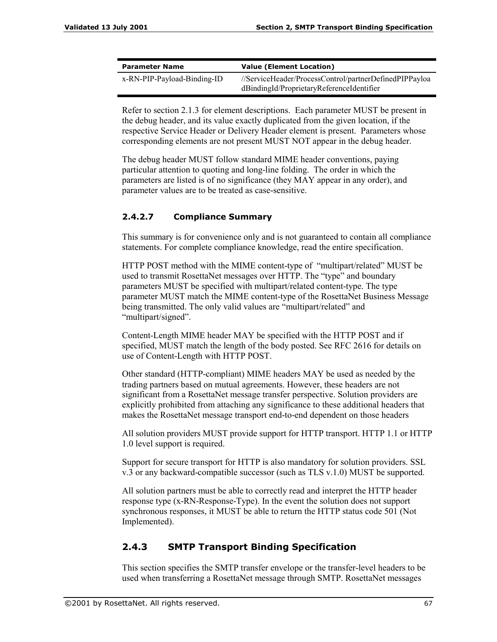| <b>Parameter Name</b>       | <b>Value (Element Location)</b>                                                                     |  |
|-----------------------------|-----------------------------------------------------------------------------------------------------|--|
| x-RN-PIP-Payload-Binding-ID | //ServiceHeader/ProcessControl/partnerDefinedPIPPayloa<br>dBindingId/ProprietaryReferenceIdentifier |  |

Refer to section 2.1.3 for element descriptions. Each parameter MUST be present in the debug header, and its value exactly duplicated from the given location, if the respective Service Header or Delivery Header element is present. Parameters whose corresponding elements are not present MUST NOT appear in the debug header.

The debug header MUST follow standard MIME header conventions, paying particular attention to quoting and long-line folding. The order in which the parameters are listed is of no significance (they MAY appear in any order), and parameter values are to be treated as case-sensitive.

## **2.4.2.7 Compliance Summary**

This summary is for convenience only and is not guaranteed to contain all compliance statements. For complete compliance knowledge, read the entire specification.

HTTP POST method with the MIME content-type of "multipart/related" MUST be used to transmit RosettaNet messages over HTTP. The "type" and boundary parameters MUST be specified with multipart/related content-type. The type parameter MUST match the MIME content-type of the RosettaNet Business Message being transmitted. The only valid values are "multipart/related" and "multipart/signed".

Content-Length MIME header MAY be specified with the HTTP POST and if specified, MUST match the length of the body posted. See RFC 2616 for details on use of Content-Length with HTTP POST.

Other standard (HTTP-compliant) MIME headers MAY be used as needed by the trading partners based on mutual agreements. However, these headers are not significant from a RosettaNet message transfer perspective. Solution providers are explicitly prohibited from attaching any significance to these additional headers that makes the RosettaNet message transport end-to-end dependent on those headers

All solution providers MUST provide support for HTTP transport. HTTP 1.1 or HTTP 1.0 level support is required.

Support for secure transport for HTTP is also mandatory for solution providers. SSL v.3 or any backward-compatible successor (such as TLS v.1.0) MUST be supported.

All solution partners must be able to correctly read and interpret the HTTP header response type (x-RN-Response-Type). In the event the solution does not support synchronous responses, it MUST be able to return the HTTP status code 501 (Not Implemented).

## **2.4.3 SMTP Transport Binding Specification**

This section specifies the SMTP transfer envelope or the transfer-level headers to be used when transferring a RosettaNet message through SMTP. RosettaNet messages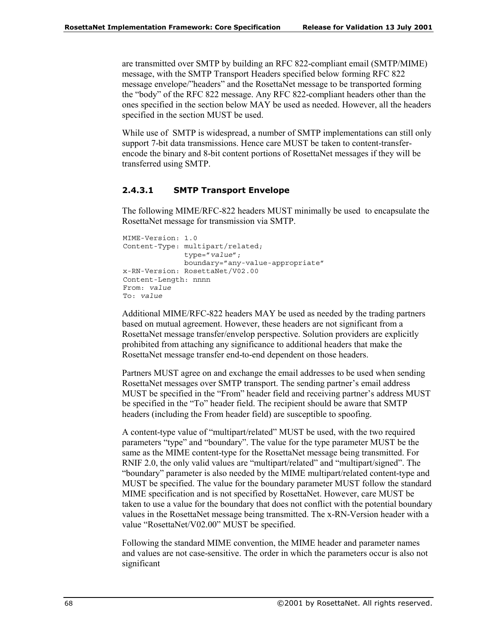are transmitted over SMTP by building an RFC 822-compliant email (SMTP/MIME) message, with the SMTP Transport Headers specified below forming RFC 822 message envelope/"headers" and the RosettaNet message to be transported forming the "body" of the RFC 822 message. Any RFC 822-compliant headers other than the ones specified in the section below MAY be used as needed. However, all the headers specified in the section MUST be used.

While use of SMTP is widespread, a number of SMTP implementations can still only support 7-bit data transmissions. Hence care MUST be taken to content-transferencode the binary and 8-bit content portions of RosettaNet messages if they will be transferred using SMTP.

#### **2.4.3.1 SMTP Transport Envelope**

The following MIME/RFC-822 headers MUST minimally be used to encapsulate the RosettaNet message for transmission via SMTP.

```
MIME-Version: 1.0
Content-Type: multipart/related;
              type="value";
              boundary="any-value-appropriate"
x-RN-Version: RosettaNet/V02.00
Content-Length: nnnn
From: value
To: value
```
Additional MIME/RFC-822 headers MAY be used as needed by the trading partners based on mutual agreement. However, these headers are not significant from a RosettaNet message transfer/envelop perspective. Solution providers are explicitly prohibited from attaching any significance to additional headers that make the RosettaNet message transfer end-to-end dependent on those headers.

Partners MUST agree on and exchange the email addresses to be used when sending RosettaNet messages over SMTP transport. The sending partner's email address MUST be specified in the "From" header field and receiving partner's address MUST be specified in the "To" header field. The recipient should be aware that SMTP headers (including the From header field) are susceptible to spoofing.

A content-type value of "multipart/related" MUST be used, with the two required parameters "type" and "boundary". The value for the type parameter MUST be the same as the MIME content-type for the RosettaNet message being transmitted. For RNIF 2.0, the only valid values are "multipart/related" and "multipart/signed". The ìboundaryî parameter is also needed by the MIME multipart/related content-type and MUST be specified. The value for the boundary parameter MUST follow the standard MIME specification and is not specified by RosettaNet. However, care MUST be taken to use a value for the boundary that does not conflict with the potential boundary values in the RosettaNet message being transmitted. The x-RN-Version header with a value "RosettaNet/V02.00" MUST be specified.

Following the standard MIME convention, the MIME header and parameter names and values are not case-sensitive. The order in which the parameters occur is also not significant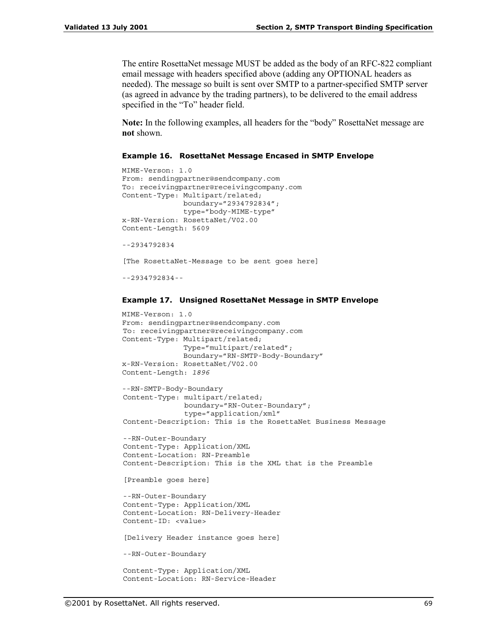The entire RosettaNet message MUST be added as the body of an RFC-822 compliant email message with headers specified above (adding any OPTIONAL headers as needed). The message so built is sent over SMTP to a partner-specified SMTP server (as agreed in advance by the trading partners), to be delivered to the email address specified in the "To" header field.

**Note:** In the following examples, all headers for the "body" RosettaNet message are **not** shown.

#### **Example 16. RosettaNet Message Encased in SMTP Envelope**

```
MIME-Verson: 1.0
From: sendingpartner@sendcompany.com
To: receivingpartner@receivingcompany.com
Content-Type: Multipart/related;
              boundary="2934792834";
              type="body-MIME-type"
x-RN-Version: RosettaNet/V02.00
Content-Length: 5609
--2934792834
[The RosettaNet-Message to be sent goes here]
--2934792834--
```
#### **Example 17. Unsigned RosettaNet Message in SMTP Envelope**

```
MIME-Verson: 1.0
From: sendingpartner@sendcompany.com
To: receivingpartner@receivingcompany.com
Content-Type: Multipart/related;
              Type="multipart/related";
              Boundary="RN-SMTP-Body-Boundary"
x-RN-Version: RosettaNet/V02.00
Content-Length: 1896
--RN-SMTP-Body-Boundary
Content-Type: multipart/related;
              boundary="RN-Outer-Boundary";
              type="application/xml"
Content-Description: This is the RosettaNet Business Message
--RN-Outer-Boundary
Content-Type: Application/XML
Content-Location: RN-Preamble
Content-Description: This is the XML that is the Preamble
[Preamble goes here]
--RN-Outer-Boundary
Content-Type: Application/XML
Content-Location: RN-Delivery-Header
Content-ID: <value>
[Delivery Header instance goes here]
--RN-Outer-Boundary
Content-Type: Application/XML
```
Content-Location: RN-Service-Header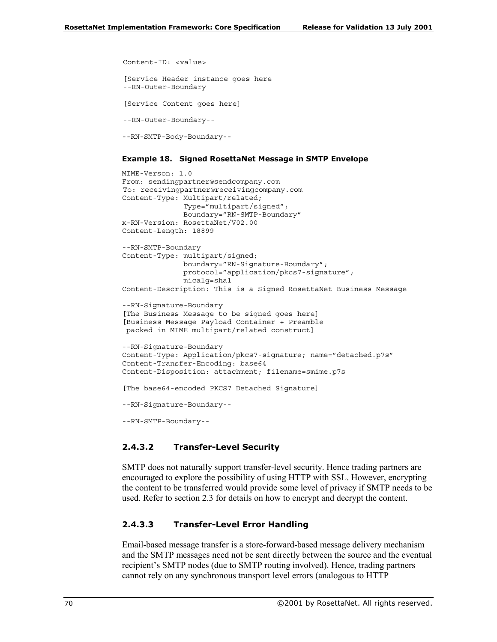```
Content-ID: <value>
[Service Header instance goes here
--RN-Outer-Boundary
[Service Content goes here]
--RN-Outer-Boundary--
--RN-SMTP-Body-Boundary--
```
#### **Example 18. Signed RosettaNet Message in SMTP Envelope**

```
MIME-Verson: 1.0
From: sendingpartner@sendcompany.com
To: receivingpartner@receivingcompany.com
Content-Type: Multipart/related;
              Type="multipart/signed";
              Boundary="RN-SMTP-Boundary"
x-RN-Version: RosettaNet/V02.00
Content-Length: 18899
--RN-SMTP-Boundary
Content-Type: multipart/signed;
              boundary="RN-Signature-Boundary";
              protocol="application/pkcs7-signature";
              micalg=sha1
Content-Description: This is a Signed RosettaNet Business Message
--RN-Signature-Boundary
[The Business Message to be signed goes here]
[Business Message Payload Container + Preamble
packed in MIME multipart/related construct]
--RN-Signature-Boundary
Content-Type: Application/pkcs7-signature; name="detached.p7s"
Content-Transfer-Encoding: base64
Content-Disposition: attachment; filename=smime.p7s
[The base64-encoded PKCS7 Detached Signature]
--RN-Signature-Boundary--
--RN-SMTP-Boundary--
```
#### **2.4.3.2 Transfer-Level Security**

SMTP does not naturally support transfer-level security. Hence trading partners are encouraged to explore the possibility of using HTTP with SSL. However, encrypting the content to be transferred would provide some level of privacy if SMTP needs to be used. Refer to section 2.3 for details on how to encrypt and decrypt the content.

#### **2.4.3.3 Transfer-Level Error Handling**

Email-based message transfer is a store-forward-based message delivery mechanism and the SMTP messages need not be sent directly between the source and the eventual recipient's SMTP nodes (due to SMTP routing involved). Hence, trading partners cannot rely on any synchronous transport level errors (analogous to HTTP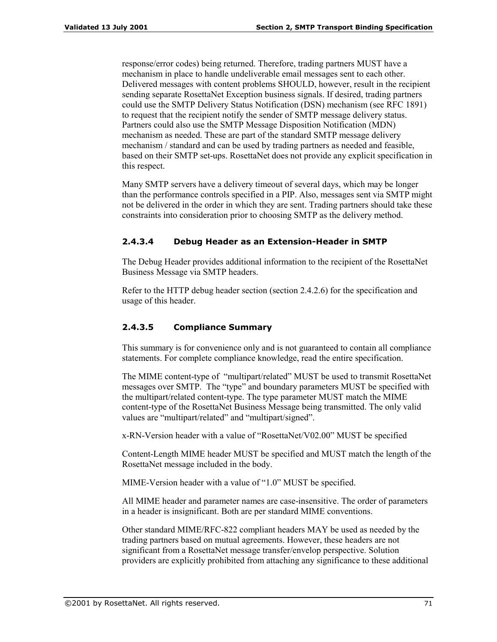response/error codes) being returned. Therefore, trading partners MUST have a mechanism in place to handle undeliverable email messages sent to each other. Delivered messages with content problems SHOULD, however, result in the recipient sending separate RosettaNet Exception business signals. If desired, trading partners could use the SMTP Delivery Status Notification (DSN) mechanism (see RFC 1891) to request that the recipient notify the sender of SMTP message delivery status. Partners could also use the SMTP Message Disposition Notification (MDN) mechanism as needed. These are part of the standard SMTP message delivery mechanism / standard and can be used by trading partners as needed and feasible, based on their SMTP set-ups. RosettaNet does not provide any explicit specification in this respect.

Many SMTP servers have a delivery timeout of several days, which may be longer than the performance controls specified in a PIP. Also, messages sent via SMTP might not be delivered in the order in which they are sent. Trading partners should take these constraints into consideration prior to choosing SMTP as the delivery method.

## **2.4.3.4 Debug Header as an Extension-Header in SMTP**

The Debug Header provides additional information to the recipient of the RosettaNet Business Message via SMTP headers.

Refer to the HTTP debug header section (section 2.4.2.6) for the specification and usage of this header.

## **2.4.3.5 Compliance Summary**

This summary is for convenience only and is not guaranteed to contain all compliance statements. For complete compliance knowledge, read the entire specification.

The MIME content-type of "multipart/related" MUST be used to transmit RosettaNet messages over SMTP. The "type" and boundary parameters MUST be specified with the multipart/related content-type. The type parameter MUST match the MIME content-type of the RosettaNet Business Message being transmitted. The only valid values are "multipart/related" and "multipart/signed".

 $x-RN-Version$  header with a value of "RosettaNet/V02.00" MUST be specified

Content-Length MIME header MUST be specified and MUST match the length of the RosettaNet message included in the body.

MIME-Version header with a value of "1.0" MUST be specified.

All MIME header and parameter names are case-insensitive. The order of parameters in a header is insignificant. Both are per standard MIME conventions.

Other standard MIME/RFC-822 compliant headers MAY be used as needed by the trading partners based on mutual agreements. However, these headers are not significant from a RosettaNet message transfer/envelop perspective. Solution providers are explicitly prohibited from attaching any significance to these additional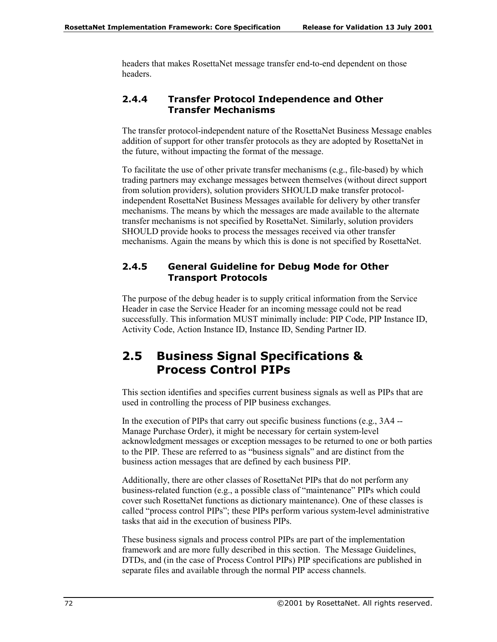headers that makes RosettaNet message transfer end-to-end dependent on those headers.

## **2.4.4 Transfer Protocol Independence and Other Transfer Mechanisms**

The transfer protocol-independent nature of the RosettaNet Business Message enables addition of support for other transfer protocols as they are adopted by RosettaNet in the future, without impacting the format of the message.

To facilitate the use of other private transfer mechanisms (e.g., file-based) by which trading partners may exchange messages between themselves (without direct support from solution providers), solution providers SHOULD make transfer protocolindependent RosettaNet Business Messages available for delivery by other transfer mechanisms. The means by which the messages are made available to the alternate transfer mechanisms is not specified by RosettaNet. Similarly, solution providers SHOULD provide hooks to process the messages received via other transfer mechanisms. Again the means by which this is done is not specified by RosettaNet.

## **2.4.5 General Guideline for Debug Mode for Other Transport Protocols**

The purpose of the debug header is to supply critical information from the Service Header in case the Service Header for an incoming message could not be read successfully. This information MUST minimally include: PIP Code, PIP Instance ID, Activity Code, Action Instance ID, Instance ID, Sending Partner ID.

# **2.5 Business Signal Specifications & Process Control PIPs**

This section identifies and specifies current business signals as well as PIPs that are used in controlling the process of PIP business exchanges.

In the execution of PIPs that carry out specific business functions (e.g., 3A4 -- Manage Purchase Order), it might be necessary for certain system-level acknowledgment messages or exception messages to be returned to one or both parties to the PIP. These are referred to as "business signals" and are distinct from the business action messages that are defined by each business PIP.

Additionally, there are other classes of RosettaNet PIPs that do not perform any business-related function (e.g., a possible class of "maintenance" PIPs which could cover such RosettaNet functions as dictionary maintenance). One of these classes is called "process control PIPs"; these PIPs perform various system-level administrative tasks that aid in the execution of business PIPs.

These business signals and process control PIPs are part of the implementation framework and are more fully described in this section. The Message Guidelines, DTDs, and (in the case of Process Control PIPs) PIP specifications are published in separate files and available through the normal PIP access channels.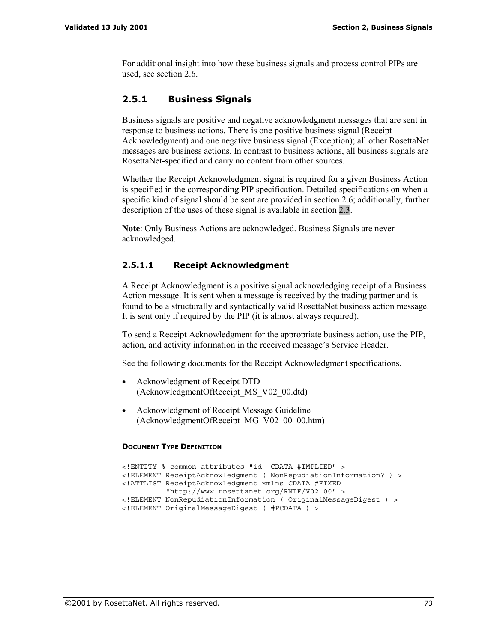For additional insight into how these business signals and process control PIPs are used, see section 2.6.

## **2.5.1 Business Signals**

Business signals are positive and negative acknowledgment messages that are sent in response to business actions. There is one positive business signal (Receipt Acknowledgment) and one negative business signal (Exception); all other RosettaNet messages are business actions. In contrast to business actions, all business signals are RosettaNet-specified and carry no content from other sources.

Whether the Receipt Acknowledgment signal is required for a given Business Action is specified in the corresponding PIP specification. Detailed specifications on when a specific kind of signal should be sent are provided in section 2.6; additionally, further description of the uses of these signal is available in section 2.3.

**Note**: Only Business Actions are acknowledged. Business Signals are never acknowledged.

### **2.5.1.1 Receipt Acknowledgment**

A Receipt Acknowledgment is a positive signal acknowledging receipt of a Business Action message. It is sent when a message is received by the trading partner and is found to be a structurally and syntactically valid RosettaNet business action message. It is sent only if required by the PIP (it is almost always required).

To send a Receipt Acknowledgment for the appropriate business action, use the PIP, action, and activity information in the received message's Service Header.

See the following documents for the Receipt Acknowledgment specifications.

- Acknowledgment of Receipt DTD (AcknowledgmentOfReceipt\_MS\_V02\_00.dtd)
- Acknowledgment of Receipt Message Guideline (AcknowledgmentOfReceipt\_MG\_V02\_00\_00.htm)

#### **DOCUMENT TYPE DEFINITION**

```
<!ENTITY % common-attributes "id CDATA #IMPLIED" >
<!ELEMENT ReceiptAcknowledgment ( NonRepudiationInformation? ) >
<!ATTLIST ReceiptAcknowledgment xmlns CDATA #FIXED
         "http://www.rosettanet.org/RNIF/V02.00" >
<!ELEMENT NonRepudiationInformation ( OriginalMessageDigest ) >
<!ELEMENT OriginalMessageDigest ( #PCDATA ) >
```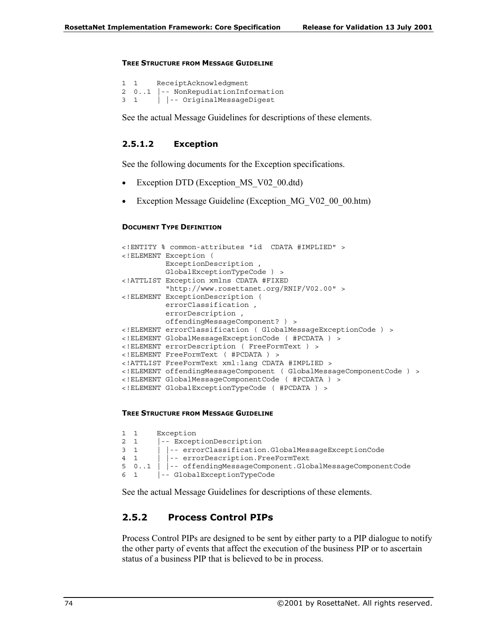#### **TREE STRUCTURE FROM MESSAGE GUIDELINE**

```
1 1 ReceiptAcknowledgment
2 0..1 |-- NonRepudiationInformation
3 1 | |-- OriginalMessageDigest
```
See the actual Message Guidelines for descriptions of these elements.

#### **2.5.1.2 Exception**

See the following documents for the Exception specifications.

- Exception DTD (Exception MS V02 00.dtd)
- Exception Message Guideline (Exception MG V02 00 00.htm)

#### **DOCUMENT TYPE DEFINITION**

```
<!ENTITY % common-attributes "id CDATA #IMPLIED" >
<!ELEMENT Exception (
          ExceptionDescription ,
          GlobalExceptionTypeCode ) >
<!ATTLIST Exception xmlns CDATA #FIXED
          "http://www.rosettanet.org/RNIF/V02.00" >
<!ELEMENT ExceptionDescription (
          errorClassification ,
          errorDescription ,
         offendingMessageComponent? ) >
<!ELEMENT errorClassification ( GlobalMessageExceptionCode ) >
<!ELEMENT GlobalMessageExceptionCode ( #PCDATA ) >
<!ELEMENT errorDescription ( FreeFormText ) >
<!ELEMENT FreeFormText ( #PCDATA ) >
<!ATTLIST FreeFormText xml:lang CDATA #IMPLIED >
<!ELEMENT offendingMessageComponent ( GlobalMessageComponentCode ) >
<!ELEMENT GlobalMessageComponentCode ( #PCDATA ) >
<!ELEMENT GlobalExceptionTypeCode ( #PCDATA ) >
```
#### **TREE STRUCTURE FROM MESSAGE GUIDELINE**

```
1 1 Exception
2 1 |-- ExceptionDescription
3 1 | |-- errorClassification.GlobalMessageExceptionCode
4 1 | |-- errorDescription.FreeFormText
5 0..1 | |-- offendingMessageComponent.GlobalMessageComponentCode
6 1 |-- GlobalExceptionTypeCode
```
See the actual Message Guidelines for descriptions of these elements.

## **2.5.2 Process Control PIPs**

Process Control PIPs are designed to be sent by either party to a PIP dialogue to notify the other party of events that affect the execution of the business PIP or to ascertain status of a business PIP that is believed to be in process.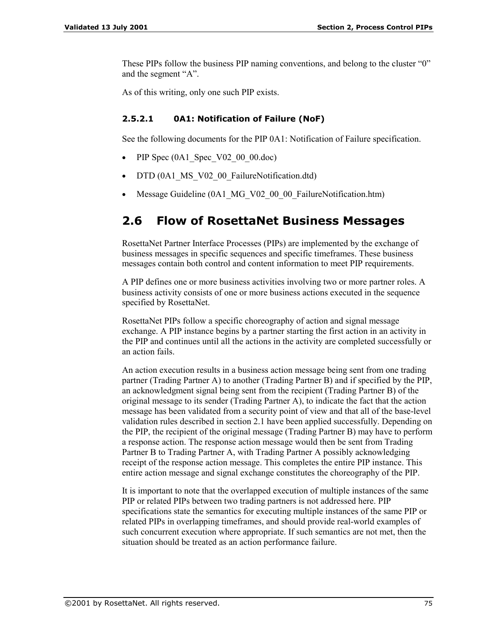These PIPs follow the business PIP naming conventions, and belong to the cluster "0" and the segment "A".

As of this writing, only one such PIP exists.

### **2.5.2.1 0A1: Notification of Failure (NoF)**

See the following documents for the PIP 0A1: Notification of Failure specification.

- PIP Spec (0A1 Spec V02 00 00.doc)
- DTD (0A1 MS V02 00 FailureNotification.dtd)
- Message Guideline (0A1 MG V02 00 00 FailureNotification.htm)

# **2.6 Flow of RosettaNet Business Messages**

RosettaNet Partner Interface Processes (PIPs) are implemented by the exchange of business messages in specific sequences and specific timeframes. These business messages contain both control and content information to meet PIP requirements.

A PIP defines one or more business activities involving two or more partner roles. A business activity consists of one or more business actions executed in the sequence specified by RosettaNet.

RosettaNet PIPs follow a specific choreography of action and signal message exchange. A PIP instance begins by a partner starting the first action in an activity in the PIP and continues until all the actions in the activity are completed successfully or an action fails.

An action execution results in a business action message being sent from one trading partner (Trading Partner A) to another (Trading Partner B) and if specified by the PIP, an acknowledgment signal being sent from the recipient (Trading Partner B) of the original message to its sender (Trading Partner A), to indicate the fact that the action message has been validated from a security point of view and that all of the base-level validation rules described in section 2.1 have been applied successfully. Depending on the PIP, the recipient of the original message (Trading Partner B) may have to perform a response action. The response action message would then be sent from Trading Partner B to Trading Partner A, with Trading Partner A possibly acknowledging receipt of the response action message. This completes the entire PIP instance. This entire action message and signal exchange constitutes the choreography of the PIP.

It is important to note that the overlapped execution of multiple instances of the same PIP or related PIPs between two trading partners is not addressed here. PIP specifications state the semantics for executing multiple instances of the same PIP or related PIPs in overlapping timeframes, and should provide real-world examples of such concurrent execution where appropriate. If such semantics are not met, then the situation should be treated as an action performance failure.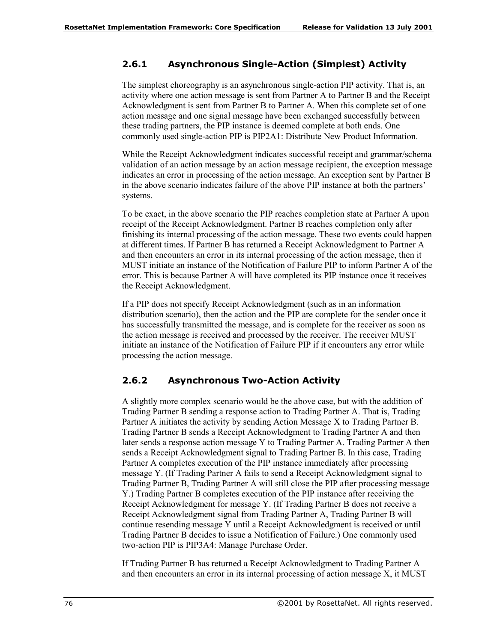## **2.6.1 Asynchronous Single-Action (Simplest) Activity**

The simplest choreography is an asynchronous single-action PIP activity. That is, an activity where one action message is sent from Partner A to Partner B and the Receipt Acknowledgment is sent from Partner B to Partner A. When this complete set of one action message and one signal message have been exchanged successfully between these trading partners, the PIP instance is deemed complete at both ends. One commonly used single-action PIP is PIP2A1: Distribute New Product Information.

While the Receipt Acknowledgment indicates successful receipt and grammar/schema validation of an action message by an action message recipient, the exception message indicates an error in processing of the action message. An exception sent by Partner B in the above scenario indicates failure of the above PIP instance at both the partners' systems.

To be exact, in the above scenario the PIP reaches completion state at Partner A upon receipt of the Receipt Acknowledgment. Partner B reaches completion only after finishing its internal processing of the action message. These two events could happen at different times. If Partner B has returned a Receipt Acknowledgment to Partner A and then encounters an error in its internal processing of the action message, then it MUST initiate an instance of the Notification of Failure PIP to inform Partner A of the error. This is because Partner A will have completed its PIP instance once it receives the Receipt Acknowledgment.

If a PIP does not specify Receipt Acknowledgment (such as in an information distribution scenario), then the action and the PIP are complete for the sender once it has successfully transmitted the message, and is complete for the receiver as soon as the action message is received and processed by the receiver. The receiver MUST initiate an instance of the Notification of Failure PIP if it encounters any error while processing the action message.

## **2.6.2 Asynchronous Two-Action Activity**

A slightly more complex scenario would be the above case, but with the addition of Trading Partner B sending a response action to Trading Partner A. That is, Trading Partner A initiates the activity by sending Action Message X to Trading Partner B. Trading Partner B sends a Receipt Acknowledgment to Trading Partner A and then later sends a response action message Y to Trading Partner A. Trading Partner A then sends a Receipt Acknowledgment signal to Trading Partner B. In this case, Trading Partner A completes execution of the PIP instance immediately after processing message Y. (If Trading Partner A fails to send a Receipt Acknowledgment signal to Trading Partner B, Trading Partner A will still close the PIP after processing message Y.) Trading Partner B completes execution of the PIP instance after receiving the Receipt Acknowledgment for message Y. (If Trading Partner B does not receive a Receipt Acknowledgment signal from Trading Partner A, Trading Partner B will continue resending message Y until a Receipt Acknowledgment is received or until Trading Partner B decides to issue a Notification of Failure.) One commonly used two-action PIP is PIP3A4: Manage Purchase Order.

If Trading Partner B has returned a Receipt Acknowledgment to Trading Partner A and then encounters an error in its internal processing of action message X, it MUST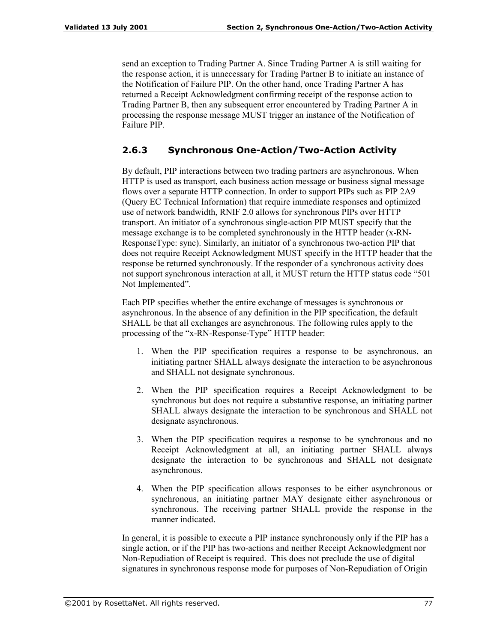send an exception to Trading Partner A. Since Trading Partner A is still waiting for the response action, it is unnecessary for Trading Partner B to initiate an instance of the Notification of Failure PIP. On the other hand, once Trading Partner A has returned a Receipt Acknowledgment confirming receipt of the response action to Trading Partner B, then any subsequent error encountered by Trading Partner A in processing the response message MUST trigger an instance of the Notification of Failure PIP.

## **2.6.3 Synchronous One-Action/Two-Action Activity**

By default, PIP interactions between two trading partners are asynchronous. When HTTP is used as transport, each business action message or business signal message flows over a separate HTTP connection. In order to support PIPs such as PIP 2A9 (Query EC Technical Information) that require immediate responses and optimized use of network bandwidth, RNIF 2.0 allows for synchronous PIPs over HTTP transport. An initiator of a synchronous single-action PIP MUST specify that the message exchange is to be completed synchronously in the HTTP header (x-RN-ResponseType: sync). Similarly, an initiator of a synchronous two-action PIP that does not require Receipt Acknowledgment MUST specify in the HTTP header that the response be returned synchronously. If the responder of a synchronous activity does not support synchronous interaction at all, it MUST return the HTTP status code "501" Not Implemented".

Each PIP specifies whether the entire exchange of messages is synchronous or asynchronous. In the absence of any definition in the PIP specification, the default SHALL be that all exchanges are asynchronous. The following rules apply to the processing of the "x-RN-Response-Type" HTTP header:

- 1. When the PIP specification requires a response to be asynchronous, an initiating partner SHALL always designate the interaction to be asynchronous and SHALL not designate synchronous.
- 2. When the PIP specification requires a Receipt Acknowledgment to be synchronous but does not require a substantive response, an initiating partner SHALL always designate the interaction to be synchronous and SHALL not designate asynchronous.
- 3. When the PIP specification requires a response to be synchronous and no Receipt Acknowledgment at all, an initiating partner SHALL always designate the interaction to be synchronous and SHALL not designate asynchronous.
- 4. When the PIP specification allows responses to be either asynchronous or synchronous, an initiating partner MAY designate either asynchronous or synchronous. The receiving partner SHALL provide the response in the manner indicated.

In general, it is possible to execute a PIP instance synchronously only if the PIP has a single action, or if the PIP has two-actions and neither Receipt Acknowledgment nor Non-Repudiation of Receipt is required. This does not preclude the use of digital signatures in synchronous response mode for purposes of Non-Repudiation of Origin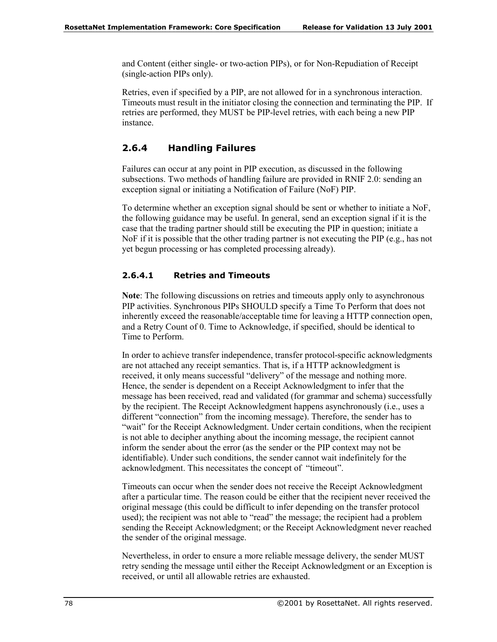and Content (either single- or two-action PIPs), or for Non-Repudiation of Receipt (single-action PIPs only).

Retries, even if specified by a PIP, are not allowed for in a synchronous interaction. Timeouts must result in the initiator closing the connection and terminating the PIP. If retries are performed, they MUST be PIP-level retries, with each being a new PIP instance.

## **2.6.4 Handling Failures**

Failures can occur at any point in PIP execution, as discussed in the following subsections. Two methods of handling failure are provided in RNIF 2.0: sending an exception signal or initiating a Notification of Failure (NoF) PIP.

To determine whether an exception signal should be sent or whether to initiate a NoF, the following guidance may be useful. In general, send an exception signal if it is the case that the trading partner should still be executing the PIP in question; initiate a NoF if it is possible that the other trading partner is not executing the PIP (e.g., has not yet begun processing or has completed processing already).

## **2.6.4.1 Retries and Timeouts**

**Note**: The following discussions on retries and timeouts apply only to asynchronous PIP activities. Synchronous PIPs SHOULD specify a Time To Perform that does not inherently exceed the reasonable/acceptable time for leaving a HTTP connection open, and a Retry Count of 0. Time to Acknowledge, if specified, should be identical to Time to Perform.

In order to achieve transfer independence, transfer protocol-specific acknowledgments are not attached any receipt semantics. That is, if a HTTP acknowledgment is received, it only means successful "delivery" of the message and nothing more. Hence, the sender is dependent on a Receipt Acknowledgment to infer that the message has been received, read and validated (for grammar and schema) successfully by the recipient. The Receipt Acknowledgment happens asynchronously (i.e., uses a different "connection" from the incoming message). Therefore, the sender has to ìwaitî for the Receipt Acknowledgment. Under certain conditions, when the recipient is not able to decipher anything about the incoming message, the recipient cannot inform the sender about the error (as the sender or the PIP context may not be identifiable). Under such conditions, the sender cannot wait indefinitely for the acknowledgment. This necessitates the concept of "timeout".

Timeouts can occur when the sender does not receive the Receipt Acknowledgment after a particular time. The reason could be either that the recipient never received the original message (this could be difficult to infer depending on the transfer protocol used); the recipient was not able to "read" the message; the recipient had a problem sending the Receipt Acknowledgment; or the Receipt Acknowledgment never reached the sender of the original message.

Nevertheless, in order to ensure a more reliable message delivery, the sender MUST retry sending the message until either the Receipt Acknowledgment or an Exception is received, or until all allowable retries are exhausted.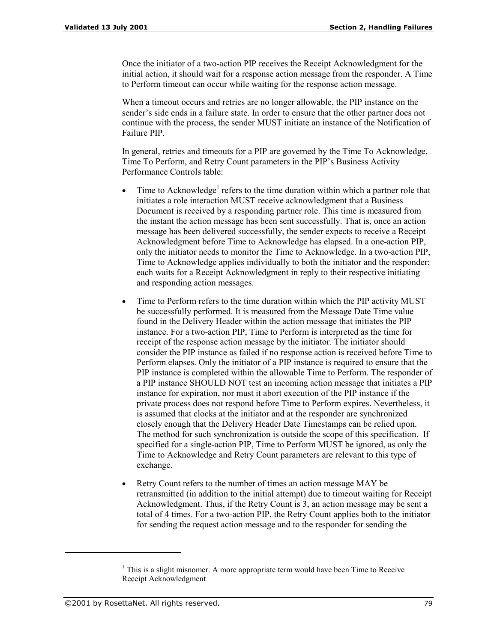Once the initiator of a two-action PIP receives the Receipt Acknowledgment for the initial action, it should wait for a response action message from the responder. A Time to Perform timeout can occur while waiting for the response action message.

When a timeout occurs and retries are no longer allowable, the PIP instance on the sender's side ends in a failure state. In order to ensure that the other partner does not continue with the process, the sender MUST initiate an instance of the Notification of Failure PIP.

In general, retries and timeouts for a PIP are governed by the Time To Acknowledge, Time To Perform, and Retry Count parameters in the PIP's Business Activity Performance Controls table:

- Time to Acknowledge<sup>1</sup> refers to the time duration within which a partner role that initiates a role interaction MUST receive acknowledgment that a Business Document is received by a responding partner role. This time is measured from the instant the action message has been sent successfully. That is, once an action message has been delivered successfully, the sender expects to receive a Receipt Acknowledgment before Time to Acknowledge has elapsed. In a one-action PIP, only the initiator needs to monitor the Time to Acknowledge. In a two-action PIP, Time to Acknowledge applies individually to both the initiator and the responder; each waits for a Receipt Acknowledgment in reply to their respective initiating and responding action messages.
- Time to Perform refers to the time duration within which the PIP activity MUST be successfully performed. It is measured from the Message Date Time value found in the Delivery Header within the action message that initiates the PIP instance. For a two-action PIP, Time to Perform is interpreted as the time for receipt of the response action message by the initiator. The initiator should consider the PIP instance as failed if no response action is received before Time to Perform elapses. Only the initiator of a PIP instance is required to ensure that the PIP instance is completed within the allowable Time to Perform. The responder of a PIP instance SHOULD NOT test an incoming action message that initiates a PIP instance for expiration, nor must it abort execution of the PIP instance if the private process does not respond before Time to Perform expires. Nevertheless, it is assumed that clocks at the initiator and at the responder are synchronized closely enough that the Delivery Header Date Timestamps can be relied upon. The method for such synchronization is outside the scope of this specification. If specified for a single-action PIP, Time to Perform MUST be ignored, as only the Time to Acknowledge and Retry Count parameters are relevant to this type of exchange.
- Retry Count refers to the number of times an action message MAY be retransmitted (in addition to the initial attempt) due to timeout waiting for Receipt Acknowledgment. Thus, if the Retry Count is 3, an action message may be sent a total of 4 times. For a two-action PIP, the Retry Count applies both to the initiator for sending the request action message and to the responder for sending the

-

 $<sup>1</sup>$  This is a slight misnomer. A more appropriate term would have been Time to Receive</sup> Receipt Acknowledgment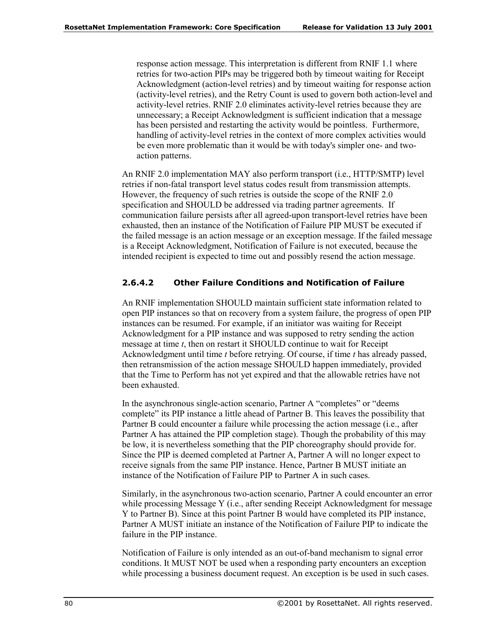response action message. This interpretation is different from RNIF 1.1 where retries for two-action PIPs may be triggered both by timeout waiting for Receipt Acknowledgment (action-level retries) and by timeout waiting for response action (activity-level retries), and the Retry Count is used to govern both action-level and activity-level retries. RNIF 2.0 eliminates activity-level retries because they are unnecessary; a Receipt Acknowledgment is sufficient indication that a message has been persisted and restarting the activity would be pointless. Furthermore, handling of activity-level retries in the context of more complex activities would be even more problematic than it would be with today's simpler one- and twoaction patterns.

An RNIF 2.0 implementation MAY also perform transport (i.e., HTTP/SMTP) level retries if non-fatal transport level status codes result from transmission attempts. However, the frequency of such retries is outside the scope of the RNIF 2.0 specification and SHOULD be addressed via trading partner agreements. If communication failure persists after all agreed-upon transport-level retries have been exhausted, then an instance of the Notification of Failure PIP MUST be executed if the failed message is an action message or an exception message. If the failed message is a Receipt Acknowledgment, Notification of Failure is not executed, because the intended recipient is expected to time out and possibly resend the action message.

### **2.6.4.2 Other Failure Conditions and Notification of Failure**

An RNIF implementation SHOULD maintain sufficient state information related to open PIP instances so that on recovery from a system failure, the progress of open PIP instances can be resumed. For example, if an initiator was waiting for Receipt Acknowledgment for a PIP instance and was supposed to retry sending the action message at time *t*, then on restart it SHOULD continue to wait for Receipt Acknowledgment until time *t* before retrying. Of course, if time *t* has already passed, then retransmission of the action message SHOULD happen immediately, provided that the Time to Perform has not yet expired and that the allowable retries have not been exhausted.

In the asynchronous single-action scenario, Partner A "completes" or "deems" complete" its PIP instance a little ahead of Partner B. This leaves the possibility that Partner B could encounter a failure while processing the action message (i.e., after Partner A has attained the PIP completion stage). Though the probability of this may be low, it is nevertheless something that the PIP choreography should provide for. Since the PIP is deemed completed at Partner A, Partner A will no longer expect to receive signals from the same PIP instance. Hence, Partner B MUST initiate an instance of the Notification of Failure PIP to Partner A in such cases.

Similarly, in the asynchronous two-action scenario, Partner A could encounter an error while processing Message Y (i.e., after sending Receipt Acknowledgment for message Y to Partner B). Since at this point Partner B would have completed its PIP instance, Partner A MUST initiate an instance of the Notification of Failure PIP to indicate the failure in the PIP instance.

Notification of Failure is only intended as an out-of-band mechanism to signal error conditions. It MUST NOT be used when a responding party encounters an exception while processing a business document request. An exception is be used in such cases.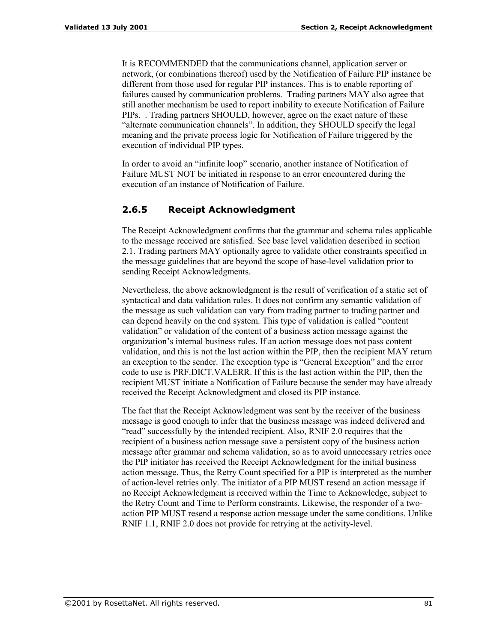It is RECOMMENDED that the communications channel, application server or network, (or combinations thereof) used by the Notification of Failure PIP instance be different from those used for regular PIP instances. This is to enable reporting of failures caused by communication problems. Trading partners MAY also agree that still another mechanism be used to report inability to execute Notification of Failure PIPs. . Trading partners SHOULD, however, agree on the exact nature of these "alternate communication channels". In addition, they SHOULD specify the legal meaning and the private process logic for Notification of Failure triggered by the execution of individual PIP types.

In order to avoid an "infinite loop" scenario, another instance of Notification of Failure MUST NOT be initiated in response to an error encountered during the execution of an instance of Notification of Failure.

## **2.6.5 Receipt Acknowledgment**

The Receipt Acknowledgment confirms that the grammar and schema rules applicable to the message received are satisfied. See base level validation described in section 2.1. Trading partners MAY optionally agree to validate other constraints specified in the message guidelines that are beyond the scope of base-level validation prior to sending Receipt Acknowledgments.

Nevertheless, the above acknowledgment is the result of verification of a static set of syntactical and data validation rules. It does not confirm any semantic validation of the message as such validation can vary from trading partner to trading partner and can depend heavily on the end system. This type of validation is called "content" validation" or validation of the content of a business action message against the organizationís internal business rules. If an action message does not pass content validation, and this is not the last action within the PIP, then the recipient MAY return an exception to the sender. The exception type is "General Exception" and the error code to use is PRF.DICT.VALERR. If this is the last action within the PIP, then the recipient MUST initiate a Notification of Failure because the sender may have already received the Receipt Acknowledgment and closed its PIP instance.

The fact that the Receipt Acknowledgment was sent by the receiver of the business message is good enough to infer that the business message was indeed delivered and "read" successfully by the intended recipient. Also, RNIF 2.0 requires that the recipient of a business action message save a persistent copy of the business action message after grammar and schema validation, so as to avoid unnecessary retries once the PIP initiator has received the Receipt Acknowledgment for the initial business action message. Thus, the Retry Count specified for a PIP is interpreted as the number of action-level retries only. The initiator of a PIP MUST resend an action message if no Receipt Acknowledgment is received within the Time to Acknowledge, subject to the Retry Count and Time to Perform constraints. Likewise, the responder of a twoaction PIP MUST resend a response action message under the same conditions. Unlike RNIF 1.1, RNIF 2.0 does not provide for retrying at the activity-level.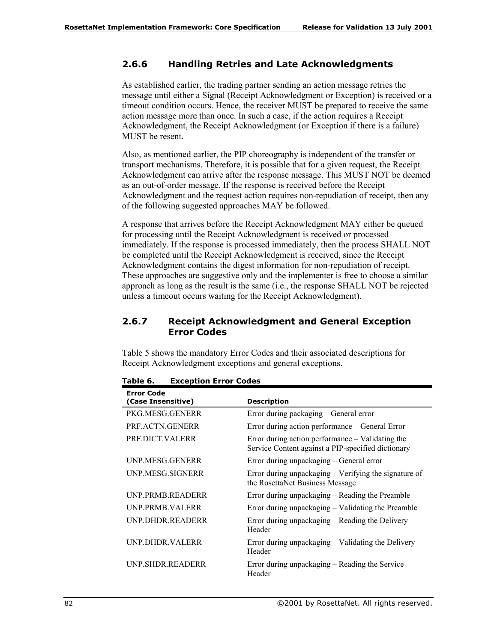## **2.6.6 Handling Retries and Late Acknowledgments**

As established earlier, the trading partner sending an action message retries the message until either a Signal (Receipt Acknowledgment or Exception) is received or a timeout condition occurs. Hence, the receiver MUST be prepared to receive the same action message more than once. In such a case, if the action requires a Receipt Acknowledgment, the Receipt Acknowledgment (or Exception if there is a failure) MUST be resent.

Also, as mentioned earlier, the PIP choreography is independent of the transfer or transport mechanisms. Therefore, it is possible that for a given request, the Receipt Acknowledgment can arrive after the response message. This MUST NOT be deemed as an out-of-order message. If the response is received before the Receipt Acknowledgment and the request action requires non-repudiation of receipt, then any of the following suggested approaches MAY be followed.

A response that arrives before the Receipt Acknowledgment MAY either be queued for processing until the Receipt Acknowledgment is received or processed immediately. If the response is processed immediately, then the process SHALL NOT be completed until the Receipt Acknowledgment is received, since the Receipt Acknowledgment contains the digest information for non-repudiation of receipt. These approaches are suggestive only and the implementer is free to choose a similar approach as long as the result is the same (i.e., the response SHALL NOT be rejected unless a timeout occurs waiting for the Receipt Acknowledgment).

## **2.6.7 Receipt Acknowledgment and General Exception Error Codes**

Table 5 shows the mandatory Error Codes and their associated descriptions for Receipt Acknowledgment exceptions and general exceptions.

| <b>Error Code</b><br>(Case Insensitive) | <b>Description</b>                                                                                     |
|-----------------------------------------|--------------------------------------------------------------------------------------------------------|
| PKG MESG GENERR                         | Error during packaging – General error                                                                 |
| PRE ACTN GENERR                         | Error during action performance – General Error                                                        |
| PRE DICT VALERR                         | Error during action performance – Validating the<br>Service Content against a PIP-specified dictionary |
| UNP MESG GENERR                         | Error during unpackaging – General error                                                               |
| UNP MESG SIGNERR                        | Error during unpackaging – Verifying the signature of<br>the RosettaNet Business Message               |
| UNP PRMB READERR                        | Error during unpackaging – Reading the Preamble                                                        |
| UNP PRMB VALERR                         | Error during unpackaging – Validating the Preamble                                                     |
| UNP DHDR READERR                        | Error during unpackaging – Reading the Delivery<br>Header                                              |
| UNP DHDR VALERR                         | Error during unpackaging – Validating the Delivery<br>Header                                           |
| UNP.SHDR.READERR                        | Error during unpackaging – Reading the Service<br>Header                                               |

**Table 6. Exception Error Codes**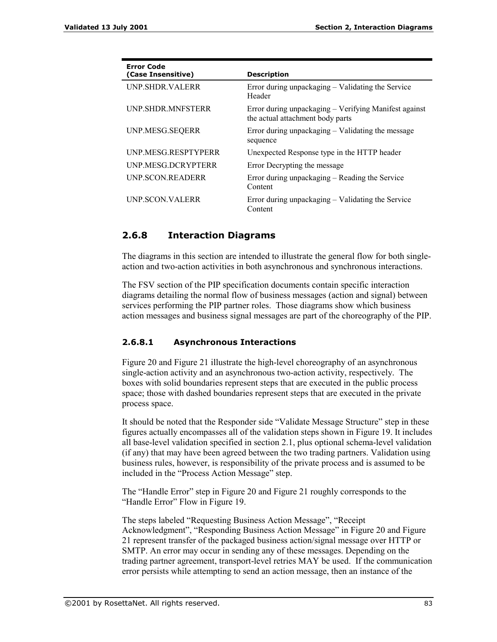| <b>Error Code</b><br>(Case Insensitive) | <b>Description</b>                                                                        |
|-----------------------------------------|-------------------------------------------------------------------------------------------|
| UNP.SHDR.VALERR                         | Error during unpackaging – Validating the Service<br>Header                               |
| <b>UNP SHDR MNFSTERR</b>                | Error during unpackaging – Verifying Manifest against<br>the actual attachment body parts |
| UNP.MESG.SEQERR                         | Error during unpackaging – Validating the message<br>sequence                             |
| UNP MESG RESPTYPERR                     | Unexpected Response type in the HTTP header                                               |
| UNP.MESG.DCRYPTERR                      | Error Decrypting the message                                                              |
| UNP.SCON.READERR                        | Error during unpackaging – Reading the Service<br>Content                                 |
| <b>UNP SCON VALERR</b>                  | Error during unpackaging – Validating the Service<br>Content                              |

## **2.6.8 Interaction Diagrams**

The diagrams in this section are intended to illustrate the general flow for both singleaction and two-action activities in both asynchronous and synchronous interactions.

The FSV section of the PIP specification documents contain specific interaction diagrams detailing the normal flow of business messages (action and signal) between services performing the PIP partner roles. Those diagrams show which business action messages and business signal messages are part of the choreography of the PIP.

### **2.6.8.1 Asynchronous Interactions**

Figure 20 and Figure 21 illustrate the high-level choreography of an asynchronous single-action activity and an asynchronous two-action activity, respectively. The boxes with solid boundaries represent steps that are executed in the public process space; those with dashed boundaries represent steps that are executed in the private process space.

It should be noted that the Responder side "Validate Message Structure" step in these figures actually encompasses all of the validation steps shown in Figure 19. It includes all base-level validation specified in section 2.1, plus optional schema-level validation (if any) that may have been agreed between the two trading partners. Validation using business rules, however, is responsibility of the private process and is assumed to be included in the "Process Action Message" step.

The "Handle Error" step in Figure 20 and Figure 21 roughly corresponds to the "Handle Error" Flow in Figure 19.

The steps labeled "Requesting Business Action Message", "Receipt Acknowledgment", "Responding Business Action Message" in Figure 20 and Figure 21 represent transfer of the packaged business action/signal message over HTTP or SMTP. An error may occur in sending any of these messages. Depending on the trading partner agreement, transport-level retries MAY be used. If the communication error persists while attempting to send an action message, then an instance of the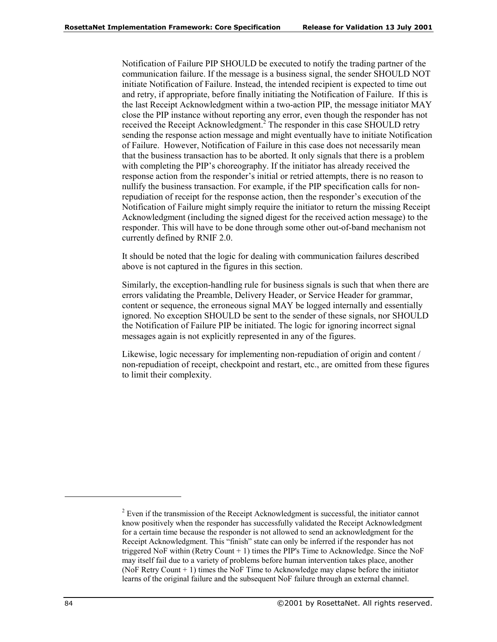Notification of Failure PIP SHOULD be executed to notify the trading partner of the communication failure. If the message is a business signal, the sender SHOULD NOT initiate Notification of Failure. Instead, the intended recipient is expected to time out and retry, if appropriate, before finally initiating the Notification of Failure. If this is the last Receipt Acknowledgment within a two-action PIP, the message initiator MAY close the PIP instance without reporting any error, even though the responder has not received the Receipt Acknowledgment.<sup>2</sup> The responder in this case SHOULD retry sending the response action message and might eventually have to initiate Notification of Failure. However, Notification of Failure in this case does not necessarily mean that the business transaction has to be aborted. It only signals that there is a problem with completing the PIP's choreography. If the initiator has already received the response action from the responder's initial or retried attempts, there is no reason to nullify the business transaction. For example, if the PIP specification calls for nonrepudiation of receipt for the response action, then the responder's execution of the Notification of Failure might simply require the initiator to return the missing Receipt Acknowledgment (including the signed digest for the received action message) to the responder. This will have to be done through some other out-of-band mechanism not currently defined by RNIF 2.0.

It should be noted that the logic for dealing with communication failures described above is not captured in the figures in this section.

Similarly, the exception-handling rule for business signals is such that when there are errors validating the Preamble, Delivery Header, or Service Header for grammar, content or sequence, the erroneous signal MAY be logged internally and essentially ignored. No exception SHOULD be sent to the sender of these signals, nor SHOULD the Notification of Failure PIP be initiated. The logic for ignoring incorrect signal messages again is not explicitly represented in any of the figures.

Likewise, logic necessary for implementing non-repudiation of origin and content / non-repudiation of receipt, checkpoint and restart, etc., are omitted from these figures to limit their complexity.

-

 $2^{2}$  Even if the transmission of the Receipt Acknowledgment is successful, the initiator cannot know positively when the responder has successfully validated the Receipt Acknowledgment for a certain time because the responder is not allowed to send an acknowledgment for the Receipt Acknowledgment. This "finish" state can only be inferred if the responder has not triggered NoF within (Retry Count + 1) times the PIP's Time to Acknowledge. Since the NoF may itself fail due to a variety of problems before human intervention takes place, another (NoF Retry Count + 1) times the NoF Time to Acknowledge may elapse before the initiator learns of the original failure and the subsequent NoF failure through an external channel.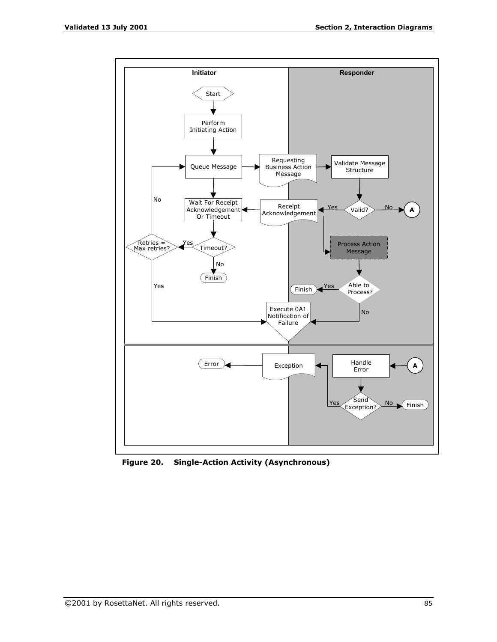

**Figure 20. Single-Action Activity (Asynchronous)**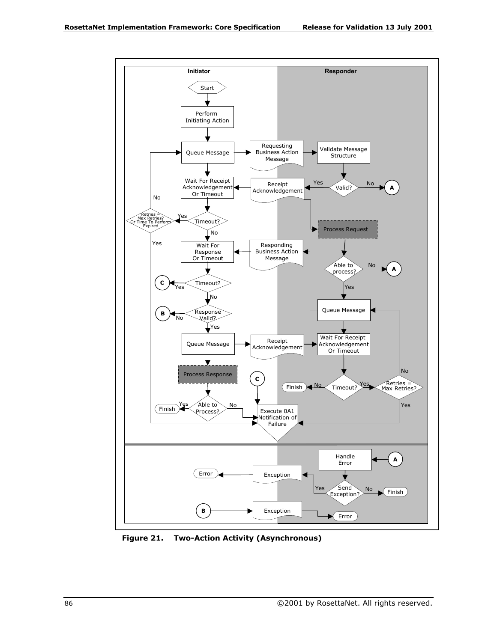

**Figure 21. Two-Action Activity (Asynchronous)**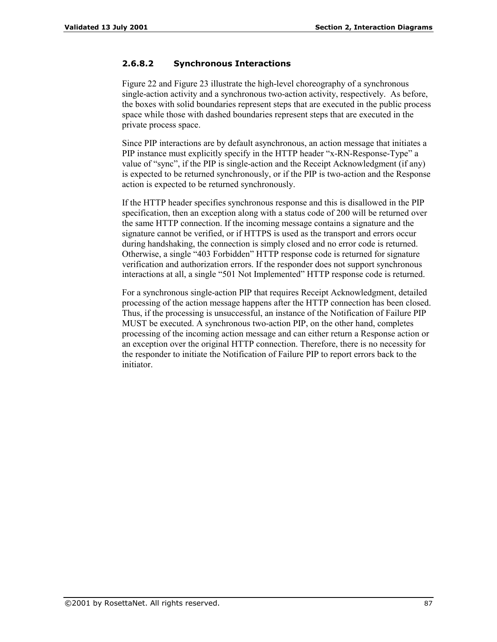### **2.6.8.2 Synchronous Interactions**

Figure 22 and Figure 23 illustrate the high-level choreography of a synchronous single-action activity and a synchronous two-action activity, respectively. As before, the boxes with solid boundaries represent steps that are executed in the public process space while those with dashed boundaries represent steps that are executed in the private process space.

Since PIP interactions are by default asynchronous, an action message that initiates a PIP instance must explicitly specify in the HTTP header "x-RN-Response-Type" a value of "sync", if the PIP is single-action and the Receipt Acknowledgment (if any) is expected to be returned synchronously, or if the PIP is two-action and the Response action is expected to be returned synchronously.

If the HTTP header specifies synchronous response and this is disallowed in the PIP specification, then an exception along with a status code of 200 will be returned over the same HTTP connection. If the incoming message contains a signature and the signature cannot be verified, or if HTTPS is used as the transport and errors occur during handshaking, the connection is simply closed and no error code is returned. Otherwise, a single "403 Forbidden" HTTP response code is returned for signature verification and authorization errors. If the responder does not support synchronous interactions at all, a single "501 Not Implemented" HTTP response code is returned.

For a synchronous single-action PIP that requires Receipt Acknowledgment, detailed processing of the action message happens after the HTTP connection has been closed. Thus, if the processing is unsuccessful, an instance of the Notification of Failure PIP MUST be executed. A synchronous two-action PIP, on the other hand, completes processing of the incoming action message and can either return a Response action or an exception over the original HTTP connection. Therefore, there is no necessity for the responder to initiate the Notification of Failure PIP to report errors back to the initiator.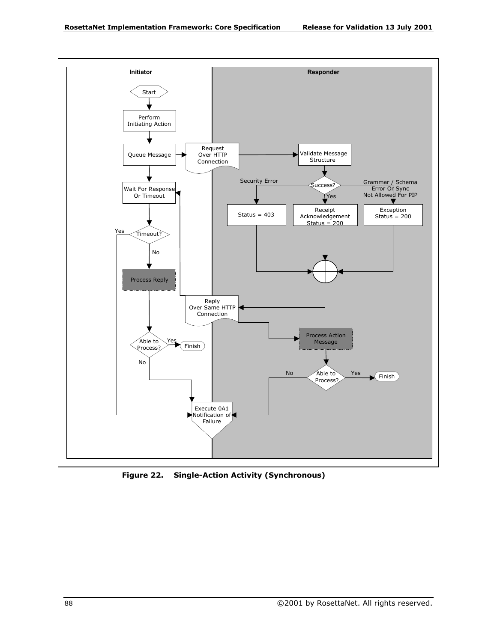

**Figure 22. Single-Action Activity (Synchronous)**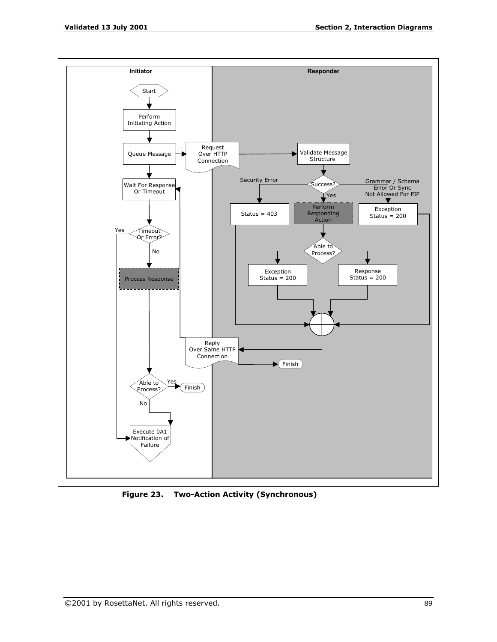

**Figure 23. Two-Action Activity (Synchronous)**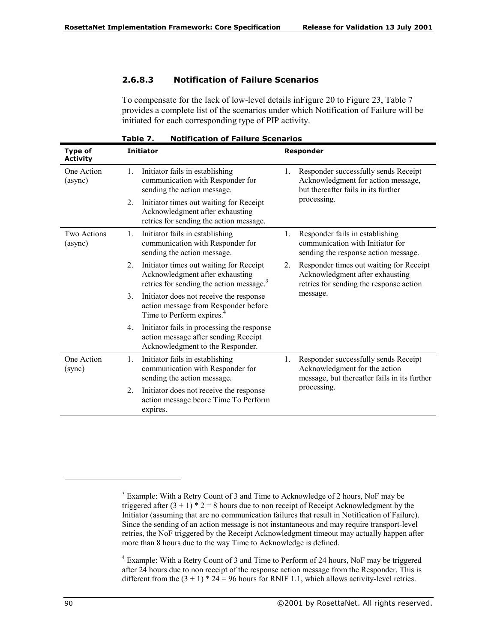## **2.6.8.3 Notification of Failure Scenarios**

To compensate for the lack of low-level details inFigure 20 to Figure 23, Table 7 provides a complete list of the scenarios under which Notification of Failure will be initiated for each corresponding type of PIP activity.

| rabie z.<br>NOTITICATION OF FAILURE SCENATIOS |                                                                                                                                          |                                                                                                                             |  |  |
|-----------------------------------------------|------------------------------------------------------------------------------------------------------------------------------------------|-----------------------------------------------------------------------------------------------------------------------------|--|--|
| <b>Type of</b><br><b>Activity</b>             | <b>Initiator</b>                                                                                                                         | Responder                                                                                                                   |  |  |
| One Action<br>(async)                         | Initiator fails in establishing<br>1.<br>communication with Responder for<br>sending the action message.                                 | Responder successfully sends Receipt<br>1.<br>Acknowledgment for action message,<br>but thereafter fails in its further     |  |  |
|                                               | 2.<br>Initiator times out waiting for Receipt<br>Acknowledgment after exhausting<br>retries for sending the action message.              | processing.                                                                                                                 |  |  |
| Two Actions<br>(async)                        | Initiator fails in establishing<br>1.<br>communication with Responder for<br>sending the action message.                                 | Responder fails in establishing<br>1.<br>communication with Initiator for<br>sending the response action message.           |  |  |
|                                               | Initiator times out waiting for Receipt<br>2.<br>Acknowledgment after exhausting<br>retries for sending the action message. <sup>3</sup> | Responder times out waiting for Receipt<br>2.<br>Acknowledgment after exhausting<br>retries for sending the response action |  |  |
|                                               | 3.<br>Initiator does not receive the response<br>action message from Responder before<br>Time to Perform expires. <sup>4</sup>           | message.                                                                                                                    |  |  |
|                                               | Initiator fails in processing the response<br>4.<br>action message after sending Receipt<br>Acknowledgment to the Responder.             |                                                                                                                             |  |  |
| One Action<br>1.<br>(sync)<br>2.              | Initiator fails in establishing<br>communication with Responder for<br>sending the action message.                                       | Responder successfully sends Receipt<br>1.<br>Acknowledgment for the action<br>message, but thereafter fails in its further |  |  |
|                                               | Initiator does not receive the response<br>action message beore Time To Perform<br>expires.                                              | processing.                                                                                                                 |  |  |

**Table 7. Notification of Failure Scenarios** 

<sup>4</sup> Example: With a Retry Count of 3 and Time to Perform of 24 hours, NoF may be triggered after 24 hours due to non receipt of the response action message from the Responder. This is different from the  $(3 + 1) * 24 = 96$  hours for RNIF 1.1, which allows activity-level retries.

-

 $3$  Example: With a Retry Count of 3 and Time to Acknowledge of 2 hours, NoF may be triggered after  $(3 + 1) * 2 = 8$  hours due to non receipt of Receipt Acknowledgment by the Initiator (assuming that are no communication failures that result in Notification of Failure). Since the sending of an action message is not instantaneous and may require transport-level retries, the NoF triggered by the Receipt Acknowledgment timeout may actually happen after more than 8 hours due to the way Time to Acknowledge is defined.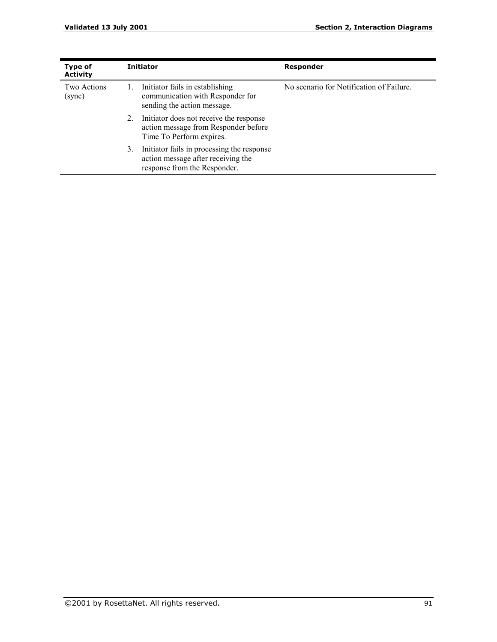| <b>Type of</b><br><b>Activity</b> | <b>Initiator</b>                                                                                                       | Responder                                |  |  |
|-----------------------------------|------------------------------------------------------------------------------------------------------------------------|------------------------------------------|--|--|
| Two Actions<br>(sync)             | Initiator fails in establishing<br>communication with Responder for<br>sending the action message.                     | No scenario for Notification of Failure. |  |  |
|                                   | Initiator does not receive the response<br>2.<br>action message from Responder before<br>Time To Perform expires.      |                                          |  |  |
|                                   | Initiator fails in processing the response<br>3.<br>action message after receiving the<br>response from the Responder. |                                          |  |  |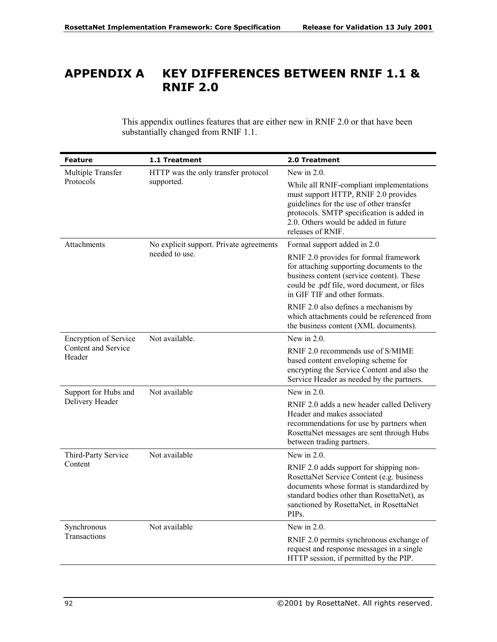# **APPENDIX A KEY DIFFERENCES BETWEEN RNIF 1.1 & RNIF 2.0**

This appendix outlines features that are either new in RNIF 2.0 or that have been substantially changed from RNIF 1.1.

| <b>Feature</b>                | 1.1 Treatment                           | 2.0 Treatment                                                                                                                                                                                                                                    |
|-------------------------------|-----------------------------------------|--------------------------------------------------------------------------------------------------------------------------------------------------------------------------------------------------------------------------------------------------|
| Multiple Transfer             | HTTP was the only transfer protocol     | New in $2.0$ .                                                                                                                                                                                                                                   |
| Protocols                     | supported.                              | While all RNIF-compliant implementations<br>must support HTTP, RNIF 2.0 provides<br>guidelines for the use of other transfer<br>protocols. SMTP specification is added in<br>2.0. Others would be added in future<br>releases of RNIF.           |
| <b>Attachments</b>            | No explicit support. Private agreements | Formal support added in 2.0                                                                                                                                                                                                                      |
|                               | needed to use.                          | RNIF 2.0 provides for formal framework<br>for attaching supporting documents to the<br>business content (service content). These<br>could be .pdf file, word document, or files<br>in GIF TIF and other formats.                                 |
|                               |                                         | RNIF 2.0 also defines a mechanism by<br>which attachments could be referenced from<br>the business content (XML documents).                                                                                                                      |
| <b>Encryption of Service</b>  | Not available.                          | New in $2.0$ .                                                                                                                                                                                                                                   |
| Content and Service<br>Header |                                         | RNIF 2.0 recommends use of S/MIME<br>based content enveloping scheme for<br>encrypting the Service Content and also the<br>Service Header as needed by the partners.                                                                             |
| Support for Hubs and          | Not available                           | New in $2.0$ .                                                                                                                                                                                                                                   |
| Delivery Header               |                                         | RNIF 2.0 adds a new header called Delivery<br>Header and makes associated<br>recommendations for use by partners when<br>RosettaNet messages are sent through Hubs<br>between trading partners.                                                  |
| Third-Party Service           | Not available                           | New in $2.0$ .                                                                                                                                                                                                                                   |
| Content                       |                                         | RNIF 2.0 adds support for shipping non-<br>RosettaNet Service Content (e.g. business<br>documents whose format is standardized by<br>standard bodies other than RosettaNet), as<br>sanctioned by RosettaNet, in RosettaNet<br>PIP <sub>s</sub> . |
| Synchronous                   | Not available                           | New in $2.0$ .                                                                                                                                                                                                                                   |
| Transactions                  |                                         | RNIF 2.0 permits synchronous exchange of<br>request and response messages in a single<br>HTTP session, if permitted by the PIP.                                                                                                                  |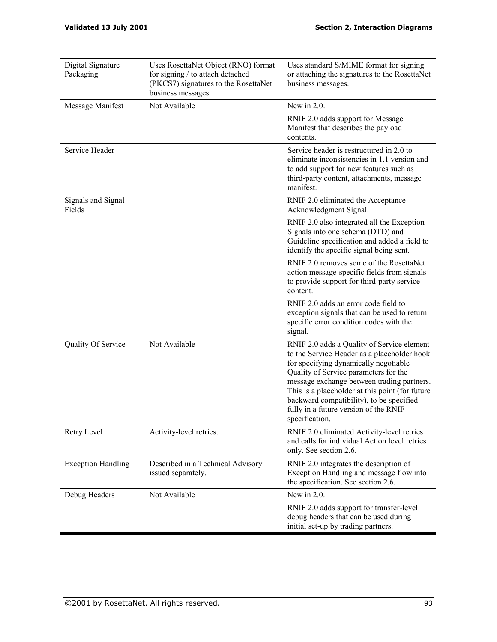| Digital Signature<br>Packaging | Uses RosettaNet Object (RNO) format<br>for signing / to attach detached<br>(PKCS7) signatures to the RosettaNet<br>business messages. | Uses standard S/MIME format for signing<br>or attaching the signatures to the RosettaNet<br>business messages.                                                                                                                                                                                                                                                                      |  |
|--------------------------------|---------------------------------------------------------------------------------------------------------------------------------------|-------------------------------------------------------------------------------------------------------------------------------------------------------------------------------------------------------------------------------------------------------------------------------------------------------------------------------------------------------------------------------------|--|
| Message Manifest               | Not Available                                                                                                                         | New in $2.0$ .                                                                                                                                                                                                                                                                                                                                                                      |  |
|                                |                                                                                                                                       | RNIF 2.0 adds support for Message<br>Manifest that describes the payload<br>contents.                                                                                                                                                                                                                                                                                               |  |
| Service Header                 |                                                                                                                                       | Service header is restructured in 2.0 to<br>eliminate inconsistencies in 1.1 version and<br>to add support for new features such as<br>third-party content, attachments, message<br>manifest.                                                                                                                                                                                       |  |
| Signals and Signal<br>Fields   |                                                                                                                                       | RNIF 2.0 eliminated the Acceptance<br>Acknowledgment Signal.                                                                                                                                                                                                                                                                                                                        |  |
|                                |                                                                                                                                       | RNIF 2.0 also integrated all the Exception<br>Signals into one schema (DTD) and<br>Guideline specification and added a field to<br>identify the specific signal being sent.                                                                                                                                                                                                         |  |
|                                |                                                                                                                                       | RNIF 2.0 removes some of the RosettaNet<br>action message-specific fields from signals<br>to provide support for third-party service<br>content.                                                                                                                                                                                                                                    |  |
|                                |                                                                                                                                       | RNIF 2.0 adds an error code field to<br>exception signals that can be used to return<br>specific error condition codes with the<br>signal.                                                                                                                                                                                                                                          |  |
| Quality Of Service             | Not Available                                                                                                                         | RNIF 2.0 adds a Quality of Service element<br>to the Service Header as a placeholder hook<br>for specifying dynamically negotiable<br>Quality of Service parameters for the<br>message exchange between trading partners.<br>This is a placeholder at this point (for future<br>backward compatibility), to be specified<br>fully in a future version of the RNIF<br>specification. |  |
| Retry Level                    | Activity-level retries.                                                                                                               | RNIF 2.0 eliminated Activity-level retries<br>and calls for individual Action level retries<br>only. See section 2.6.                                                                                                                                                                                                                                                               |  |
| <b>Exception Handling</b>      | Described in a Technical Advisory<br>issued separately.                                                                               | RNIF 2.0 integrates the description of<br>Exception Handling and message flow into<br>the specification. See section 2.6.                                                                                                                                                                                                                                                           |  |
| Debug Headers                  | Not Available                                                                                                                         | New in $2.0$ .                                                                                                                                                                                                                                                                                                                                                                      |  |
|                                |                                                                                                                                       | RNIF 2.0 adds support for transfer-level<br>debug headers that can be used during<br>initial set-up by trading partners.                                                                                                                                                                                                                                                            |  |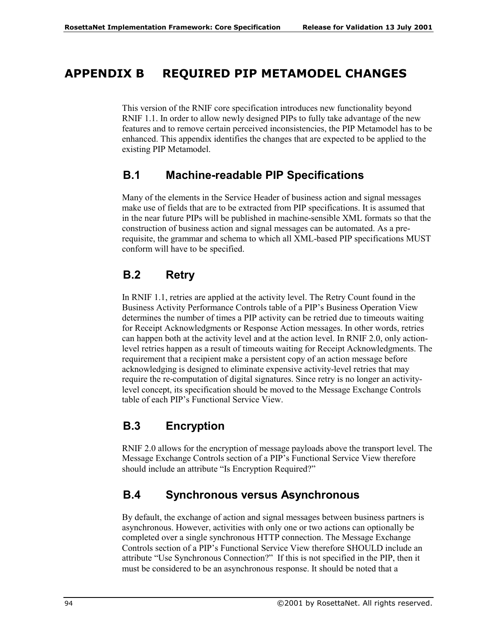## **APPENDIX B REQUIRED PIP METAMODEL CHANGES**

This version of the RNIF core specification introduces new functionality beyond RNIF 1.1. In order to allow newly designed PIPs to fully take advantage of the new features and to remove certain perceived inconsistencies, the PIP Metamodel has to be enhanced. This appendix identifies the changes that are expected to be applied to the existing PIP Metamodel.

### **B.1 Machine-readable PIP Specifications**

Many of the elements in the Service Header of business action and signal messages make use of fields that are to be extracted from PIP specifications. It is assumed that in the near future PIPs will be published in machine-sensible XML formats so that the construction of business action and signal messages can be automated. As a prerequisite, the grammar and schema to which all XML-based PIP specifications MUST conform will have to be specified.

## **B.2 Retry**

In RNIF 1.1, retries are applied at the activity level. The Retry Count found in the Business Activity Performance Controls table of a PIP's Business Operation View determines the number of times a PIP activity can be retried due to timeouts waiting for Receipt Acknowledgments or Response Action messages. In other words, retries can happen both at the activity level and at the action level. In RNIF 2.0, only actionlevel retries happen as a result of timeouts waiting for Receipt Acknowledgments. The requirement that a recipient make a persistent copy of an action message before acknowledging is designed to eliminate expensive activity-level retries that may require the re-computation of digital signatures. Since retry is no longer an activitylevel concept, its specification should be moved to the Message Exchange Controls table of each PIP's Functional Service View.

## **B.3 Encryption**

RNIF 2.0 allows for the encryption of message payloads above the transport level. The Message Exchange Controls section of a PIP's Functional Service View therefore should include an attribute "Is Encryption Required?"

## **B.4 Synchronous versus Asynchronous**

By default, the exchange of action and signal messages between business partners is asynchronous. However, activities with only one or two actions can optionally be completed over a single synchronous HTTP connection. The Message Exchange Controls section of a PIP's Functional Service View therefore SHOULD include an attribute "Use Synchronous Connection?" If this is not specified in the PIP, then it must be considered to be an asynchronous response. It should be noted that a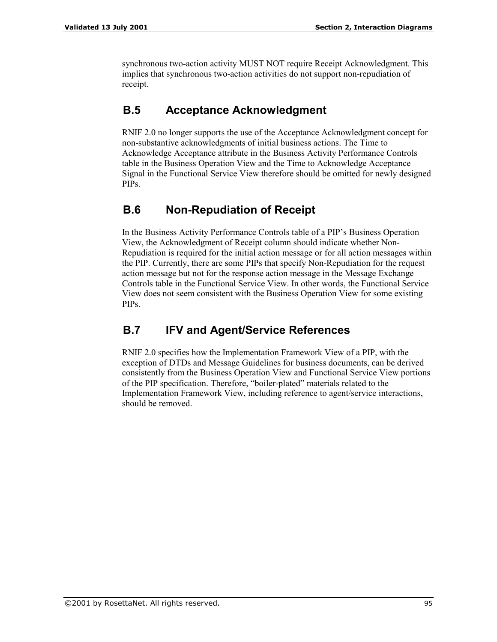synchronous two-action activity MUST NOT require Receipt Acknowledgment. This implies that synchronous two-action activities do not support non-repudiation of receipt.

### **B.5 Acceptance Acknowledgment**

RNIF 2.0 no longer supports the use of the Acceptance Acknowledgment concept for non-substantive acknowledgments of initial business actions. The Time to Acknowledge Acceptance attribute in the Business Activity Performance Controls table in the Business Operation View and the Time to Acknowledge Acceptance Signal in the Functional Service View therefore should be omitted for newly designed PIPs.

### **B.6 Non-Repudiation of Receipt**

In the Business Activity Performance Controls table of a PIP's Business Operation View, the Acknowledgment of Receipt column should indicate whether Non-Repudiation is required for the initial action message or for all action messages within the PIP. Currently, there are some PIPs that specify Non-Repudiation for the request action message but not for the response action message in the Message Exchange Controls table in the Functional Service View. In other words, the Functional Service View does not seem consistent with the Business Operation View for some existing PIPs.

## **B.7 IFV and Agent/Service References**

RNIF 2.0 specifies how the Implementation Framework View of a PIP, with the exception of DTDs and Message Guidelines for business documents, can be derived consistently from the Business Operation View and Functional Service View portions of the PIP specification. Therefore, "boiler-plated" materials related to the Implementation Framework View, including reference to agent/service interactions, should be removed.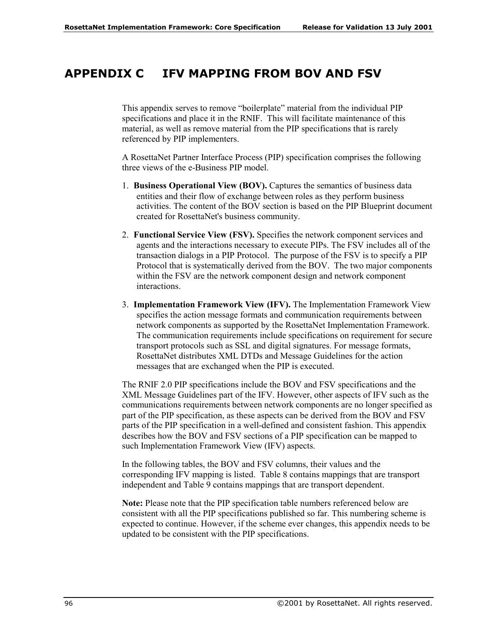## **APPENDIX C IFV MAPPING FROM BOV AND FSV**

This appendix serves to remove "boilerplate" material from the individual PIP specifications and place it in the RNIF. This will facilitate maintenance of this material, as well as remove material from the PIP specifications that is rarely referenced by PIP implementers.

A RosettaNet Partner Interface Process (PIP) specification comprises the following three views of the e-Business PIP model.

- 1. **Business Operational View (BOV).** Captures the semantics of business data entities and their flow of exchange between roles as they perform business activities. The content of the BOV section is based on the PIP Blueprint document created for RosettaNet's business community.
- 2. **Functional Service View (FSV).** Specifies the network component services and agents and the interactions necessary to execute PIPs. The FSV includes all of the transaction dialogs in a PIP Protocol. The purpose of the FSV is to specify a PIP Protocol that is systematically derived from the BOV. The two major components within the FSV are the network component design and network component interactions.
- 3. **Implementation Framework View (IFV).** The Implementation Framework View specifies the action message formats and communication requirements between network components as supported by the RosettaNet Implementation Framework. The communication requirements include specifications on requirement for secure transport protocols such as SSL and digital signatures. For message formats, RosettaNet distributes XML DTDs and Message Guidelines for the action messages that are exchanged when the PIP is executed.

The RNIF 2.0 PIP specifications include the BOV and FSV specifications and the XML Message Guidelines part of the IFV. However, other aspects of IFV such as the communications requirements between network components are no longer specified as part of the PIP specification, as these aspects can be derived from the BOV and FSV parts of the PIP specification in a well-defined and consistent fashion. This appendix describes how the BOV and FSV sections of a PIP specification can be mapped to such Implementation Framework View (IFV) aspects.

In the following tables, the BOV and FSV columns, their values and the corresponding IFV mapping is listed. Table 8 contains mappings that are transport independent and Table 9 contains mappings that are transport dependent.

**Note:** Please note that the PIP specification table numbers referenced below are consistent with all the PIP specifications published so far. This numbering scheme is expected to continue. However, if the scheme ever changes, this appendix needs to be updated to be consistent with the PIP specifications.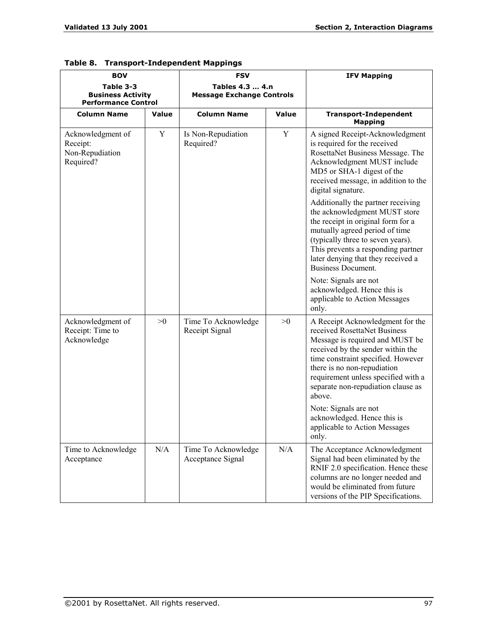| <b>BOV</b>                                                          |                                             | <b>FSV</b>                                          |       | <b>IFV Mapping</b>                                                                                                                                                                                                                                                                                   |  |
|---------------------------------------------------------------------|---------------------------------------------|-----------------------------------------------------|-------|------------------------------------------------------------------------------------------------------------------------------------------------------------------------------------------------------------------------------------------------------------------------------------------------------|--|
| Table 3-3<br><b>Business Activity</b><br><b>Performance Control</b> |                                             | Tables 4.3  4.n<br><b>Message Exchange Controls</b> |       |                                                                                                                                                                                                                                                                                                      |  |
| <b>Column Name</b>                                                  | <b>Value</b>                                | <b>Column Name</b>                                  | Value | <b>Transport-Independent</b><br><b>Mapping</b>                                                                                                                                                                                                                                                       |  |
| Acknowledgment of<br>Receipt:<br>Non-Repudiation<br>Required?       | Y                                           | Is Non-Repudiation<br>Required?                     | Y     | A signed Receipt-Acknowledgment<br>is required for the received<br>RosettaNet Business Message. The<br>Acknowledgment MUST include<br>MD5 or SHA-1 digest of the<br>received message, in addition to the<br>digital signature.                                                                       |  |
|                                                                     |                                             |                                                     |       | Additionally the partner receiving<br>the acknowledgment MUST store<br>the receipt in original form for a<br>mutually agreed period of time<br>(typically three to seven years).<br>This prevents a responding partner<br>later denying that they received a<br><b>Business Document.</b>            |  |
|                                                                     |                                             |                                                     |       | Note: Signals are not<br>acknowledged. Hence this is<br>applicable to Action Messages<br>only.                                                                                                                                                                                                       |  |
| Acknowledgment of<br>Receipt: Time to<br>Acknowledge                | >0<br>Time To Acknowledge<br>Receipt Signal |                                                     | >0    | A Receipt Acknowledgment for the<br>received RosettaNet Business<br>Message is required and MUST be<br>received by the sender within the<br>time constraint specified. However<br>there is no non-repudiation<br>requirement unless specified with a<br>separate non-repudiation clause as<br>above. |  |
|                                                                     |                                             |                                                     |       | Note: Signals are not<br>acknowledged. Hence this is<br>applicable to Action Messages<br>only.                                                                                                                                                                                                       |  |
| Time to Acknowledge<br>Acceptance                                   | N/A                                         | Time To Acknowledge<br>Acceptance Signal            | N/A   | The Acceptance Acknowledgment<br>Signal had been eliminated by the<br>RNIF 2.0 specification. Hence these<br>columns are no longer needed and<br>would be eliminated from future<br>versions of the PIP Specifications.                                                                              |  |

|  | Table 8. Transport-Independent Mappings |  |
|--|-----------------------------------------|--|
|--|-----------------------------------------|--|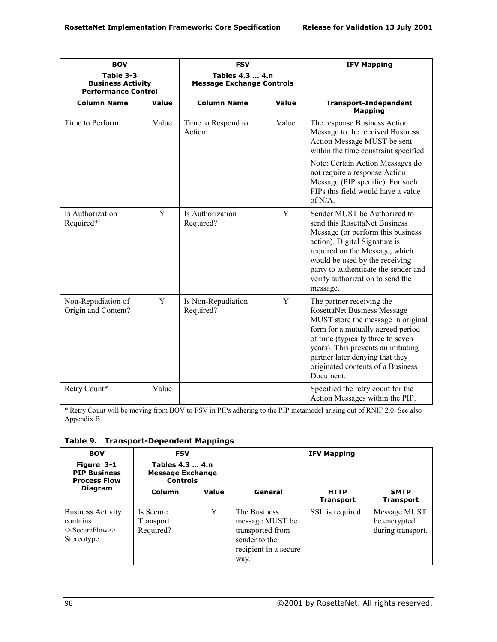| <b>BOV</b>                                                          |       | <b>FSV</b>                                          |       | <b>IFV Mapping</b>                                                                                                                                                                                                                                                                                   |  |
|---------------------------------------------------------------------|-------|-----------------------------------------------------|-------|------------------------------------------------------------------------------------------------------------------------------------------------------------------------------------------------------------------------------------------------------------------------------------------------------|--|
| Table 3-3<br><b>Business Activity</b><br><b>Performance Control</b> |       | Tables 4.3  4.n<br><b>Message Exchange Controls</b> |       |                                                                                                                                                                                                                                                                                                      |  |
| <b>Column Name</b>                                                  | Value | <b>Column Name</b>                                  | Value | <b>Transport-Independent</b><br><b>Mapping</b>                                                                                                                                                                                                                                                       |  |
| Time to Perform                                                     | Value | Time to Respond to<br>Action                        | Value | The response Business Action<br>Message to the received Business<br>Action Message MUST be sent<br>within the time constraint specified.                                                                                                                                                             |  |
|                                                                     |       |                                                     |       | Note: Certain Action Messages do<br>not require a response Action<br>Message (PIP specific). For such<br>PIPs this field would have a value<br>of N/A.                                                                                                                                               |  |
| Is Authorization<br>Required?                                       | Y     | Is Authorization<br>Required?                       | Y     | Sender MUST be Authorized to<br>send this RosettaNet Business<br>Message (or perform this business<br>action). Digital Signature is<br>required on the Message, which<br>would be used by the receiving<br>party to authenticate the sender and<br>verify authorization to send the<br>message.      |  |
| Non-Repudiation of<br>Origin and Content?                           | Y     | Is Non-Repudiation<br>Required?                     | Y     | The partner receiving the<br>RosettaNet Business Message<br>MUST store the message in original<br>form for a mutually agreed period<br>of time (typically three to seven<br>years). This prevents an initiating<br>partner later denying that they<br>originated contents of a Business<br>Document. |  |
| Retry Count*                                                        | Value |                                                     |       | Specified the retry count for the<br>Action Messages within the PIP.                                                                                                                                                                                                                                 |  |

\* Retry Count will be moving from BOV to FSV in PIPs adhering to the PIP metamodel arising out of RNIF 2.0. See also Appendix B.

**Table 9. Transport-Dependent Mappings** 

| <b>BOV</b><br>Figure 3-1<br><b>PIP Business</b><br><b>Process Flow</b><br><b>Diagram</b> | <b>FSV</b><br>Tables 4.3  4.n<br><b>Message Exchange</b><br><b>Controls</b> |       | <b>IFV Mapping</b>                                                                                    |                                 |                                                   |
|------------------------------------------------------------------------------------------|-----------------------------------------------------------------------------|-------|-------------------------------------------------------------------------------------------------------|---------------------------------|---------------------------------------------------|
|                                                                                          | Column                                                                      | Value | General                                                                                               | <b>HTTP</b><br><b>Transport</b> | <b>SMTP</b><br><b>Transport</b>                   |
| <b>Business Activity</b><br>contains<br>$<<$ SecureFlow $>>$<br>Stereotype               | Is Secure<br><b>Transport</b><br>Required?                                  | Y     | The Business<br>message MUST be<br>transported from<br>sender to the<br>recipient in a secure<br>way. | SSL is required                 | Message MUST<br>be encrypted<br>during transport. |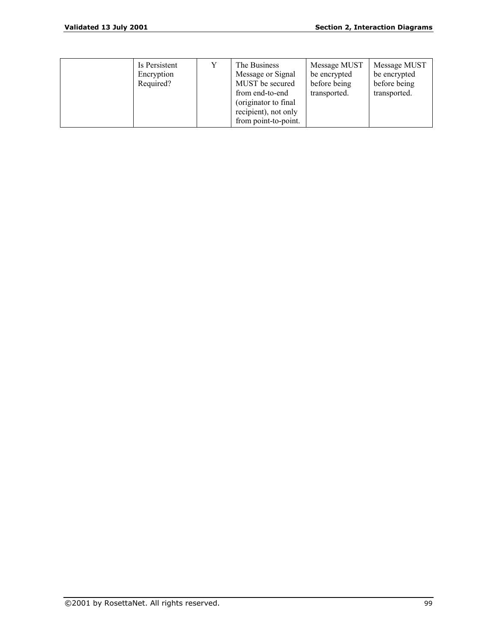|  | Is Persistent<br>Encryption<br>Required? |  | The Business<br>Message or Signal<br>MUST be secured<br>from end-to-end<br>(originator to final)<br>recipient), not only<br>from point-to-point. | Message MUST<br>be encrypted<br>before being<br>transported. | Message MUST<br>be encrypted<br>before being<br>transported. |
|--|------------------------------------------|--|--------------------------------------------------------------------------------------------------------------------------------------------------|--------------------------------------------------------------|--------------------------------------------------------------|
|--|------------------------------------------|--|--------------------------------------------------------------------------------------------------------------------------------------------------|--------------------------------------------------------------|--------------------------------------------------------------|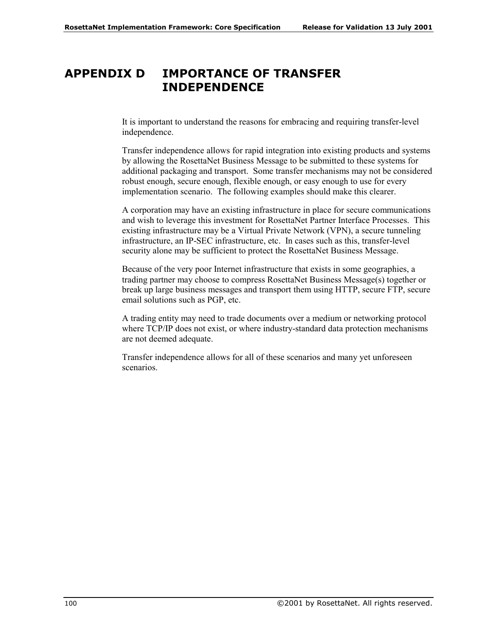## **APPENDIX D IMPORTANCE OF TRANSFER INDEPENDENCE**

It is important to understand the reasons for embracing and requiring transfer-level independence.

Transfer independence allows for rapid integration into existing products and systems by allowing the RosettaNet Business Message to be submitted to these systems for additional packaging and transport. Some transfer mechanisms may not be considered robust enough, secure enough, flexible enough, or easy enough to use for every implementation scenario. The following examples should make this clearer.

A corporation may have an existing infrastructure in place for secure communications and wish to leverage this investment for RosettaNet Partner Interface Processes. This existing infrastructure may be a Virtual Private Network (VPN), a secure tunneling infrastructure, an IP-SEC infrastructure, etc. In cases such as this, transfer-level security alone may be sufficient to protect the RosettaNet Business Message.

Because of the very poor Internet infrastructure that exists in some geographies, a trading partner may choose to compress RosettaNet Business Message(s) together or break up large business messages and transport them using HTTP, secure FTP, secure email solutions such as PGP, etc.

A trading entity may need to trade documents over a medium or networking protocol where TCP/IP does not exist, or where industry-standard data protection mechanisms are not deemed adequate.

Transfer independence allows for all of these scenarios and many yet unforeseen scenarios.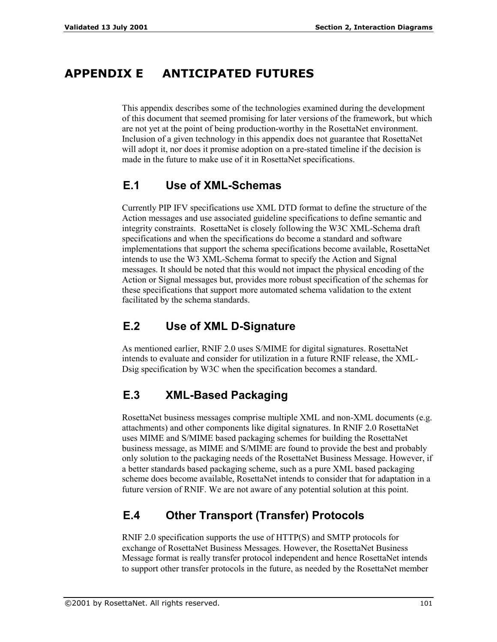# **APPENDIX E ANTICIPATED FUTURES**

This appendix describes some of the technologies examined during the development of this document that seemed promising for later versions of the framework, but which are not yet at the point of being production-worthy in the RosettaNet environment. Inclusion of a given technology in this appendix does not guarantee that RosettaNet will adopt it, nor does it promise adoption on a pre-stated timeline if the decision is made in the future to make use of it in RosettaNet specifications.

# **E.1 Use of XML-Schemas**

Currently PIP IFV specifications use XML DTD format to define the structure of the Action messages and use associated guideline specifications to define semantic and integrity constraints. RosettaNet is closely following the W3C XML-Schema draft specifications and when the specifications do become a standard and software implementations that support the schema specifications become available, RosettaNet intends to use the W3 XML-Schema format to specify the Action and Signal messages. It should be noted that this would not impact the physical encoding of the Action or Signal messages but, provides more robust specification of the schemas for these specifications that support more automated schema validation to the extent facilitated by the schema standards.

# **E.2 Use of XML D-Signature**

As mentioned earlier, RNIF 2.0 uses S/MIME for digital signatures. RosettaNet intends to evaluate and consider for utilization in a future RNIF release, the XML-Dsig specification by W3C when the specification becomes a standard.

# **E.3 XML-Based Packaging**

RosettaNet business messages comprise multiple XML and non-XML documents (e.g. attachments) and other components like digital signatures. In RNIF 2.0 RosettaNet uses MIME and S/MIME based packaging schemes for building the RosettaNet business message, as MIME and S/MIME are found to provide the best and probably only solution to the packaging needs of the RosettaNet Business Message. However, if a better standards based packaging scheme, such as a pure XML based packaging scheme does become available, RosettaNet intends to consider that for adaptation in a future version of RNIF. We are not aware of any potential solution at this point.

# **E.4 Other Transport (Transfer) Protocols**

RNIF 2.0 specification supports the use of HTTP(S) and SMTP protocols for exchange of RosettaNet Business Messages. However, the RosettaNet Business Message format is really transfer protocol independent and hence RosettaNet intends to support other transfer protocols in the future, as needed by the RosettaNet member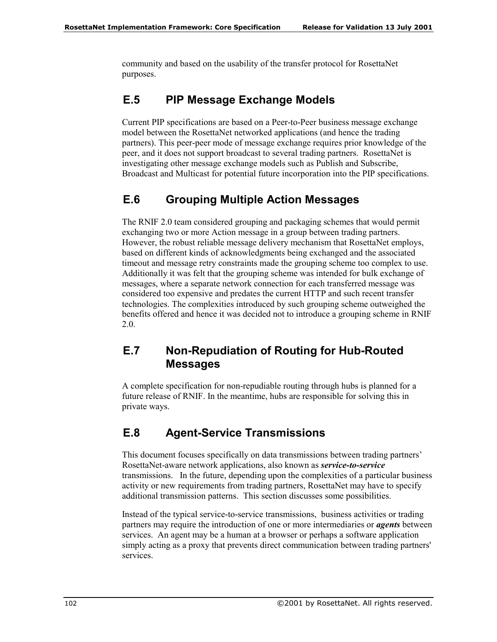community and based on the usability of the transfer protocol for RosettaNet purposes.

## **E.5 PIP Message Exchange Models**

Current PIP specifications are based on a Peer-to-Peer business message exchange model between the RosettaNet networked applications (and hence the trading partners). This peer-peer mode of message exchange requires prior knowledge of the peer, and it does not support broadcast to several trading partners. RosettaNet is investigating other message exchange models such as Publish and Subscribe, Broadcast and Multicast for potential future incorporation into the PIP specifications.

# **E.6 Grouping Multiple Action Messages**

The RNIF 2.0 team considered grouping and packaging schemes that would permit exchanging two or more Action message in a group between trading partners. However, the robust reliable message delivery mechanism that RosettaNet employs, based on different kinds of acknowledgments being exchanged and the associated timeout and message retry constraints made the grouping scheme too complex to use. Additionally it was felt that the grouping scheme was intended for bulk exchange of messages, where a separate network connection for each transferred message was considered too expensive and predates the current HTTP and such recent transfer technologies. The complexities introduced by such grouping scheme outweighed the benefits offered and hence it was decided not to introduce a grouping scheme in RNIF 2.0.

## **E.7 Non-Repudiation of Routing for Hub-Routed Messages**

A complete specification for non-repudiable routing through hubs is planned for a future release of RNIF. In the meantime, hubs are responsible for solving this in private ways.

## **E.8 Agent-Service Transmissions**

This document focuses specifically on data transmissions between trading partners' RosettaNet-aware network applications, also known as *service-to-service* transmissions. In the future, depending upon the complexities of a particular business activity or new requirements from trading partners, RosettaNet may have to specify additional transmission patterns. This section discusses some possibilities.

Instead of the typical service-to-service transmissions, business activities or trading partners may require the introduction of one or more intermediaries or *agents* between services. An agent may be a human at a browser or perhaps a software application simply acting as a proxy that prevents direct communication between trading partners' services.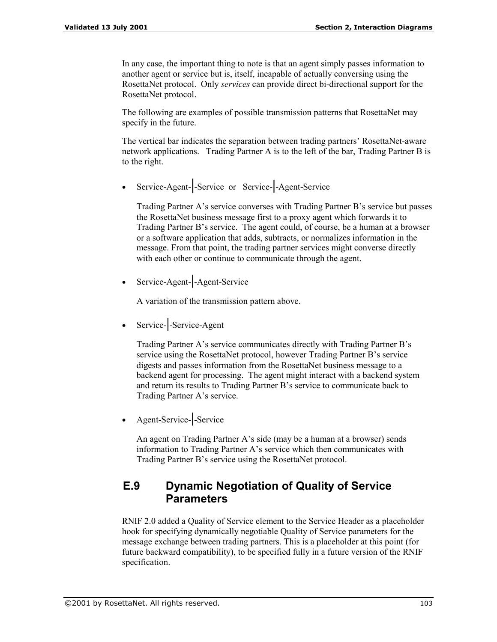In any case, the important thing to note is that an agent simply passes information to another agent or service but is, itself, incapable of actually conversing using the RosettaNet protocol. Only *services* can provide direct bi-directional support for the RosettaNet protocol.

The following are examples of possible transmission patterns that RosettaNet may specify in the future.

The vertical bar indicates the separation between trading partners' RosettaNet-aware network applications. Trading Partner A is to the left of the bar, Trading Partner B is to the right.

• Service-Agent-**|**-Service or Service-**|**-Agent-Service

Trading Partner Aís service converses with Trading Partner Bís service but passes the RosettaNet business message first to a proxy agent which forwards it to Trading Partner B's service. The agent could, of course, be a human at a browser or a software application that adds, subtracts, or normalizes information in the message. From that point, the trading partner services might converse directly with each other or continue to communicate through the agent.

• Service-Agent-**|**-Agent-Service

A variation of the transmission pattern above.

• Service-**|**-Service-Agent

Trading Partner A's service communicates directly with Trading Partner B's service using the RosettaNet protocol, however Trading Partner B's service digests and passes information from the RosettaNet business message to a backend agent for processing. The agent might interact with a backend system and return its results to Trading Partner B's service to communicate back to Trading Partner A's service.

• Agent-Service-**|**-Service

An agent on Trading Partner A's side (may be a human at a browser) sends information to Trading Partner A's service which then communicates with Trading Partner B's service using the RosettaNet protocol.

### **E.9 Dynamic Negotiation of Quality of Service Parameters**

RNIF 2.0 added a Quality of Service element to the Service Header as a placeholder hook for specifying dynamically negotiable Quality of Service parameters for the message exchange between trading partners. This is a placeholder at this point (for future backward compatibility), to be specified fully in a future version of the RNIF specification.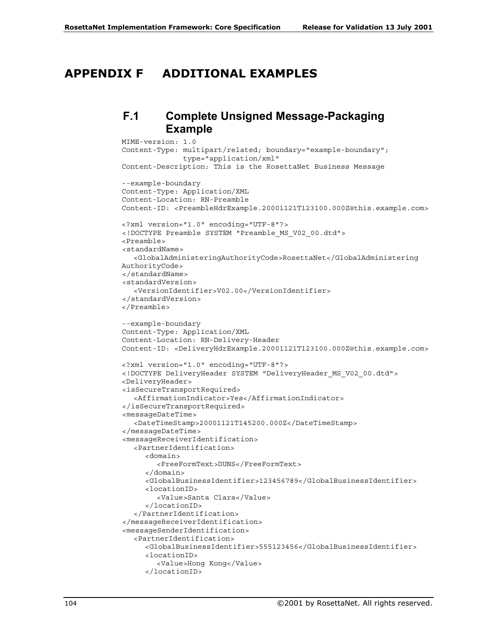### **APPENDIX F ADDITIONAL EXAMPLES**

#### **F.1 Complete Unsigned Message-Packaging Example**

```
MIME-version: 1.0
Content-Type: multipart/related; boundary="example-boundary";
              type="application/xml"
Content-Description: This is the RosettaNet Business Message
--example-boundary
Content-Type: Application/XML
Content-Location: RN-Preamble
Content-ID: <PreambleHdrExample.20001121T123100.000Z@this.example.com>
<?xml version="1.0" encoding="UTF-8"?>
<!DOCTYPE Preamble SYSTEM "Preamble_MS_V02_00.dtd">
<Preamble>
<standardName>
  <GlobalAdministeringAuthorityCode>RosettaNet</GlobalAdministering
AuthorityCode>
</standardName>
<standardVersion>
   <VersionIdentifier>V02.00</VersionIdentifier>
</standardVersion>
</Preamble>
--example-boundary
Content-Type: Application/XML
Content-Location: RN-Delivery-Header
Content-ID: <DeliveryHdrExample.20001121T123100.000Z@this.example.com>
<?xml version="1.0" encoding="UTF-8"?>
<!DOCTYPE DeliveryHeader SYSTEM "DeliveryHeader_MS_V02_00.dtd">
<DeliveryHeader>
<isSecureTransportRequired>
  <AffirmationIndicator>Yes</AffirmationIndicator>
</isSecureTransportRequired>
<messageDateTime>
  <DateTimeStamp>20001121T145200.000Z</DateTimeStamp>
</messageDateTime>
<messageReceiverIdentification>
  <PartnerIdentification>
     <domain>
        <FreeFormText>DUNS</FreeFormText>
     </domain>
     <GlobalBusinessIdentifier>123456789</GlobalBusinessIdentifier>
     <locationID>
        <Value>Santa Clara</Value>
     </locationID>
  </PartnerIdentification>
</messageReceiverIdentification>
<messageSenderIdentification>
  <PartnerIdentification>
     <GlobalBusinessIdentifier>555123456</GlobalBusinessIdentifier>
     <locationID>
        <Value>Hong Kong</Value>
     </locationID>
```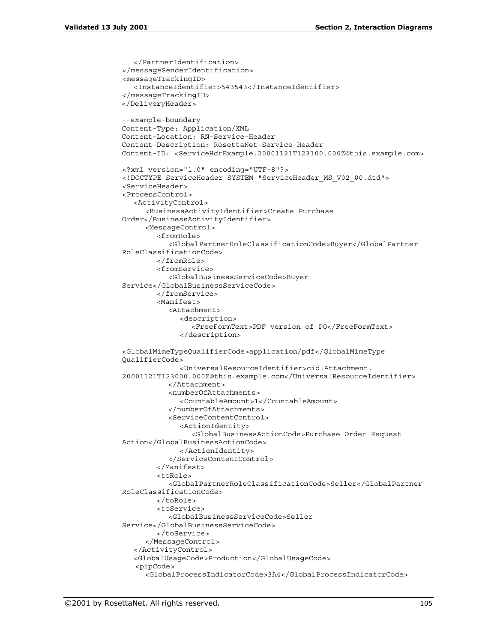```
</PartnerIdentification>
</messageSenderIdentification>
<messageTrackingID>
  <InstanceIdentifier>543543</InstanceIdentifier>
</messageTrackingID>
</DeliveryHeader>
--example-boundary
Content-Type: Application/XML
Content-Location: RN-Service-Header
Content-Description: RosettaNet-Service-Header
Content-ID: <ServiceHdrExample.20001121T123100.000Z@this.example.com>
<?xml version="1.0" encoding="UTF-8"?>
<!DOCTYPE ServiceHeader SYSTEM "ServiceHeader_MS_V02_00.dtd">
<ServiceHeader>
<ProcessControl>
  <ActivityControl>
     <BusinessActivityIdentifier>Create Purchase
Order</BusinessActivityIdentifier>
     <MessageControl>
        <fromRole>
           <GlobalPartnerRoleClassificationCode>Buyer</GlobalPartner
RoleClassificationCode>
        </fromRole>
        <fromService>
           <GlobalBusinessServiceCode>Buyer
Service</GlobalBusinessServiceCode>
        </fromService>
        <Manifest>
           <Attachment>
             <description>
                <FreeFormText>PDF version of PO</FreeFormText>
             </description>
<GlobalMimeTypeQualifierCode>application/pdf</GlobalMimeType
QualifierCode>
             <UniversalResourceIdentifier>cid:Attachment.
20001121T123000.000Z@this.example.com</UniversalResourceIdentifier>
           </Attachment>
           <numberOfAttachments>
             <CountableAmount>1</CountableAmount>
           </numberOfAttachments>
           <ServiceContentControl>
             <ActionIdentity>
                <GlobalBusinessActionCode>Purchase Order Request
Action</GlobalBusinessActionCode>
             </ActionIdentity>
           </ServiceContentControl>
        </Manifest>
        <toRole>
           <GlobalPartnerRoleClassificationCode>Seller</GlobalPartner
RoleClassificationCode>
        </toRole>
        <toService>
           <GlobalBusinessServiceCode>Seller
Service</GlobalBusinessServiceCode>
        </toService>
     </MessageControl>
  </ActivityControl>
  <GlobalUsageCode>Production</GlobalUsageCode>
   <pipCode>
     <GlobalProcessIndicatorCode>3A4</GlobalProcessIndicatorCode>
```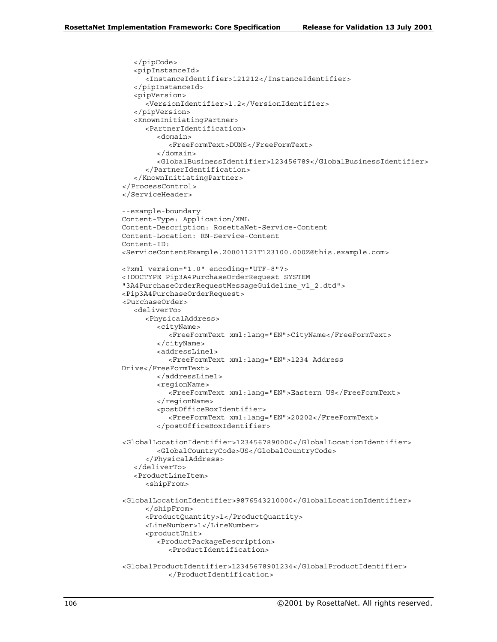```
</pipCode>
  <pipInstanceId>
     <InstanceIdentifier>121212</InstanceIdentifier>
  </pipInstanceId>
  <pipVersion>
     <VersionIdentifier>1.2</VersionIdentifier>
  </pipVersion>
  <KnownInitiatingPartner>
     <PartnerIdentification>
        <domain>
          <FreeFormText>DUNS</FreeFormText>
        </domain>
        <GlobalBusinessIdentifier>123456789</GlobalBusinessIdentifier>
     </PartnerIdentification>
  </KnownInitiatingPartner>
</ProcessControl>
</ServiceHeader>
--example-boundary
Content-Type: Application/XML
Content-Description: RosettaNet-Service-Content
Content-Location: RN-Service-Content
Content-ID:
<ServiceContentExample.20001121T123100.000Z@this.example.com>
<?xml version="1.0" encoding="UTF-8"?>
<!DOCTYPE Pip3A4PurchaseOrderRequest SYSTEM
"3A4PurchaseOrderRequestMessageGuideline_v1_2.dtd">
<Pip3A4PurchaseOrderRequest>
<PurchaseOrder>
  <deliverTo>
     <PhysicalAddress>
        <cityName>
           <FreeFormText xml:lang="EN">CityName</FreeFormText>
        </cityName>
        <addressLine1>
          <FreeFormText xml:lang="EN">1234 Address
Drive</FreeFormText>
        </addressLine1>
        <regionName>
           <FreeFormText xml:lang="EN">Eastern US</FreeFormText>
        </regionName>
        <postOfficeBoxIdentifier>
           <FreeFormText xml:lang="EN">20202</FreeFormText>
        </postOfficeBoxIdentifier>
<GlobalLocationIdentifier>1234567890000</GlobalLocationIdentifier>
        <GlobalCountryCode>US</GlobalCountryCode>
     </PhysicalAddress>
  </deliverTo>
  <ProductLineItem>
     <shipFrom>
<GlobalLocationIdentifier>9876543210000</GlobalLocationIdentifier>
     </shipFrom>
     <ProductQuantity>1</ProductQuantity>
     <LineNumber>1</LineNumber>
     <productUnit>
        <ProductPackageDescription>
           <ProductIdentification>
<GlobalProductIdentifier>12345678901234</GlobalProductIdentifier>
           </ProductIdentification>
```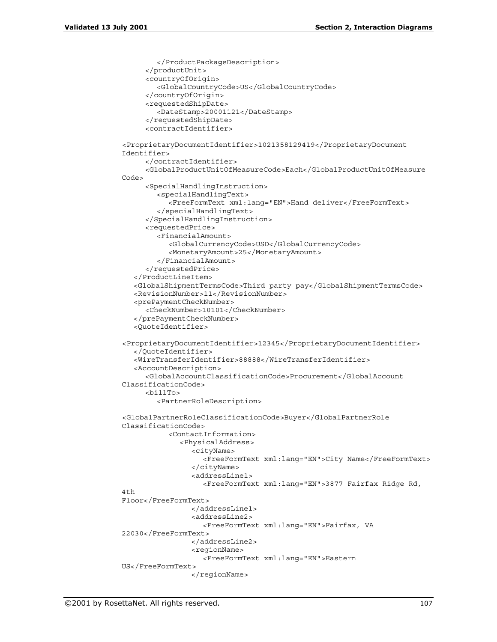```
</ProductPackageDescription>
     </productUnit>
     <countryOfOrigin>
        <GlobalCountryCode>US</GlobalCountryCode>
     </countryOfOrigin>
     <requestedShipDate>
        <DateStamp>20001121</DateStamp>
     </requestedShipDate>
     <contractIdentifier>
<ProprietaryDocumentIdentifier>1021358129419</ProprietaryDocument
Identifier>
     </contractIdentifier>
     <GlobalProductUnitOfMeasureCode>Each</GlobalProductUnitOfMeasure
Code>
     <SpecialHandlingInstruction>
        <specialHandlingText>
           <FreeFormText xml:lang="EN">Hand deliver</FreeFormText>
        </specialHandlingText>
     </SpecialHandlingInstruction>
     <requestedPrice>
        <FinancialAmount>
           <GlobalCurrencyCode>USD</GlobalCurrencyCode>
           <MonetaryAmount>25</MonetaryAmount>
        </FinancialAmount>
     </requestedPrice>
   </ProductLineItem>
   <GlobalShipmentTermsCode>Third party pay</GlobalShipmentTermsCode>
   <RevisionNumber>11</RevisionNumber>
   <prePaymentCheckNumber>
     <CheckNumber>10101</CheckNumber>
   </prePaymentCheckNumber>
   <QuoteIdentifier>
<ProprietaryDocumentIdentifier>12345</ProprietaryDocumentIdentifier>
   </QuoteIdentifier>
   <WireTransferIdentifier>88888</WireTransferIdentifier>
   <AccountDescription>
     <GlobalAccountClassificationCode>Procurement</GlobalAccount
ClassificationCode>
     <billTo>
        <PartnerRoleDescription>
<GlobalPartnerRoleClassificationCode>Buyer</GlobalPartnerRole
ClassificationCode>
           <ContactInformation>
              <PhysicalAddress>
                <cityName>
                   <FreeFormText xml:lang="EN">City Name</FreeFormText>
                </cityName>
                <addressLine1>
                   <FreeFormText xml:lang="EN">3877 Fairfax Ridge Rd,
4th
Floor</FreeFormText>
                </addressLine1>
                <addressLine2>
                   <FreeFormText xml:lang="EN">Fairfax, VA
22030</FreeFormText>
                </addressLine2>
                <regionName>
                   <FreeFormText xml:lang="EN">Eastern
US</FreeFormText>
                </regionName>
```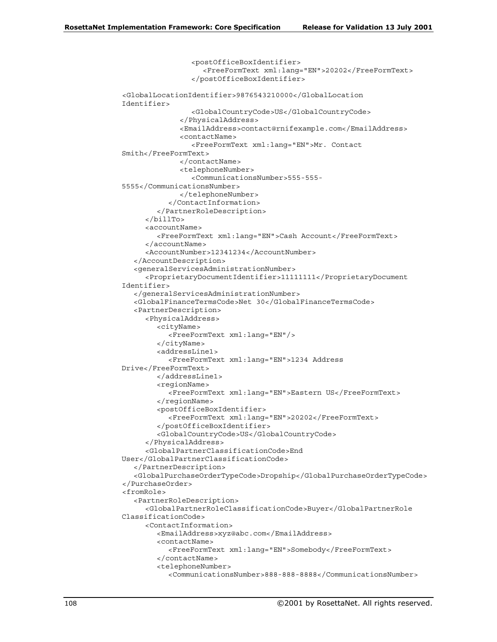```
<postOfficeBoxIdentifier>
                   <FreeFormText xml:lang="EN">20202</FreeFormText>
                </postOfficeBoxIdentifier>
<GlobalLocationIdentifier>9876543210000</GlobalLocation
Identifier>
                <GlobalCountryCode>US</GlobalCountryCode>
             </PhysicalAddress>
             <EmailAddress>contact@rnifexample.com</EmailAddress>
             <contactName>
                <FreeFormText xml:lang="EN">Mr. Contact
Smith</FreeFormText>
             </contactName>
             <telephoneNumber>
                <CommunicationsNumber>555-555-
5555</CommunicationsNumber>
             </telephoneNumber>
           </ContactInformation>
        </PartnerRoleDescription>
     \epsilon/billTos
     <accountName>
        <FreeFormText xml:lang="EN">Cash Account</FreeFormText>
     </accountName>
     <AccountNumber>12341234</AccountNumber>
   </AccountDescription>
   <generalServicesAdministrationNumber>
     <ProprietaryDocumentIdentifier>11111111</ProprietaryDocument
Identifier>
   </generalServicesAdministrationNumber>
   <GlobalFinanceTermsCode>Net 30</GlobalFinanceTermsCode>
  <PartnerDescription>
     <PhysicalAddress>
        <cityName>
           <FreeFormText xml:lang="EN"/>
        </cityName>
        <addressLine1>
           <FreeFormText xml:lang="EN">1234 Address
Drive</FreeFormText>
        </addressLine1>
        <regionName>
           <FreeFormText xml:lang="EN">Eastern US</FreeFormText>
        </regionName>
        <postOfficeBoxIdentifier>
           <FreeFormText xml:lang="EN">20202</FreeFormText>
        </postOfficeBoxIdentifier>
        <GlobalCountryCode>US</GlobalCountryCode>
     </PhysicalAddress>
     <GlobalPartnerClassificationCode>End
User</GlobalPartnerClassificationCode>
   </PartnerDescription>
   <GlobalPurchaseOrderTypeCode>Dropship</GlobalPurchaseOrderTypeCode>
</PurchaseOrder>
<fromRole>
   <PartnerRoleDescription>
     <GlobalPartnerRoleClassificationCode>Buyer</GlobalPartnerRole
ClassificationCode>
     <ContactInformation>
        <EmailAddress>xyz@abc.com</EmailAddress>
        <contactName>
           <FreeFormText xml:lang="EN">Somebody</FreeFormText>
        </contactName>
        <telephoneNumber>
           <CommunicationsNumber>888-888-8888</CommunicationsNumber>
```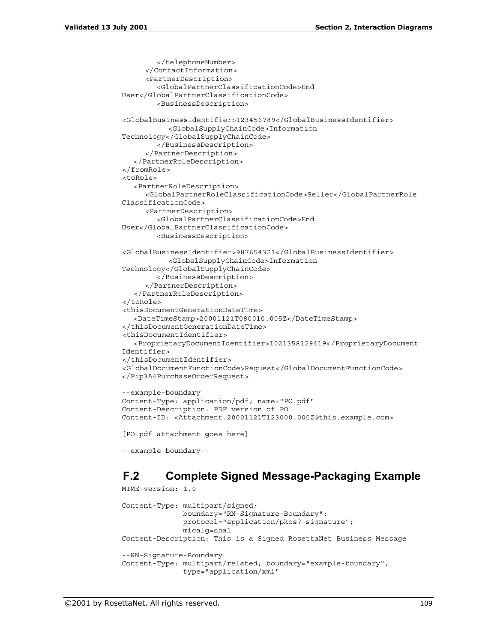```
</telephoneNumber>
     </ContactInformation>
     <PartnerDescription>
        <GlobalPartnerClassificationCode>End
User</GlobalPartnerClassificationCode>
        <BusinessDescription>
<GlobalBusinessIdentifier>123456789</GlobalBusinessIdentifier>
           <GlobalSupplyChainCode>Information
Technology</GlobalSupplyChainCode>
        </BusinessDescription>
     </PartnerDescription>
  </PartnerRoleDescription>
</fromRole>
<toRole>
  <PartnerRoleDescription>
     <GlobalPartnerRoleClassificationCode>Seller</GlobalPartnerRole
ClassificationCode>
     <PartnerDescription>
        <GlobalPartnerClassificationCode>End
User</GlobalPartnerClassificationCode>
        <BusinessDescription>
<GlobalBusinessIdentifier>987654321</GlobalBusinessIdentifier>
           <GlobalSupplyChainCode>Information
Technology</GlobalSupplyChainCode>
        </BusinessDescription>
     </PartnerDescription>
  </PartnerRoleDescription>
</toRole>
<thisDocumentGenerationDateTime>
  <DateTimeStamp>20001121T080010.005Z</DateTimeStamp>
</thisDocumentGenerationDateTime>
<thisDocumentIdentifier>
  <ProprietaryDocumentIdentifier>1021358129419</ProprietaryDocument
Identifier>
</thisDocumentIdentifier>
<GlobalDocumentFunctionCode>Request</GlobalDocumentFunctionCode>
</Pip3A4PurchaseOrderRequest>
--example-boundary
Content-Type: application/pdf; name="PO.pdf"
Content-Description: PDF version of PO
Content-ID: <Attachment.20001121T123000.000Z@this.example.com>
[PO.pdf attachment goes here]
```

```
--example-boundary--
```
## **F.2 Complete Signed Message-Packaging Example**

```
MIME-version: 1.0
Content-Type: multipart/signed;
              boundary="RN-Signature-Boundary";
              protocol="application/pkcs7-signature";
              micalg=sha1
Content-Description: This is a Signed RosettaNet Business Message
--RN-Signature-Boundary
Content-Type: multipart/related; boundary="example-boundary";
              type="application/xml"
```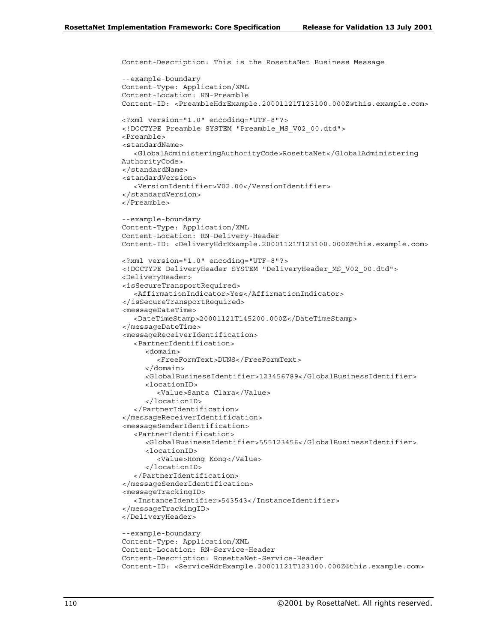```
Content-Description: This is the RosettaNet Business Message
--example-boundary
Content-Type: Application/XML
Content-Location: RN-Preamble
Content-ID: <PreambleHdrExample.20001121T123100.000Z@this.example.com>
<?xml version="1.0" encoding="UTF-8"?>
<!DOCTYPE Preamble SYSTEM "Preamble_MS_V02_00.dtd">
<Preamble>
<standardName>
  <GlobalAdministeringAuthorityCode>RosettaNet</GlobalAdministering
AuthorityCode>
</standardName>
<standardVersion>
  <VersionIdentifier>V02.00</VersionIdentifier>
</standardVersion>
</Preamble>
--example-boundary
Content-Type: Application/XML
Content-Location: RN-Delivery-Header
Content-ID: <DeliveryHdrExample.20001121T123100.000Z@this.example.com>
<?xml version="1.0" encoding="UTF-8"?>
<!DOCTYPE DeliveryHeader SYSTEM "DeliveryHeader_MS_V02_00.dtd">
<DeliveryHeader>
<isSecureTransportRequired>
  <AffirmationIndicator>Yes</AffirmationIndicator>
</isSecureTransportRequired>
<messageDateTime>
  <DateTimeStamp>20001121T145200.000Z</DateTimeStamp>
</messageDateTime>
<messageReceiverIdentification>
  <PartnerIdentification>
     <domain>
        <FreeFormText>DUNS</FreeFormText>
     </domain>
     <GlobalBusinessIdentifier>123456789</GlobalBusinessIdentifier>
     <locationID>
        <Value>Santa Clara</Value>
     </locationID>
  </PartnerIdentification>
</messageReceiverIdentification>
<messageSenderIdentification>
  <PartnerIdentification>
     <GlobalBusinessIdentifier>555123456</GlobalBusinessIdentifier>
     <locationID>
        <Value>Hong Kong</Value>
     </locationID>
  </PartnerIdentification>
</messageSenderIdentification>
<messageTrackingID>
   <InstanceIdentifier>543543</InstanceIdentifier>
</messageTrackingID>
</DeliveryHeader>
--example-boundary
Content-Type: Application/XML
Content-Location: RN-Service-Header
Content-Description: RosettaNet-Service-Header
Content-ID: <ServiceHdrExample.20001121T123100.000Z@this.example.com>
```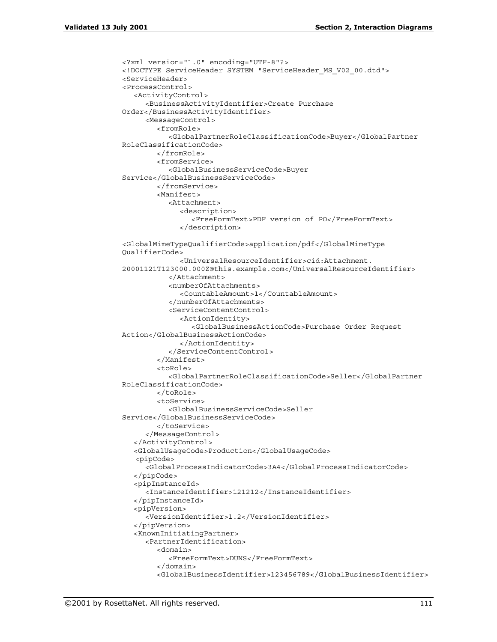```
<?xml version="1.0" encoding="UTF-8"?>
<!DOCTYPE ServiceHeader SYSTEM "ServiceHeader_MS_V02_00.dtd">
<ServiceHeader>
<ProcessControl>
  <ActivityControl>
     <BusinessActivityIdentifier>Create Purchase
Order</BusinessActivityIdentifier>
     <MessageControl>
        <fromRole>
           <GlobalPartnerRoleClassificationCode>Buyer</GlobalPartner
RoleClassificationCode>
        </fromRole>
        <fromService>
           <GlobalBusinessServiceCode>Buyer
Service</GlobalBusinessServiceCode>
        </fromService>
        <Manifest>
           <Attachment>
             <description>
                <FreeFormText>PDF version of PO</FreeFormText>
             </description>
<GlobalMimeTypeQualifierCode>application/pdf</GlobalMimeType
QualifierCode>
             <UniversalResourceIdentifier>cid:Attachment.
20001121T123000.000Z@this.example.com</UniversalResourceIdentifier>
           </Attachment>
           <numberOfAttachments>
             <CountableAmount>1</CountableAmount>
           </numberOfAttachments>
           <ServiceContentControl>
             <ActionIdentity>
                <GlobalBusinessActionCode>Purchase Order Request
Action</GlobalBusinessActionCode>
             </ActionIdentity>
           </ServiceContentControl>
        </Manifest>
        <toRole>
           <GlobalPartnerRoleClassificationCode>Seller</GlobalPartner
RoleClassificationCode>
        </toRole>
        <toService>
           <GlobalBusinessServiceCode>Seller
Service</GlobalBusinessServiceCode>
        </toService>
     </MessageControl>
  </ActivityControl>
  <GlobalUsageCode>Production</GlobalUsageCode>
   <pipCode>
     <GlobalProcessIndicatorCode>3A4</GlobalProcessIndicatorCode>
  </pipCode>
   <pipInstanceId>
     <InstanceIdentifier>121212</InstanceIdentifier>
  </pipInstanceId>
   <pipVersion>
     <VersionIdentifier>1.2</VersionIdentifier>
  </pipVersion>
  <KnownInitiatingPartner>
     <PartnerIdentification>
        <domain>
           <FreeFormText>DUNS</FreeFormText>
        </domain>
        <GlobalBusinessIdentifier>123456789</GlobalBusinessIdentifier>
```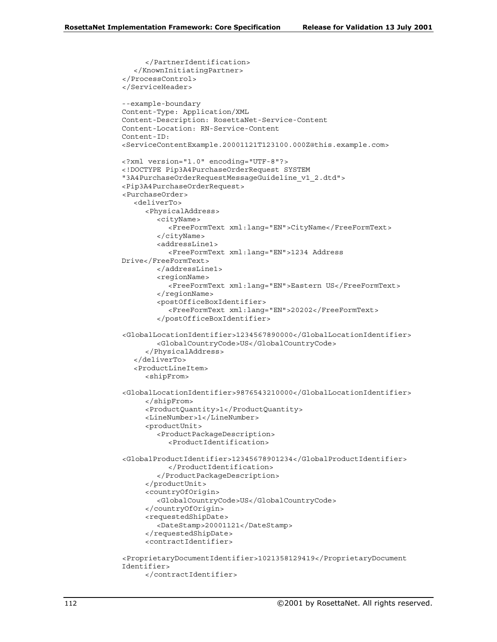```
</PartnerIdentification>
  </KnownInitiatingPartner>
</ProcessControl>
</ServiceHeader>
--example-boundary
Content-Type: Application/XML
Content-Description: RosettaNet-Service-Content
Content-Location: RN-Service-Content
Content-ID:
<ServiceContentExample.20001121T123100.000Z@this.example.com>
<?xml version="1.0" encoding="UTF-8"?>
<!DOCTYPE Pip3A4PurchaseOrderRequest SYSTEM
"3A4PurchaseOrderRequestMessageGuideline_v1_2.dtd">
<Pip3A4PurchaseOrderRequest>
<PurchaseOrder>
  <deliverTo>
     <PhysicalAddress>
        <cityName>
           <FreeFormText xml:lang="EN">CityName</FreeFormText>
        </cityName>
        <addressLine1>
           <FreeFormText xml:lang="EN">1234 Address
Drive</FreeFormText>
        </addressLine1>
        <regionName>
           <FreeFormText xml:lang="EN">Eastern US</FreeFormText>
        </regionName>
        <postOfficeBoxIdentifier>
          <FreeFormText xml:lang="EN">20202</FreeFormText>
        </postOfficeBoxIdentifier>
<GlobalLocationIdentifier>1234567890000</GlobalLocationIdentifier>
        <GlobalCountryCode>US</GlobalCountryCode>
     </PhysicalAddress>
  </deliverTo>
  <ProductLineItem>
     <shipFrom>
<GlobalLocationIdentifier>9876543210000</GlobalLocationIdentifier>
     </shipFrom>
     <ProductQuantity>1</ProductQuantity>
     <LineNumber>1</LineNumber>
     <productUnit>
        <ProductPackageDescription>
           <ProductIdentification>
<GlobalProductIdentifier>12345678901234</GlobalProductIdentifier>
           </ProductIdentification>
        </ProductPackageDescription>
     </productUnit>
     <countryOfOrigin>
        <GlobalCountryCode>US</GlobalCountryCode>
     </countryOfOrigin>
     <requestedShipDate>
        <DateStamp>20001121</DateStamp>
     </requestedShipDate>
     <contractIdentifier>
<ProprietaryDocumentIdentifier>1021358129419</ProprietaryDocument
Identifier>
```

```
</contractIdentifier>
```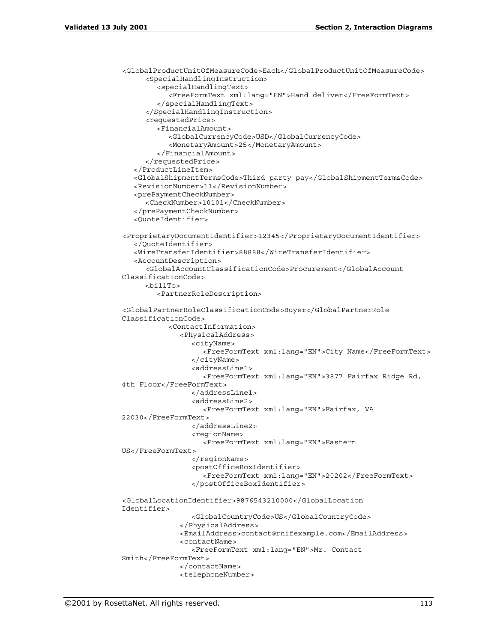```
<GlobalProductUnitOfMeasureCode>Each</GlobalProductUnitOfMeasureCode>
     <SpecialHandlingInstruction>
        <specialHandlingText>
           <FreeFormText xml:lang="EN">Hand deliver</FreeFormText>
        </specialHandlingText>
     </SpecialHandlingInstruction>
     <requestedPrice>
        <FinancialAmount>
           <GlobalCurrencyCode>USD</GlobalCurrencyCode>
           <MonetaryAmount>25</MonetaryAmount>
        </FinancialAmount>
     </requestedPrice>
  </ProductLineItem>
  <GlobalShipmentTermsCode>Third party pay</GlobalShipmentTermsCode>
  <RevisionNumber>11</RevisionNumber>
  <prePaymentCheckNumber>
     <CheckNumber>10101</CheckNumber>
  </prePaymentCheckNumber>
  <QuoteIdentifier>
<ProprietaryDocumentIdentifier>12345</ProprietaryDocumentIdentifier>
  </QuoteIdentifier>
  <WireTransferIdentifier>88888</WireTransferIdentifier>
  <AccountDescription>
     <GlobalAccountClassificationCode>Procurement</GlobalAccount
ClassificationCode>
     <billTo>
        <PartnerRoleDescription>
<GlobalPartnerRoleClassificationCode>Buyer</GlobalPartnerRole
ClassificationCode>
           <ContactInformation>
             <PhysicalAddress>
                <cityName>
                   <FreeFormText xml:lang="EN">City Name</FreeFormText>
                </cityName>
                <addressLine1>
                   <FreeFormText xml:lang="EN">3877 Fairfax Ridge Rd,
4th Floor</FreeFormText>
                </addressLine1>
                <addressLine2>
                   <FreeFormText xml:lang="EN">Fairfax, VA
22030</FreeFormText>
                </addressLine2>
                <regionName>
                   <FreeFormText xml:lang="EN">Eastern
US</FreeFormText>
                </regionName>
                <postOfficeBoxIdentifier>
                   <FreeFormText xml:lang="EN">20202</FreeFormText>
                </postOfficeBoxIdentifier>
<GlobalLocationIdentifier>9876543210000</GlobalLocation
Identifier>
                <GlobalCountryCode>US</GlobalCountryCode>
             </PhysicalAddress>
             <EmailAddress>contact@rnifexample.com</EmailAddress>
             <contactName>
                <FreeFormText xml:lang="EN">Mr. Contact
Smith</FreeFormText>
             </contactName>
             <telephoneNumber>
```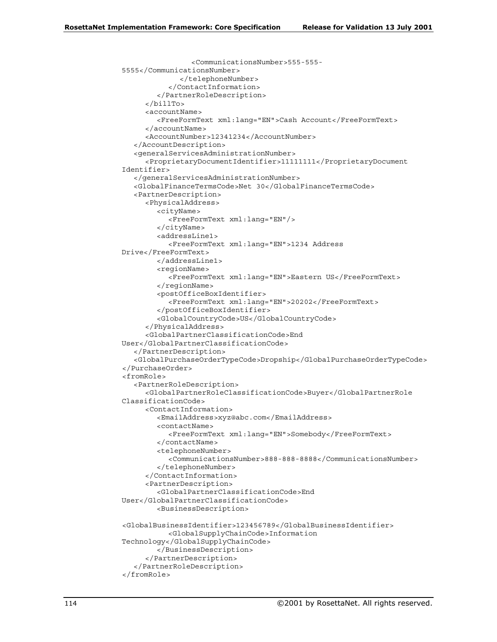```
<CommunicationsNumber>555-555-
5555</CommunicationsNumber>
             </telephoneNumber>
           </ContactInformation>
        </PartnerRoleDescription>
     </billTo>
     <accountName>
        <FreeFormText xml:lang="EN">Cash Account</FreeFormText>
     </accountName>
     <AccountNumber>12341234</AccountNumber>
  </AccountDescription>
   <generalServicesAdministrationNumber>
     <ProprietaryDocumentIdentifier>11111111</ProprietaryDocument
Identifier>
  </generalServicesAdministrationNumber>
  <GlobalFinanceTermsCode>Net 30</GlobalFinanceTermsCode>
  <PartnerDescription>
     <PhysicalAddress>
        <cityName>
           <FreeFormText xml:lang="EN"/>
        </cityName>
        <addressLine1>
           <FreeFormText xml:lang="EN">1234 Address
Drive</FreeFormText>
        </addressLine1>
        <regionName>
           <FreeFormText xml:lang="EN">Eastern US</FreeFormText>
        </regionName>
        <postOfficeBoxIdentifier>
           <FreeFormText xml:lang="EN">20202</FreeFormText>
        </postOfficeBoxIdentifier>
        <GlobalCountryCode>US</GlobalCountryCode>
     </PhysicalAddress>
     <GlobalPartnerClassificationCode>End
User</GlobalPartnerClassificationCode>
  </PartnerDescription>
  <GlobalPurchaseOrderTypeCode>Dropship</GlobalPurchaseOrderTypeCode>
</PurchaseOrder>
<fromRole>
  <PartnerRoleDescription>
     <GlobalPartnerRoleClassificationCode>Buyer</GlobalPartnerRole
ClassificationCode>
     <ContactInformation>
        <EmailAddress>xyz@abc.com</EmailAddress>
        <contactName>
           <FreeFormText xml:lang="EN">Somebody</FreeFormText>
        </contactName>
        <telephoneNumber>
           <CommunicationsNumber>888-888-8888</CommunicationsNumber>
        </telephoneNumber>
     </ContactInformation>
     <PartnerDescription>
        <GlobalPartnerClassificationCode>End
User</GlobalPartnerClassificationCode>
        <BusinessDescription>
<GlobalBusinessIdentifier>123456789</GlobalBusinessIdentifier>
          <GlobalSupplyChainCode>Information
Technology</GlobalSupplyChainCode>
        </BusinessDescription>
     </PartnerDescription>
   </PartnerRoleDescription>
</fromRole>
```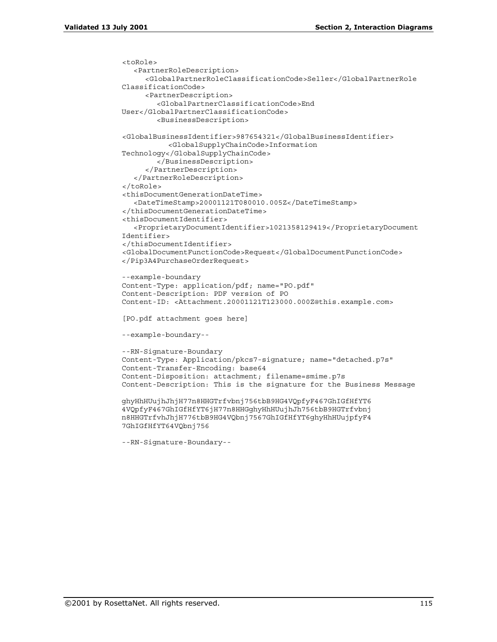```
<toRole>
  <PartnerRoleDescription>
     <GlobalPartnerRoleClassificationCode>Seller</GlobalPartnerRole
ClassificationCode>
     <PartnerDescription>
        <GlobalPartnerClassificationCode>End
User</GlobalPartnerClassificationCode>
        <BusinessDescription>
<GlobalBusinessIdentifier>987654321</GlobalBusinessIdentifier>
           <GlobalSupplyChainCode>Information
Technology</GlobalSupplyChainCode>
        </BusinessDescription>
     </PartnerDescription>
  </PartnerRoleDescription>
</toRole>
<thisDocumentGenerationDateTime>
  <DateTimeStamp>20001121T080010.005Z</DateTimeStamp>
</thisDocumentGenerationDateTime>
<thisDocumentIdentifier>
  <ProprietaryDocumentIdentifier>1021358129419</ProprietaryDocument
Identifier>
</thisDocumentIdentifier>
<GlobalDocumentFunctionCode>Request</GlobalDocumentFunctionCode>
</Pip3A4PurchaseOrderRequest>
--example-boundary
Content-Type: application/pdf; name="PO.pdf"
Content-Description: PDF version of PO
Content-ID: <Attachment.20001121T123000.000Z@this.example.com>
[PO.pdf attachment goes here]
--example-boundary--
--RN-Signature-Boundary
Content-Type: Application/pkcs7-signature; name="detached.p7s"
Content-Transfer-Encoding: base64
Content-Disposition: attachment; filename=smime.p7s
Content-Description: This is the signature for the Business Message
ghyHhHUujhJhjH77n8HHGTrfvbnj756tbB9HG4VQpfyF467GhIGfHfYT6
4VQpfyF467GhIGfHfYT6jH77n8HHGghyHhHUujhJh756tbB9HGTrfvbnj
n8HHGTrfvhJhjH776tbB9HG4VQbnj7567GhIGfHfYT6ghyHhHUujpfyF4
7GhIGfHfYT64VQbnj756
```

```
--RN-Signature-Boundary--
```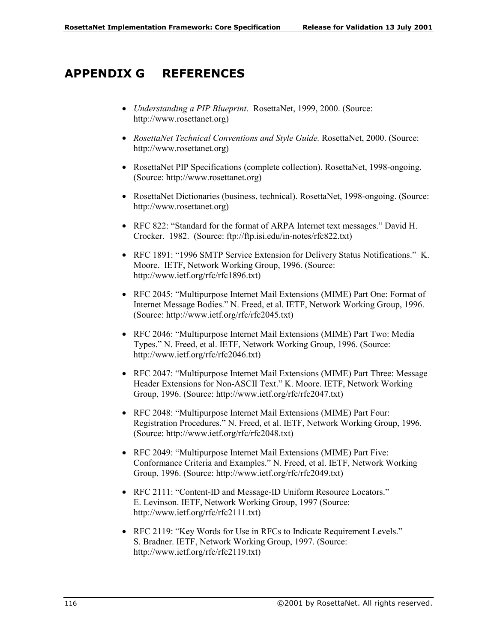### **APPENDIX G REFERENCES**

- *Understanding a PIP Blueprint*. RosettaNet, 1999, 2000. (Source: http://www.rosettanet.org)
- *RosettaNet Technical Conventions and Style Guide.* RosettaNet, 2000. (Source: http://www.rosettanet.org)
- RosettaNet PIP Specifications (complete collection). RosettaNet, 1998-ongoing. (Source: http://www.rosettanet.org)
- RosettaNet Dictionaries (business, technical). RosettaNet, 1998-ongoing. (Source: http://www.rosettanet.org)
- RFC 822: "Standard for the format of ARPA Internet text messages." David H. Crocker. 1982. (Source: ftp://ftp.isi.edu/in-notes/rfc822.txt)
- RFC 1891: "1996 SMTP Service Extension for Delivery Status Notifications." K. Moore. IETF, Network Working Group, 1996. (Source: http://www.ietf.org/rfc/rfc1896.txt)
- RFC 2045: "Multipurpose Internet Mail Extensions (MIME) Part One: Format of Internet Message Bodies." N. Freed, et al. IETF, Network Working Group, 1996. (Source: http://www.ietf.org/rfc/rfc2045.txt)
- RFC 2046: "Multipurpose Internet Mail Extensions (MIME) Part Two: Media Types." N. Freed, et al. IETF, Network Working Group, 1996. (Source: http://www.ietf.org/rfc/rfc2046.txt)
- RFC 2047: "Multipurpose Internet Mail Extensions (MIME) Part Three: Message Header Extensions for Non-ASCII Text." K. Moore. IETF, Network Working Group, 1996. (Source: http://www.ietf.org/rfc/rfc2047.txt)
- RFC 2048: "Multipurpose Internet Mail Extensions (MIME) Part Four: Registration Procedures." N. Freed, et al. IETF, Network Working Group, 1996. (Source: http://www.ietf.org/rfc/rfc2048.txt)
- RFC 2049: "Multipurpose Internet Mail Extensions (MIME) Part Five: Conformance Criteria and Examples." N. Freed, et al. IETF, Network Working Group, 1996. (Source: http://www.ietf.org/rfc/rfc2049.txt)
- RFC 2111: "Content-ID and Message-ID Uniform Resource Locators." E. Levinson. IETF, Network Working Group, 1997 (Source: http://www.ietf.org/rfc/rfc2111.txt)
- RFC 2119: "Key Words for Use in RFCs to Indicate Requirement Levels." S. Bradner. IETF, Network Working Group, 1997. (Source: http://www.ietf.org/rfc/rfc2119.txt)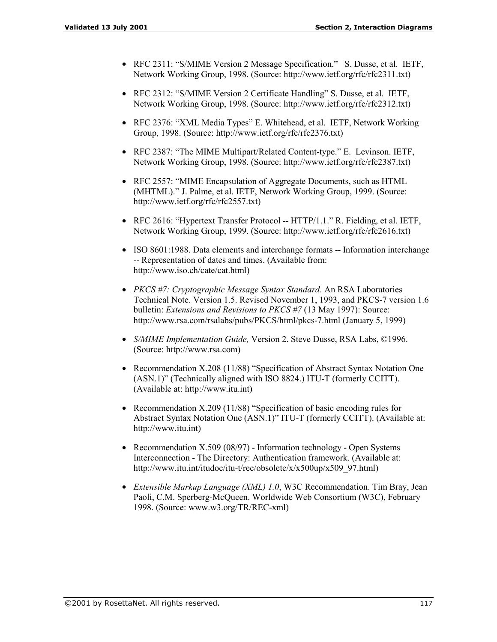- RFC 2311: "S/MIME Version 2 Message Specification." S. Dusse, et al. IETF, Network Working Group, 1998. (Source: http://www.ietf.org/rfc/rfc2311.txt)
- RFC 2312: "S/MIME Version 2 Certificate Handling" S. Dusse, et al. IETF, Network Working Group, 1998. (Source: http://www.ietf.org/rfc/rfc2312.txt)
- RFC 2376: "XML Media Types" E. Whitehead, et al. IETF, Network Working Group, 1998. (Source: http://www.ietf.org/rfc/rfc2376.txt)
- RFC 2387: "The MIME Multipart/Related Content-type." E. Levinson. IETF, Network Working Group, 1998. (Source: http://www.ietf.org/rfc/rfc2387.txt)
- RFC 2557: "MIME Encapsulation of Aggregate Documents, such as HTML (MHTML)." J. Palme, et al. IETF, Network Working Group, 1999. (Source: http://www.ietf.org/rfc/rfc2557.txt)
- RFC 2616: "Hypertext Transfer Protocol  $-$  HTTP/1.1." R. Fielding, et al. IETF, Network Working Group, 1999. (Source: http://www.ietf.org/rfc/rfc2616.txt)
- ISO 8601:1988. Data elements and interchange formats -- Information interchange -- Representation of dates and times. (Available from: http://www.iso.ch/cate/cat.html)
- *PKCS #7: Cryptographic Message Syntax Standard*. An RSA Laboratories Technical Note. Version 1.5. Revised November 1, 1993, and PKCS-7 version 1.6 bulletin: *Extensions and Revisions to PKCS #7* (13 May 1997): Source: http://www.rsa.com/rsalabs/pubs/PKCS/html/pkcs-7.html (January 5, 1999)
- *S/MIME Implementation Guide,* Version 2. Steve Dusse, RSA Labs, ©1996. (Source: http://www.rsa.com)
- Recommendation X.208 (11/88) "Specification of Abstract Syntax Notation One (ASN.1)" (Technically aligned with ISO 8824.) ITU-T (formerly CCITT). (Available at: http://www.itu.int)
- Recommendation  $X.209$  (11/88) "Specification of basic encoding rules for Abstract Syntax Notation One (ASN.1)" ITU-T (formerly CCITT). (Available at: http://www.itu.int)
- Recommendation X.509 (08/97) Information technology Open Systems Interconnection - The Directory: Authentication framework. (Available at: http://www.itu.int/itudoc/itu-t/rec/obsolete/x/x500up/x509\_97.html)
- *Extensible Markup Language (XML) 1.0*, W3C Recommendation. Tim Bray, Jean Paoli, C.M. Sperberg-McQueen. Worldwide Web Consortium (W3C), February 1998. (Source: www.w3.org/TR/REC-xml)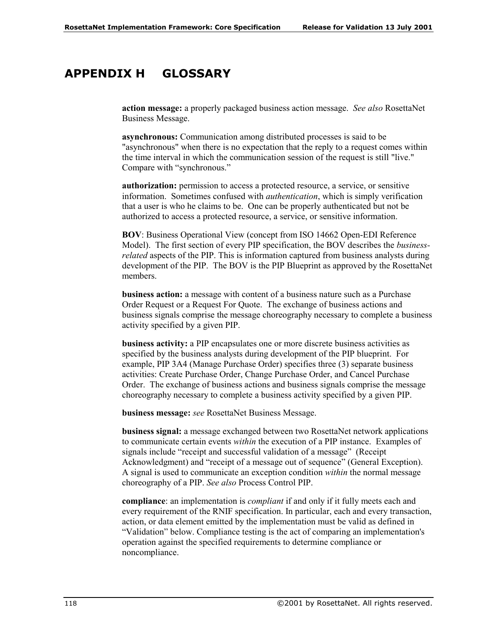## **APPENDIX H GLOSSARY**

**action message:** a properly packaged business action message. *See also* RosettaNet Business Message.

**asynchronous:** Communication among distributed processes is said to be "asynchronous" when there is no expectation that the reply to a request comes within the time interval in which the communication session of the request is still "live." Compare with "synchronous."

**authorization:** permission to access a protected resource, a service, or sensitive information. Sometimes confused with *authentication*, which is simply verification that a user is who he claims to be. One can be properly authenticated but not be authorized to access a protected resource, a service, or sensitive information.

**BOV**: Business Operational View (concept from ISO 14662 Open-EDI Reference Model). The first section of every PIP specification, the BOV describes the *businessrelated* aspects of the PIP. This is information captured from business analysts during development of the PIP. The BOV is the PIP Blueprint as approved by the RosettaNet members.

**business action:** a message with content of a business nature such as a Purchase Order Request or a Request For Quote. The exchange of business actions and business signals comprise the message choreography necessary to complete a business activity specified by a given PIP.

**business activity:** a PIP encapsulates one or more discrete business activities as specified by the business analysts during development of the PIP blueprint. For example, PIP 3A4 (Manage Purchase Order) specifies three (3) separate business activities: Create Purchase Order, Change Purchase Order, and Cancel Purchase Order. The exchange of business actions and business signals comprise the message choreography necessary to complete a business activity specified by a given PIP.

**business message:** *see* RosettaNet Business Message.

**business signal:** a message exchanged between two RosettaNet network applications to communicate certain events *within* the execution of a PIP instance. Examples of signals include "receipt and successful validation of a message" (Receipt Acknowledgment) and "receipt of a message out of sequence" (General Exception). A signal is used to communicate an exception condition *within* the normal message choreography of a PIP. *See also* Process Control PIP.

**compliance**: an implementation is *compliant* if and only if it fully meets each and every requirement of the RNIF specification. In particular, each and every transaction, action, or data element emitted by the implementation must be valid as defined in ìValidationî below. Compliance testing is the act of comparing an implementation's operation against the specified requirements to determine compliance or noncompliance.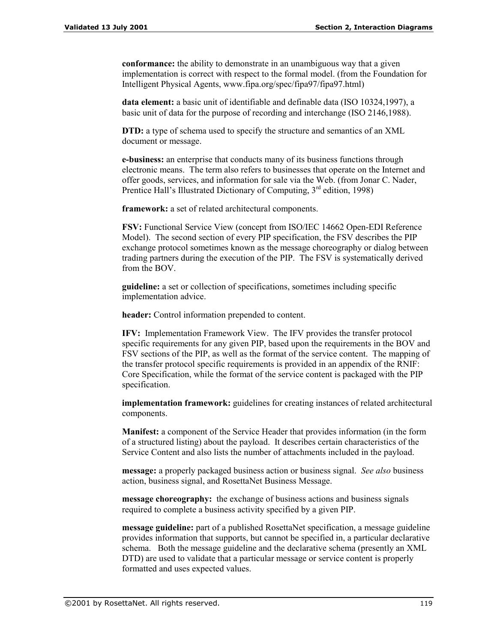**conformance:** the ability to demonstrate in an unambiguous way that a given implementation is correct with respect to the formal model. (from the Foundation for Intelligent Physical Agents, www.fipa.org/spec/fipa97/fipa97.html)

**data element:** a basic unit of identifiable and definable data (ISO 10324,1997), a basic unit of data for the purpose of recording and interchange (ISO 2146,1988).

**DTD:** a type of schema used to specify the structure and semantics of an XML document or message.

**e-business:** an enterprise that conducts many of its business functions through electronic means. The term also refers to businesses that operate on the Internet and offer goods, services, and information for sale via the Web. (from Jonar C. Nader, Prentice Hall's Illustrated Dictionary of Computing,  $3<sup>rd</sup>$  edition, 1998)

**framework:** a set of related architectural components.

**FSV:** Functional Service View (concept from ISO/IEC 14662 Open-EDI Reference Model). The second section of every PIP specification, the FSV describes the PIP exchange protocol sometimes known as the message choreography or dialog between trading partners during the execution of the PIP. The FSV is systematically derived from the BOV.

**guideline:** a set or collection of specifications, sometimes including specific implementation advice.

**header:** Control information prepended to content.

**IFV:** Implementation Framework View. The IFV provides the transfer protocol specific requirements for any given PIP, based upon the requirements in the BOV and FSV sections of the PIP, as well as the format of the service content. The mapping of the transfer protocol specific requirements is provided in an appendix of the RNIF: Core Specification, while the format of the service content is packaged with the PIP specification.

**implementation framework:** guidelines for creating instances of related architectural components.

**Manifest:** a component of the Service Header that provides information (in the form of a structured listing) about the payload. It describes certain characteristics of the Service Content and also lists the number of attachments included in the payload.

**message:** a properly packaged business action or business signal. *See also* business action, business signal, and RosettaNet Business Message.

**message choreography:** the exchange of business actions and business signals required to complete a business activity specified by a given PIP.

**message guideline:** part of a published RosettaNet specification, a message guideline provides information that supports, but cannot be specified in, a particular declarative schema. Both the message guideline and the declarative schema (presently an XML DTD) are used to validate that a particular message or service content is properly formatted and uses expected values.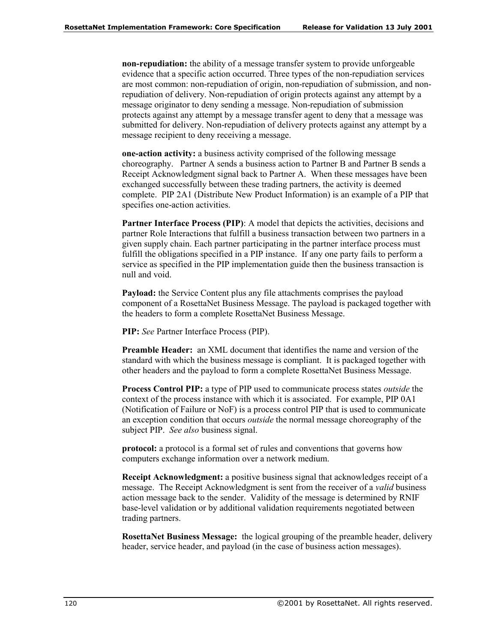**non-repudiation:** the ability of a message transfer system to provide unforgeable evidence that a specific action occurred. Three types of the non-repudiation services are most common: non-repudiation of origin, non-repudiation of submission, and nonrepudiation of delivery. Non-repudiation of origin protects against any attempt by a message originator to deny sending a message. Non-repudiation of submission protects against any attempt by a message transfer agent to deny that a message was submitted for delivery. Non-repudiation of delivery protects against any attempt by a message recipient to deny receiving a message.

**one-action activity:** a business activity comprised of the following message choreography. Partner A sends a business action to Partner B and Partner B sends a Receipt Acknowledgment signal back to Partner A. When these messages have been exchanged successfully between these trading partners, the activity is deemed complete. PIP 2A1 (Distribute New Product Information) is an example of a PIP that specifies one-action activities.

**Partner Interface Process (PIP)**: A model that depicts the activities, decisions and partner Role Interactions that fulfill a business transaction between two partners in a given supply chain. Each partner participating in the partner interface process must fulfill the obligations specified in a PIP instance. If any one party fails to perform a service as specified in the PIP implementation guide then the business transaction is null and void.

**Payload:** the Service Content plus any file attachments comprises the payload component of a RosettaNet Business Message. The payload is packaged together with the headers to form a complete RosettaNet Business Message.

**PIP:** *See* Partner Interface Process (PIP).

**Preamble Header:** an XML document that identifies the name and version of the standard with which the business message is compliant. It is packaged together with other headers and the payload to form a complete RosettaNet Business Message.

**Process Control PIP:** a type of PIP used to communicate process states *outside* the context of the process instance with which it is associated. For example, PIP 0A1 (Notification of Failure or NoF) is a process control PIP that is used to communicate an exception condition that occurs *outside* the normal message choreography of the subject PIP. *See also* business signal.

**protocol:** a protocol is a formal set of rules and conventions that governs how computers exchange information over a network medium.

**Receipt Acknowledgment:** a positive business signal that acknowledges receipt of a message. The Receipt Acknowledgment is sent from the receiver of a *valid* business action message back to the sender. Validity of the message is determined by RNIF base-level validation or by additional validation requirements negotiated between trading partners.

**RosettaNet Business Message:** the logical grouping of the preamble header, delivery header, service header, and payload (in the case of business action messages).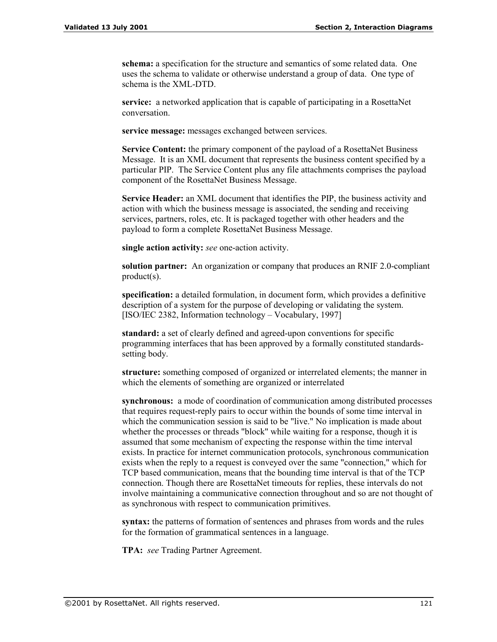**schema:** a specification for the structure and semantics of some related data. One uses the schema to validate or otherwise understand a group of data. One type of schema is the XML-DTD.

**service:** a networked application that is capable of participating in a RosettaNet conversation.

**service message:** messages exchanged between services.

**Service Content:** the primary component of the payload of a RosettaNet Business Message. It is an XML document that represents the business content specified by a particular PIP. The Service Content plus any file attachments comprises the payload component of the RosettaNet Business Message.

**Service Header:** an XML document that identifies the PIP, the business activity and action with which the business message is associated, the sending and receiving services, partners, roles, etc. It is packaged together with other headers and the payload to form a complete RosettaNet Business Message.

**single action activity:** *see* one-action activity.

**solution partner:** An organization or company that produces an RNIF 2.0-compliant product(s).

**specification:** a detailed formulation, in document form, which provides a definitive description of a system for the purpose of developing or validating the system. [ISO/IEC 2382, Information technology – Vocabulary, 1997]

**standard:** a set of clearly defined and agreed-upon conventions for specific programming interfaces that has been approved by a formally constituted standardssetting body.

**structure:** something composed of organized or interrelated elements; the manner in which the elements of something are organized or interrelated

**synchronous:** a mode of coordination of communication among distributed processes that requires request-reply pairs to occur within the bounds of some time interval in which the communication session is said to be "live." No implication is made about whether the processes or threads "block" while waiting for a response, though it is assumed that some mechanism of expecting the response within the time interval exists. In practice for internet communication protocols, synchronous communication exists when the reply to a request is conveyed over the same "connection," which for TCP based communication, means that the bounding time interval is that of the TCP connection. Though there are RosettaNet timeouts for replies, these intervals do not involve maintaining a communicative connection throughout and so are not thought of as synchronous with respect to communication primitives.

**syntax:** the patterns of formation of sentences and phrases from words and the rules for the formation of grammatical sentences in a language.

**TPA:** *see* Trading Partner Agreement.